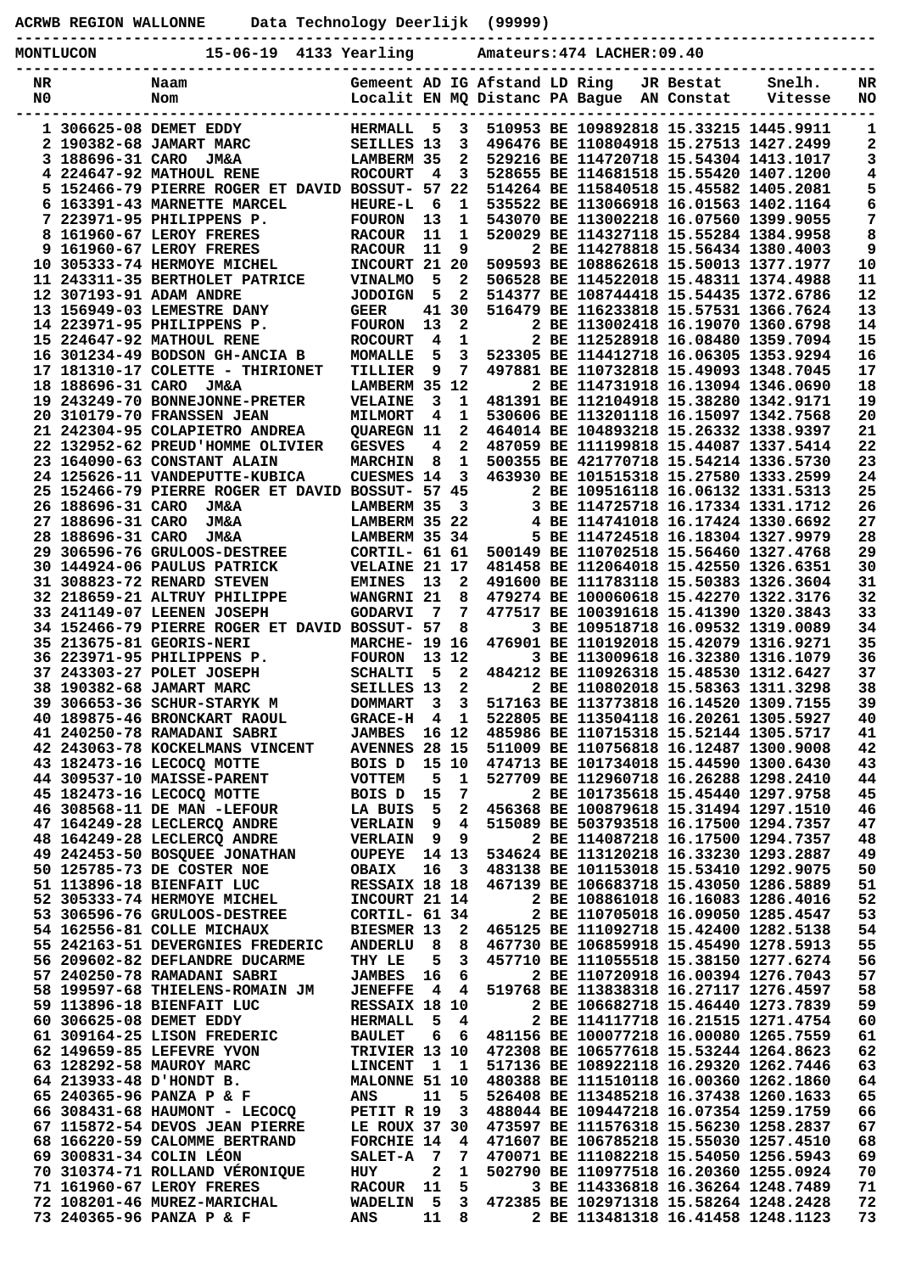|                  |                   | ACRWB REGION WALLONNE Data Technology Deerlijk (99999)         |                                       |                |                                |                               |                                                                                  |           |                   |          |
|------------------|-------------------|----------------------------------------------------------------|---------------------------------------|----------------|--------------------------------|-------------------------------|----------------------------------------------------------------------------------|-----------|-------------------|----------|
| <b>MONTLUCON</b> |                   | 15-06-19 4133 Yearling<br>------------------------             |                                       |                |                                |                               | Amateurs: 474 LACHER: 09.40                                                      |           |                   |          |
| NR<br>N0         |                   | Naam<br>Nom                                                    |                                       |                |                                | Gemeent AD IG Afstand LD Ring | Localit EN MQ Distanc PA Bague AN Constat                                        | JR Bestat | Snelh.<br>Vitesse | NR<br>NO |
|                  |                   | 1 306625-08 DEMET EDDY                                         | <b>HERMALL</b>                        | $-5$           | 3                              |                               | 510953 BE 109892818 15.33215 1445.9911                                           |           |                   | 1        |
|                  |                   | 2 190382-68 JAMART MARC                                        | SEILLES 13<br><b>LAMBERM 35</b>       |                | - 3<br>$\overline{\mathbf{2}}$ |                               | 496476 BE 110804918 15.27513 1427.2499<br>529216 BE 114720718 15.54304 1413.1017 |           |                   | 2<br>3   |
|                  |                   | 3 188696-31 CARO JM&A<br>4 224647-92 MATHOUL RENE              | <b>ROCOURT</b>                        | 4              | $\overline{\mathbf{3}}$        |                               | 528655 BE 114681518 15.55420 1407.1200                                           |           |                   | 4        |
|                  |                   | 5 152466-79 PIERRE ROGER ET DAVID BOSSUT- 57 22                |                                       |                |                                |                               | 514264 BE 115840518 15.45582 1405.2081                                           |           |                   | 5        |
|                  |                   | 6 163391-43 MARNETTE MARCEL                                    | <b>HEURE-L</b>                        | - 6            | 1                              |                               | 535522 BE 113066918 16.01563 1402.1164                                           |           |                   | 6        |
|                  |                   | 7 223971-95 PHILIPPENS P.                                      | <b>FOURON</b>                         | 13             | 1                              |                               | 543070 BE 113002218 16.07560 1399.9055                                           |           |                   | 7        |
|                  |                   | 8 161960-67 LEROY FRERES                                       | <b>RACOUR</b>                         | 11             | 1                              |                               | 520029 BE 114327118 15.55284 1384.9958                                           |           |                   | 8        |
|                  |                   | 9 161960-67 LEROY FRERES                                       | <b>RACOUR</b>                         | 11             | 9                              |                               | 2 BE 114278818 15.56434 1380.4003                                                |           |                   | 9        |
|                  |                   | 10 305333-74 HERMOYE MICHEL                                    | INCOURT 21 20                         |                |                                |                               | 509593 BE 108862618 15.50013 1377.1977                                           |           |                   | 10       |
|                  |                   | 11 243311-35 BERTHOLET PATRICE<br>12 307193-91 ADAM ANDRE      | <b>VINALMO</b><br><b>JODOIGN</b>      | -5<br>5        | 2<br>$\mathbf{2}$              |                               | 506528 BE 114522018 15.48311 1374.4988<br>514377 BE 108744418 15.54435 1372.6786 |           |                   | 11<br>12 |
|                  |                   | 13 156949-03 LEMESTRE DANY                                     | <b>GEER</b>                           |                | 41 30                          |                               | 516479 BE 116233818 15.57531 1366.7624                                           |           |                   | 13       |
|                  |                   | 14 223971-95 PHILIPPENS P.                                     | <b>FOURON</b>                         | 13             | $\mathbf{2}$                   |                               | 2 BE 113002418 16.19070 1360.6798                                                |           |                   | 14       |
|                  |                   | 15 224647-92 MATHOUL RENE                                      | <b>ROCOURT</b>                        | $\overline{4}$ | 1                              |                               | 2 BE 112528918 16.08480 1359.7094                                                |           |                   | 15       |
|                  |                   | 16 301234-49 BODSON GH-ANCIA B                                 | <b>MOMALLE</b>                        | 5              | 3                              |                               | 523305 BE 114412718 16.06305 1353.9294                                           |           |                   | 16       |
|                  |                   | 17 181310-17 COLETTE - THIRIONET                               | TILLIER                               | - 9            | 7                              |                               | 497881 BE 110732818 15.49093 1348.7045                                           |           |                   | 17       |
|                  |                   | 18 188696-31 CARO JM&A                                         | LAMBERM 35 12                         |                |                                |                               | 2 BE 114731918 16.13094 1346.0690                                                |           |                   | 18       |
|                  |                   | 19 243249-70 BONNEJONNE-PRETER                                 | <b>VELAINE</b>                        | 3              | 1<br>1                         |                               | 481391 BE 112104918 15.38280 1342.9171                                           |           |                   | 19<br>20 |
|                  |                   | 20 310179-70 FRANSSEN JEAN<br>21 242304-95 COLAPIETRO ANDREA   | <b>MILMORT</b><br>QUAREGN 11          | $\overline{4}$ | $\mathbf{2}$                   |                               | 530606 BE 113201118 16.15097 1342.7568<br>464014 BE 104893218 15.26332 1338.9397 |           |                   | 21       |
|                  |                   | 22 132952-62 PREUD'HOMME OLIVIER                               | <b>GESVES</b>                         | 4              | $\mathbf{2}$                   |                               | 487059 BE 111199818 15.44087 1337.5414                                           |           |                   | 22       |
|                  |                   | 23 164090-63 CONSTANT ALAIN                                    | <b>MARCHIN</b>                        | 8              | 1                              |                               | 500355 BE 421770718 15.54214 1336.5730                                           |           |                   | 23       |
|                  |                   | 24 125626-11 VANDEPUTTE-KUBICA                                 | <b>CUESMES 14</b>                     |                | $\overline{\mathbf{3}}$        |                               | 463930 BE 101515318 15.27580 1333.2599                                           |           |                   | 24       |
|                  |                   | 25 152466-79 PIERRE ROGER ET DAVID BOSSUT- 57 45               |                                       |                |                                |                               | 2 BE 109516118 16.06132 1331.5313                                                |           |                   | 25       |
|                  |                   | 26 188696-31 CARO JM&A                                         | LAMBERM 35                            |                | $\overline{\mathbf{3}}$        |                               | 3 BE 114725718 16.17334 1331.1712                                                |           |                   | 26       |
|                  | 27 188696-31 CARO | <b>JM&amp;A</b>                                                | LAMBERM 35 22                         |                |                                |                               | 4 BE 114741018 16.17424 1330.6692                                                |           |                   | 27       |
|                  | 28 188696-31 CARO | <b>JM&amp;A</b>                                                | LAMBERM 35 34                         |                |                                |                               | 5 BE 114724518 16.18304 1327.9979                                                |           |                   | 28       |
|                  |                   | 29 306596-76 GRULOOS-DESTREE<br>30 144924-06 PAULUS PATRICK    | CORTIL- 61 61<br><b>VELAINE 21 17</b> |                |                                |                               | 500149 BE 110702518 15.56460 1327.4768<br>481458 BE 112064018 15.42550 1326.6351 |           |                   | 29<br>30 |
|                  |                   | 31 308823-72 RENARD STEVEN                                     | <b>EMINES</b>                         | 13             | 2                              |                               | 491600 BE 111783118 15.50383 1326.3604                                           |           |                   | 31       |
|                  |                   | 32 218659-21 ALTRUY PHILIPPE                                   | WANGRNI 21                            |                | 8                              |                               | 479274 BE 100060618 15.42270 1322.3176                                           |           |                   | 32       |
|                  |                   | 33 241149-07 LEENEN JOSEPH                                     | <b>GODARVI</b>                        | - 7            | $\overline{7}$                 |                               | 477517 BE 100391618 15.41390 1320.3843                                           |           |                   | 33       |
|                  |                   | 34 152466-79 PIERRE ROGER ET DAVID BOSSUT- 57                  |                                       |                | - 8                            |                               | 3 BE 109518718 16.09532 1319.0089                                                |           |                   | 34       |
|                  |                   | 35 213675-81 GEORIS-NERI                                       | <b>MARCHE- 19 16</b>                  |                |                                |                               | 476901 BE 110192018 15.42079 1316.9271                                           |           |                   | 35       |
|                  |                   | 36 223971-95 PHILIPPENS P.                                     | <b>FOURON</b>                         | 13 12          |                                |                               | 3 BE 113009618 16.32380 1316.1079                                                |           |                   | 36       |
|                  |                   | 37 243303-27 POLET JOSEPH<br>38 190382-68 JAMART MARC          | <b>SCHALTI</b><br>SEILLES 13 2        | - 5            | $\overline{\mathbf{2}}$        |                               | 484212 BE 110926318 15.48530 1312.6427<br>2 BE 110802018 15.58363 1311.3298      |           |                   | 37<br>38 |
|                  |                   | 39 306653-36 SCHUR-STARYK M                                    | DOMMART 3 3                           |                |                                |                               | 517163 BE 113773818 16.14520 1309.7155                                           |           |                   | 39       |
|                  |                   | 40 189875-46 BRONCKART RAOUL                                   | GRACE-H 4 1                           |                |                                |                               | 522805 BE 113504118 16.20261 1305.5927                                           |           |                   | 40       |
|                  |                   | 41 240250-78 RAMADANI SABRI                                    | <b>JAMBES</b> 16 12                   |                |                                |                               | 485986 BE 110715318 15.52144 1305.5717                                           |           |                   | 41       |
|                  |                   | 42 243063-78 KOCKELMANS VINCENT                                | <b>AVENNES 28 15</b>                  |                |                                |                               | 511009 BE 110756818 16.12487 1300.9008                                           |           |                   | 42       |
|                  |                   | 43 182473-16 LECOCQ MOTTE                                      | BOIS D                                |                | 15 10                          |                               | 474713 BE 101734018 15.44590 1300.6430                                           |           |                   | 43       |
|                  |                   | 44 309537-10 MAISSE-PARENT                                     | <b>VOTTEM</b>                         | 5              | 1                              |                               | 527709 BE 112960718 16.26288 1298.2410                                           |           |                   | 44       |
|                  |                   | 45 182473-16 LECOCQ MOTTE<br>46 308568-11 DE MAN -LEFOUR       | BOIS D<br>LA BUIS                     | 15<br>5        | 7<br>2                         |                               | 2 BE 101735618 15.45440 1297.9758<br>456368 BE 100879618 15.31494 1297.1510      |           |                   | 45<br>46 |
|                  |                   | 47 164249-28 LECLERCO ANDRE                                    | <b>VERLAIN</b>                        | و _            | $\overline{4}$                 |                               | 515089 BE 503793518 16.17500 1294.7357                                           |           |                   | 47       |
|                  |                   | 48 164249-28 LECLERCQ ANDRE                                    | <b>VERLAIN 9</b>                      |                | 9                              |                               | 2 BE 114087218 16.17500 1294.7357                                                |           |                   | 48       |
|                  |                   | 49 242453-50 BOSQUEE JONATHAN                                  | OUPEYE 14 13                          |                |                                |                               | 534624 BE 113120218 16.33230 1293.2887                                           |           |                   | 49       |
|                  |                   | 50 125785-73 DE COSTER NOE                                     | OBAIX                                 | 16             | $\overline{\mathbf{3}}$        |                               | 483138 BE 101153018 15.53410 1292.9075                                           |           |                   | 50       |
|                  |                   | 51 113896-18 BIENFAIT LUC                                      | RESSAIX 18 18                         |                |                                |                               | 467139 BE 106683718 15.43050 1286.5889                                           |           |                   | 51       |
|                  |                   | 52 305333-74 HERMOYE MICHEL                                    | INCOURT 21 14                         |                |                                |                               | 2 BE 108861018 16.16083 1286.4016                                                |           |                   | 52       |
|                  |                   | 53 306596-76 GRULOOS-DESTREE                                   | CORTIL- 61 34                         |                |                                |                               | 2 BE 110705018 16.09050 1285.4547                                                |           |                   | 53       |
|                  |                   | 54 162556-81 COLLE MICHAUX<br>55 242163-51 DEVERGNIES FREDERIC | <b>BIESMER 13</b><br>ANDERLU 8        |                | $\overline{\mathbf{2}}$<br>8   |                               | 465125 BE 111092718 15.42400 1282.5138<br>467730 BE 106859918 15.45490 1278.5913 |           |                   | 54<br>55 |
|                  |                   | 56 209602-82 DEFLANDRE DUCARME                                 | THY LE                                | 5              | 3                              |                               | 457710 BE 111055518 15.38150 1277.6274                                           |           |                   | 56       |
|                  |                   | 57 240250-78 RAMADANI SABRI                                    | JAMBES 16                             |                | - 6                            |                               | 2 BE 110720918 16.00394 1276.7043                                                |           |                   | 57       |
|                  |                   | 58 199597-68 THIELENS-ROMAIN JM                                | JENEFFE 4 4                           |                |                                |                               | 519768 BE 113838318 16.27117 1276.4597                                           |           |                   | 58       |
|                  |                   | 59 113896-18 BIENFAIT LUC                                      | RESSAIX 18 10                         |                |                                |                               | 2 BE 106682718 15.46440 1273.7839                                                |           |                   | 59       |
|                  |                   | 60 306625-08 DEMET EDDY                                        | HERMALL 5 4                           |                |                                |                               | 2 BE 114117718 16.21515 1271.4754                                                |           |                   | 60       |
|                  |                   | 61 309164-25 LISON FREDERIC                                    | <b>BAULET</b>                         | 6              | - 6                            |                               | 481156 BE 100077218 16.00080 1265.7559                                           |           |                   | 61       |
|                  |                   | 62 149659-85 LEFEVRE YVON                                      | TRIVIER 13 10                         |                |                                |                               | 472308 BE 106577618 15.53244 1264.8623<br>517136 BE 108922118 16.29320 1262.7446 |           |                   | 62<br>63 |
|                  |                   | 63 128292-58 MAUROY MARC<br>64 213933-48 D'HONDT B.            | <b>LINCENT</b><br>MALONNE 51 10       | 11             |                                |                               | 480388 BE 111510118 16.00360 1262.1860                                           |           |                   | 64       |
|                  |                   | 65 240365-96 PANZA P & F                                       | ANS                                   |                | 11 5                           |                               | 526408 BE 113485218 16.37438 1260.1633                                           |           |                   | 65       |
|                  |                   | 66 308431-68 HAUMONT - LECOCO                                  | PETIT R 19 3                          |                |                                |                               | 488044 BE 109447218 16.07354 1259.1759                                           |           |                   | 66       |
|                  |                   | 67 115872-54 DEVOS JEAN PIERRE                                 | LE ROUX 37 30                         |                |                                |                               | 473597 BE 111576318 15.56230 1258.2837                                           |           |                   | 67       |
|                  |                   | 68 166220-59 CALOMME BERTRAND                                  | FORCHIE 14 4                          |                |                                |                               | 471607 BE 106785218 15.55030 1257.4510                                           |           |                   | 68       |

 **69 300831-34 COLIN LÉON SALET-A 7 7 470071 BE 111082218 15.54050 1256.5943 69 70 310374-71 ROLLAND VÉRONIQUE HUY 2 1 502790 BE 110977518 16.20360 1255.0924 70 71 161960-67 LEROY FRERES RACOUR 11 5 3 BE 114336818 16.36264 1248.7489 71 72 108201-46 MUREZ-MARICHAL WADELIN 5 3 472385 BE 102971318 15.58264 1248.2428 72 73 240365-96 PANZA P & F ANS 11 8 2 BE 113481318 16.41458 1248.1123 73**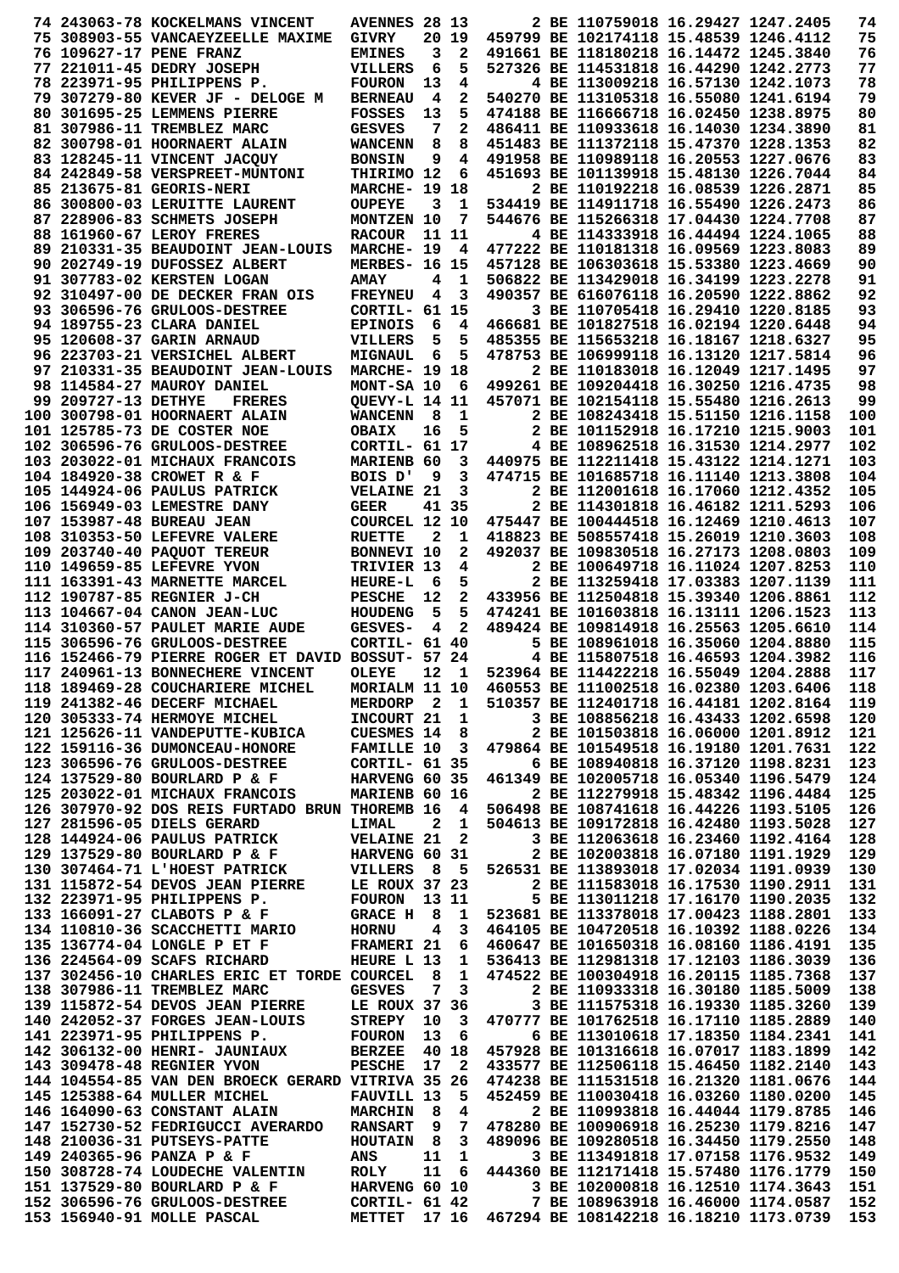|                     | 74 243063-78 KOCKELMANS VINCENT                                                    | <b>AVENNES 28 13</b>             |                |                         |                                              | 2 BE 110759018 16.29427 1247.2405                                                |  | 74         |
|---------------------|------------------------------------------------------------------------------------|----------------------------------|----------------|-------------------------|----------------------------------------------|----------------------------------------------------------------------------------|--|------------|
|                     | 75 308903-55 VANCAEYZEELLE MAXIME                                                  | GIVRY                            |                | 20 19                   |                                              | 459799 BE 102174118 15.48539 1246.4112                                           |  | 75         |
|                     | 76 109627-17 PENE FRANZ                                                            | <b>EMINES</b>                    | 3              | $\mathbf{2}$            |                                              | 491661 BE 118180218 16.14472 1245.3840                                           |  | 76         |
|                     | 77 221011-45 DEDRY JOSEPH                                                          | VILLERS                          | 6              | 5                       |                                              | 527326 BE 114531818 16.44290 1242.2773                                           |  | 77         |
|                     | 78 223971-95 PHILIPPENS P.                                                         | <b>FOURON</b>                    | 13             | 4                       |                                              | 4 BE 113009218 16.57130 1242.1073                                                |  | 78         |
|                     | 79 307279-80 KEVER JF - DELOGE M                                                   | <b>BERNEAU</b>                   | 4              | 2                       |                                              | 540270 BE 113105318 16.55080 1241.6194                                           |  | 79         |
|                     | 80 301695-25 LEMMENS PIERRE                                                        | <b>FOSSES</b>                    | 13             | 5                       |                                              | 474188 BE 116666718 16.02450 1238.8975                                           |  | 80         |
|                     | 81 307986-11 TREMBLEZ MARC                                                         | <b>GESVES</b>                    | 7              | $\mathbf{2}$            |                                              | 486411 BE 110933618 16.14030 1234.3890                                           |  | 81         |
|                     | 82 300798-01 HOORNAERT ALAIN                                                       | WANCENN                          | 8              | 8                       |                                              | 451483 BE 111372118 15.47370 1228.1353                                           |  | 82         |
|                     | 83 128245-11 VINCENT JACQUY                                                        | <b>BONSIN</b>                    | 9              | 4                       |                                              | 491958 BE 110989118 16.20553 1227.0676                                           |  | 83         |
|                     | 84 242849-58 VERSPREET-MUNTONI                                                     | THIRIMO 12                       |                | 6                       |                                              | 451693 BE 101139918 15.48130 1226.7044                                           |  | 84         |
|                     | 85 213675-81 GEORIS-NERI                                                           | <b>MARCHE- 19</b>                |                | 18                      |                                              | 2 BE 110192218 16.08539 1226.2871                                                |  | 85         |
|                     | 86 300800-03 LERUITTE LAURENT                                                      | <b>OUPEYE</b>                    | 3              | 1                       |                                              | 534419 BE 114911718 16.55490 1226.2473                                           |  | 86         |
|                     | 87 228906-83 SCHMETS JOSEPH                                                        | MONTZEN 10                       |                | 7                       |                                              | 544676 BE 115266318 17.04430 1224.7708                                           |  | 87         |
|                     | 88 161960-67 LEROY FRERES                                                          | <b>RACOUR</b>                    |                | 11 11                   |                                              | 4 BE 114333918 16.44494 1224.1065                                                |  | 88         |
|                     | 89 210331-35 BEAUDOINT JEAN-LOUIS                                                  | MARCHE- 19                       |                | 4                       |                                              | 477222 BE 110181318 16.09569 1223.8083                                           |  | 89         |
|                     | 90 202749-19 DUFOSSEZ ALBERT                                                       | <b>MERBES- 16 15</b>             |                |                         |                                              | 457128 BE 106303618 15.53380 1223.4669                                           |  | 90         |
|                     | 91 307783-02 KERSTEN LOGAN                                                         | <b>AMAY</b>                      | 4              | 1                       |                                              | 506822 BE 113429018 16.34199 1223.2278                                           |  | 91         |
|                     | 92 310497-00 DE DECKER FRAN OIS                                                    | <b>FREYNEU</b>                   | 4              | $\overline{\mathbf{3}}$ |                                              | 490357 BE 616076118 16.20590 1222.8862                                           |  | 92         |
|                     | 93 306596-76 GRULOOS-DESTREE                                                       | CORTIL- 61 15                    |                |                         |                                              | 3 BE 110705418 16.29410 1220.8185                                                |  | 93         |
|                     | 94 189755-23 CLARA DANIEL                                                          | <b>EPINOIS</b>                   | 6              | 4                       |                                              | 466681 BE 101827518 16.02194 1220.6448                                           |  | 94         |
|                     | 95 120608-37 GARIN ARNAUD                                                          | VILLERS                          | 5              | 5                       |                                              | 485355 BE 115653218 16.18167 1218.6327                                           |  | 95         |
|                     | 96 223703-21 VERSICHEL ALBERT                                                      | <b>MIGNAUL</b>                   | 6              | 5                       |                                              | 478753 BE 106999118 16.13120 1217.5814                                           |  | 96         |
|                     | 97 210331-35 BEAUDOINT JEAN-LOUIS                                                  | <b>MARCHE- 19 18</b>             |                |                         |                                              | 2 BE 110183018 16.12049 1217.1495                                                |  | 97         |
|                     | 98 114584-27 MAUROY DANIEL                                                         | MONT-SA 10                       |                | - 6                     |                                              | 499261 BE 109204418 16.30250 1216.4735                                           |  | 98         |
| 99 209727-13 DETHYE | <b>FRERES</b>                                                                      | <b>QUEVY-L 14 11</b>             |                |                         |                                              | 457071 BE 102154118 15.55480 1216.2613                                           |  | 99         |
|                     | 100 300798-01 HOORNAERT ALAIN                                                      | <b>WANCENN</b>                   | 8              | 1                       |                                              | 2 BE 108243418 15.51150 1216.1158                                                |  | 100        |
|                     | 101 125785-73 DE COSTER NOE                                                        | <b>OBAIX</b>                     | 16             | 5                       |                                              | 2 BE 101152918 16.17210 1215.9003                                                |  | 101        |
|                     | 102 306596-76 GRULOOS-DESTREE                                                      | CORTIL- 61 17                    |                |                         |                                              | 4 BE 108962518 16.31530 1214.2977                                                |  | 102        |
|                     | 103 203022-01 MICHAUX FRANCOIS                                                     | MARIENB 60                       |                | 3                       |                                              | 440975 BE 112211418 15.43122 1214.1271                                           |  | 103        |
|                     | 104 184920-38 CROWET R & F                                                         | BOIS D'                          | 9              | 3                       |                                              | 474715 BE 101685718 16.11140 1213.3808                                           |  | 104        |
|                     | 105 144924-06 PAULUS PATRICK                                                       | <b>VELAINE 21</b>                |                | 3                       |                                              | 2 BE 112001618 16.17060 1212.4352                                                |  | 105        |
|                     | 106 156949-03 LEMESTRE DANY                                                        | <b>GEER</b>                      |                | 41 35                   |                                              | 2 BE 114301818 16.46182 1211.5293                                                |  | 106        |
|                     | 107 153987-48 BUREAU JEAN                                                          | COURCEL 12 10                    |                |                         |                                              | 475447 BE 100444518 16.12469 1210.4613                                           |  | 107        |
|                     | 108 310353-50 LEFEVRE VALERE                                                       | <b>RUETTE</b>                    | 2              | 1                       |                                              | 418823 BE 508557418 15.26019 1210.3603                                           |  | 108        |
|                     | 109 203740-40 PAQUOT TEREUR                                                        | BONNEVI 10                       |                | 2                       |                                              | 492037 BE 109830518 16.27173 1208.0803                                           |  | 109        |
|                     | 110 149659-85 LEFEVRE YVON                                                         | TRIVIER 13                       |                | 4                       |                                              | 2 BE 100649718 16.11024 1207.8253                                                |  | 110        |
|                     | 111 163391-43 MARNETTE MARCEL                                                      | <b>HEURE-L</b>                   | 6              | 5                       |                                              | 2 BE 113259418 17.03383 1207.1139                                                |  | 111        |
|                     | 112 190787-85 REGNIER J-CH                                                         | <b>PESCHE</b>                    | 12             | $\mathbf{2}$            |                                              | 433956 BE 112504818 15.39340 1206.8861                                           |  | 112        |
|                     | 113 104667-04 CANON JEAN-LUC                                                       | <b>HOUDENG</b>                   | 5              | 5<br>$\overline{a}$     |                                              | 474241 BE 101603818 16.13111 1206.1523<br>489424 BE 109814918 16.25563 1205.6610 |  | 113        |
|                     | 114 310360-57 PAULET MARIE AUDE                                                    | GESVES-                          | 4              |                         |                                              | 5 BE 108961018 16.35060 1204.8880                                                |  | 114<br>115 |
|                     | 115 306596-76 GRULOOS-DESTREE<br>116 152466-79 PIERRE ROGER ET DAVID BOSSUT- 57 24 | CORTIL- 61 40                    |                |                         |                                              | 4 BE 115807518 16.46593 1204.3982                                                |  | 116        |
|                     | 117 240961-13 BONNECHERE VINCENT                                                   | <b>OLEYE</b>                     | 12             | 1                       |                                              | 523964 BE 114422218 16.55049 1204.2888                                           |  | 117        |
|                     | 118 189469-28 COUCHARIERE MICHEL                                                   | MORIALM 11 10                    |                |                         |                                              | 460553 BE 111002518 16.02380 1203.6406                                           |  | 118        |
|                     | 119 241382-46 DECERF MICHAEL                                                       | MERDORP 2 1                      |                |                         |                                              | 510357 BE 112401718 16.44181 1202.8164                                           |  | 119        |
|                     | 120 305333-74 HERMOYE MICHEL                                                       | <b>INCOURT 21</b>                |                | $\mathbf{1}$            |                                              | 3 BE 108856218 16.43433 1202.6598                                                |  | 120        |
|                     | 121 125626-11 VANDEPUTTE-KUBICA                                                    | <b>CUESMES 14</b>                |                | - 8                     |                                              | 2 BE 101503818 16.06000 1201.8912                                                |  | 121        |
|                     | 122 159116-36 DUMONCEAU-HONORE                                                     | <b>FAMILLE 10</b>                |                | $\overline{\mathbf{3}}$ |                                              | 479864 BE 101549518 16.19180 1201.7631                                           |  | 122        |
|                     | 123 306596-76 GRULOOS-DESTREE                                                      | <b>CORTIL- 61 35</b>             |                |                         |                                              | 6 BE 108940818 16.37120 1198.8231                                                |  | 123        |
|                     | 124 137529-80 BOURLARD P & F                                                       | HARVENG 60 35                    |                |                         |                                              | 461349 BE 102005718 16.05340 1196.5479                                           |  | 124        |
|                     | 125 203022-01 MICHAUX FRANCOIS                                                     | MARIENB 60 16                    |                |                         |                                              | 2 BE 112279918 15.48342 1196.4484                                                |  | 125        |
|                     | 126 307970-92 DOS REIS FURTADO BRUN THOREMB 16                                     |                                  |                | $\overline{4}$          |                                              | 506498 BE 108741618 16.44226 1193.5105                                           |  | 126        |
|                     | 127 281596-05 DIELS GERARD                                                         | LIMAL                            | $\overline{2}$ | $\mathbf{1}$            |                                              | 504613 BE 109172818 16.42480 1193.5028                                           |  | 127        |
|                     | 128 144924-06 PAULUS PATRICK                                                       | <b>VELAINE 21</b>                |                | $\overline{\mathbf{2}}$ |                                              | 3 BE 112063618 16.23460 1192.4164                                                |  | 128        |
|                     | 129 137529-80 BOURLARD P & F                                                       | <b>HARVENG 60 31</b>             |                |                         |                                              | 2 BE 102003818 16.07180 1191.1929                                                |  | 129        |
|                     | 130 307464-71 L'HOEST PATRICK                                                      | <b>VILLERS</b> 8                 |                | 5                       |                                              | 526531 BE 113893018 17.02034 1191.0939                                           |  | 130        |
|                     | 131 115872-54 DEVOS JEAN PIERRE                                                    | LE ROUX 37 23                    |                |                         |                                              | 2 BE 111583018 16.17530 1190.2911                                                |  | 131        |
|                     | 132 223971-95 PHILIPPENS P.                                                        | FOURON 13 11                     |                |                         |                                              | 5 BE 113011218 17.16170 1190.2035                                                |  | 132        |
|                     | 133 166091-27 CLABOTS P & F                                                        | GRACE H 8                        |                | 1                       |                                              | 523681 BE 113378018 17.00423 1188.2801                                           |  | 133        |
|                     | 134 110810-36 SCACCHETTI MARIO                                                     | <b>HORNU</b>                     | 4              | 3                       |                                              | 464105 BE 104720518 16.10392 1188.0226                                           |  | 134        |
|                     | 135 136774-04 LONGLE P ET F                                                        | <b>FRAMERI 21</b>                |                | 6                       |                                              | 460647 BE 101650318 16.08160 1186.4191                                           |  | 135        |
|                     | 136 224564-09 SCAFS RICHARD                                                        | HEURE L 13                       |                | $\mathbf 1$             |                                              | 536413 BE 112981318 17.12103 1186.3039                                           |  | 136        |
|                     | 137 302456-10 CHARLES ERIC ET TORDE COURCEL                                        |                                  | 8              | $\mathbf{1}$            |                                              | 474522 BE 100304918 16.20115 1185.7368                                           |  | 137        |
|                     | 138 307986-11 TREMBLEZ MARC                                                        | <b>GESVES</b>                    | 7              | $\mathbf{3}$            |                                              | 2 BE 110933318 16.30180 1185.5009                                                |  | 138        |
|                     | 139 115872-54 DEVOS JEAN PIERRE                                                    | LE ROUX 37 36                    |                |                         |                                              | 3 BE 111575318 16.19330 1185.3260                                                |  | 139        |
|                     | 140 242052-37 FORGES JEAN-LOUIS                                                    | <b>STREPY</b>                    | 10             | 3                       |                                              | 470777 BE 101762518 16.17110 1185.2889                                           |  | 140        |
|                     | 141 223971-95 PHILIPPENS P.                                                        | <b>FOURON</b>                    | 13             | - 6                     |                                              | 6 BE 113010618 17.18350 1184.2341                                                |  | 141        |
|                     | 142 306132-00 HENRI- JAUNIAUX                                                      | <b>BERZEE</b>                    |                | 40 18                   |                                              | 457928 BE 101316618 16.07017 1183.1899                                           |  | 142        |
|                     | 143 309478-48 REGNIER YVON                                                         | <b>PESCHE</b>                    | 17             | $\overline{\mathbf{2}}$ |                                              | 433577 BE 112506118 15.46450 1182.2140                                           |  | 143        |
|                     | 144 104554-85 VAN DEN BROECK GERARD VITRIVA 35 26                                  |                                  |                |                         |                                              | 474238 BE 111531518 16.21320 1181.0676                                           |  | 144        |
|                     | 145 125388-64 MULLER MICHEL<br>146 164090-63 CONSTANT ALAIN                        | <b>FAUVILL 13</b>                |                | - 5                     |                                              | 452459 BE 110030418 16.03260 1180.0200                                           |  | 145<br>146 |
|                     | 147 152730-52 FEDRIGUCCI AVERARDO                                                  | <b>MARCHIN</b><br><b>RANSART</b> | 8<br>9         | 4<br>$\overline{7}$     |                                              | 2 BE 110993818 16.44044 1179.8785<br>478280 BE 100906918 16.25230 1179.8216      |  | 147        |
|                     | 148 210036-31 PUTSEYS-PATTE                                                        | <b>HOUTAIN</b>                   | - 8            | $\overline{\mathbf{3}}$ |                                              | 489096 BE 109280518 16.34450 1179.2550                                           |  | 148        |
|                     | 149 240365-96 PANZA P & F                                                          | ANS                              | 11             | 1                       |                                              | 3 BE 113491818 17.07158 1176.9532                                                |  | 149        |
|                     | 150 308728-74 LOUDECHE VALENTIN                                                    | ROLY                             | 11             | - 6                     |                                              | 444360 BE 112171418 15.57480 1176.1779                                           |  | 150        |
|                     | 151 137529-80 BOURLARD P & F                                                       | HARVENG 60 10                    |                |                         |                                              | 3 BE 102000818 16.12510 1174.3643                                                |  | 151        |
|                     | 152 306596-76 GRULOOS-DESTREE CORTIL- 61 42                                        |                                  |                |                         |                                              | 7 BE 108963918 16.46000 1174.0587                                                |  | 152        |
|                     | 153 156940-91 MOLLE PASCAL                                                         | <b>METTET</b>                    |                |                         | 17 16 467294 BE 108142218 16.18210 1173.0739 |                                                                                  |  | 153        |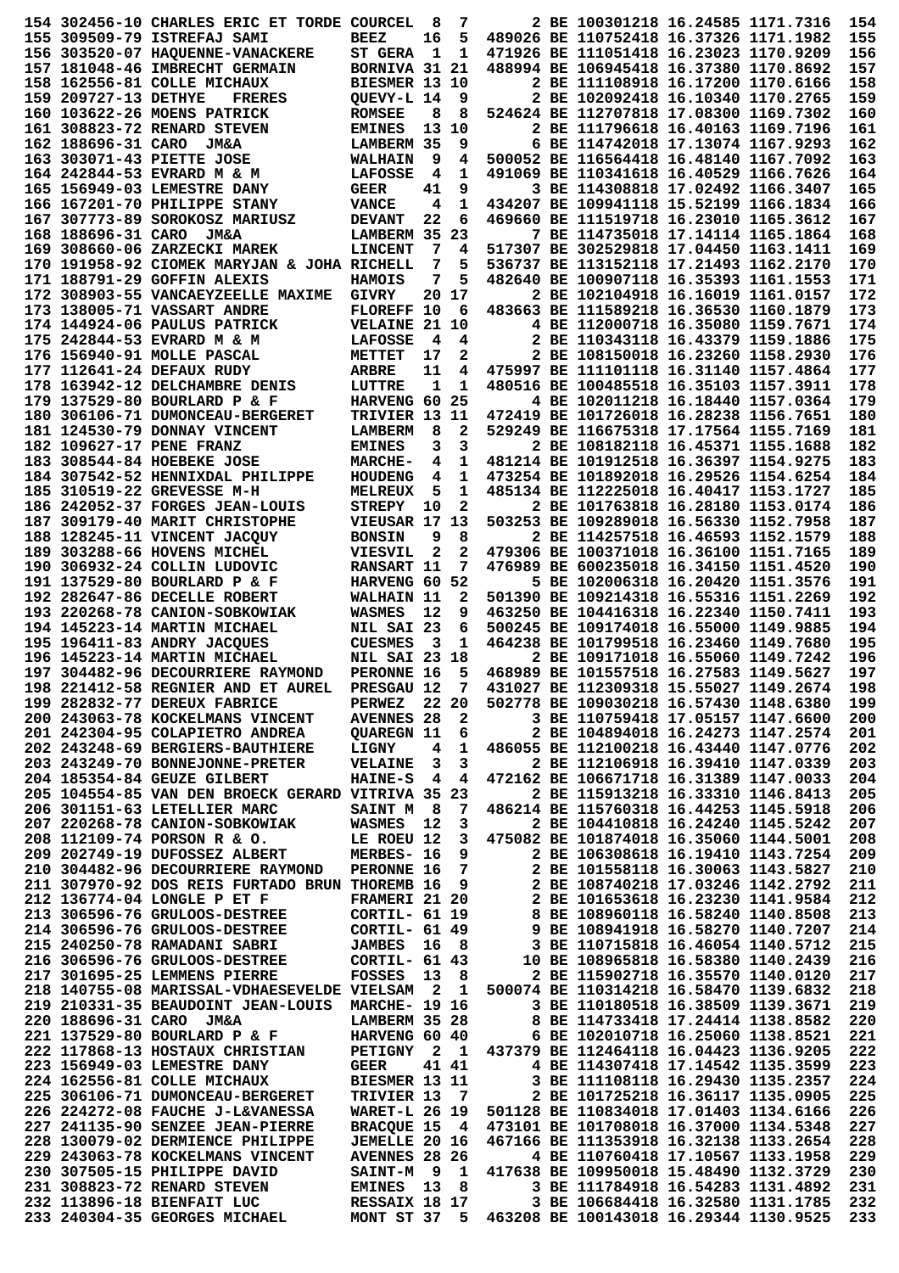|                      | 154 302456-10 CHARLES ERIC ET TORDE COURCEL                                                                                                                                                                                                  |                              | 8          | 7                       |                 | 2 BE 100301218 16.24585 1171.7316                                                                            |  | 154 |
|----------------------|----------------------------------------------------------------------------------------------------------------------------------------------------------------------------------------------------------------------------------------------|------------------------------|------------|-------------------------|-----------------|--------------------------------------------------------------------------------------------------------------|--|-----|
|                      |                                                                                                                                                                                                                                              |                              |            |                         |                 |                                                                                                              |  |     |
|                      | 155 309509-79 ISTREFAJ SAMI                                                                                                                                                                                                                  | <b>BEEZ</b>                  | 16         | 5                       |                 | 489026 BE 110752418 16.37326 1171.1982                                                                       |  | 155 |
|                      | 156 303520-07 HAQUENNE-VANACKERE                                                                                                                                                                                                             | <b>ST GERA</b>               | 1          | 1                       |                 | 471926 BE 111051418 16.23023 1170.9209                                                                       |  | 156 |
|                      | 157 181048-46 IMBRECHT GERMAIN                                                                                                                                                                                                               | <b>BORNIVA 31 21</b>         |            |                         |                 | 488994 BE 106945418 16.37380 1170.8692                                                                       |  | 157 |
|                      | 158 162556-81 COLLE MICHAUX                                                                                                                                                                                                                  | BIESMER 13 10                |            |                         |                 | 2 BE 111108918 16.17200 1170.6166                                                                            |  | 158 |
| 159 209727-13 DETHYE | <b>FRERES</b>                                                                                                                                                                                                                                | OUEVY-L 14                   |            | 9                       |                 | 2 BE 102092418 16.10340 1170.2765                                                                            |  | 159 |
|                      |                                                                                                                                                                                                                                              |                              |            |                         |                 |                                                                                                              |  |     |
|                      | 160 103622-26 MOENS PATRICK                                                                                                                                                                                                                  | <b>ROMSEE</b>                | 8          | 8                       |                 | 524624 BE 112707818 17.08300 1169.7302                                                                       |  | 160 |
|                      | 161 308823-72 RENARD STEVEN                                                                                                                                                                                                                  | <b>EMINES</b>                |            | 13 10                   |                 | 2 BE 111796618 16.40163 1169.7196                                                                            |  | 161 |
| 162 188696-31 CARO   | <b>JM&amp;A</b>                                                                                                                                                                                                                              | LAMBERM 35                   |            | 9                       |                 | 6 BE 114742018 17.13074 1167.9293                                                                            |  | 162 |
|                      | 163 303071-43 PIETTE JOSE                                                                                                                                                                                                                    | <b>WALHAIN</b>               | 9          | 4                       |                 | 500052 BE 116564418 16.48140 1167.7092                                                                       |  | 163 |
|                      | 164 242844-53 EVRARD M & M                                                                                                                                                                                                                   | <b>LAFOSSE</b>               | 4          | 1                       |                 | 491069 BE 110341618 16.40529 1166.7626                                                                       |  | 164 |
|                      |                                                                                                                                                                                                                                              |                              |            |                         |                 | 3 BE 114308818 17.02492 1166.3407                                                                            |  |     |
|                      | 165 156949-03 LEMESTRE DANY                                                                                                                                                                                                                  | <b>GEER</b>                  | 41         | 9                       |                 |                                                                                                              |  | 165 |
|                      | 166 167201-70 PHILIPPE STANY                                                                                                                                                                                                                 | <b>VANCE</b>                 | 4          | 1                       |                 | 434207 BE 109941118 15.52199 1166.1834                                                                       |  | 166 |
|                      | 167 307773-89 SOROKOSZ MARIUSZ                                                                                                                                                                                                               | <b>DEVANT</b>                | 22         | 6                       |                 | 469660 BE 111519718 16.23010 1165.3612                                                                       |  | 167 |
| 168 188696-31 CARO   | <b>JM&amp;A</b>                                                                                                                                                                                                                              | LAMBERM 35                   |            | 23                      |                 | 7 BE 114735018 17.14114 1165.1864                                                                            |  | 168 |
|                      | 169 308660-06 ZARZECKI MAREK                                                                                                                                                                                                                 | <b>LINCENT</b>               | 7          | 4                       |                 | 517307 BE 302529818 17.04450 1163.1411                                                                       |  | 169 |
|                      | 170 191958-92 CIOMEK MARYJAN & JOHA RICHELL                                                                                                                                                                                                  |                              | 7          | 5                       |                 | 536737 BE 113152118 17.21493 1162.2170                                                                       |  | 170 |
|                      |                                                                                                                                                                                                                                              |                              |            |                         |                 |                                                                                                              |  |     |
|                      | 171 188791-29 GOFFIN ALEXIS                                                                                                                                                                                                                  | <b>HAMOIS</b>                | 7          | 5                       |                 | 482640 BE 100907118 16.35393 1161.1553                                                                       |  | 171 |
|                      | 172 308903-55 VANCAEYZEELLE MAXIME                                                                                                                                                                                                           | <b>GIVRY</b>                 | 20.        | 17                      |                 | 2 BE 102104918 16.16019 1161.0157                                                                            |  | 172 |
|                      | 173 138005-71 VASSART ANDRE                                                                                                                                                                                                                  | FLOREFF 10                   |            | 6                       |                 | 483663 BE 111589218 16.36530 1160.1879                                                                       |  | 173 |
|                      | 174 144924-06 PAULUS PATRICK                                                                                                                                                                                                                 | <b>VELAINE 21</b>            |            | 10                      |                 | 4 BE 112000718 16.35080 1159.7671                                                                            |  | 174 |
|                      | 175 242844-53 EVRARD M & M                                                                                                                                                                                                                   | <b>LAFOSSE</b>               | 4          | 4                       |                 | 2 BE 110343118 16.43379 1159.1886                                                                            |  | 175 |
|                      | 176 156940-91 MOLLE PASCAL                                                                                                                                                                                                                   | METTET                       | 17         | 2                       |                 | 2 BE 108150018 16.23260 1158.2930                                                                            |  | 176 |
|                      |                                                                                                                                                                                                                                              |                              |            |                         |                 |                                                                                                              |  |     |
|                      | 177 112641-24 DEFAUX RUDY                                                                                                                                                                                                                    | <b>ARBRE</b>                 | 11         | 4                       |                 | 475997 BE 111101118 16.31140 1157.4864                                                                       |  | 177 |
|                      | 178 163942-12 DELCHAMBRE DENIS                                                                                                                                                                                                               | LUTTRE                       | 1          | 1                       |                 | 480516 BE 100485518 16.35103 1157.3911                                                                       |  | 178 |
|                      | 179 137529-80 BOURLARD P & F                                                                                                                                                                                                                 | HARVENG 60                   |            | 25                      |                 | 4 BE 102011218 16.18440 1157.0364                                                                            |  | 179 |
|                      | 180 306106-71 DUMONCEAU-BERGERET                                                                                                                                                                                                             | <b>TRIVIER 13 11</b>         |            |                         |                 | 472419 BE 101726018 16.28238 1156.7651                                                                       |  | 180 |
|                      | 181 124530-79 DONNAY VINCENT                                                                                                                                                                                                                 | <b>LAMBERM</b>               | 8          | 2                       |                 | 529249 BE 116675318 17.17564 1155.7169                                                                       |  | 181 |
|                      | 182 109627-17 PENE FRANZ                                                                                                                                                                                                                     |                              | 3          | 3                       |                 | 2 BE 108182118 16.45371 1155.1688                                                                            |  | 182 |
|                      |                                                                                                                                                                                                                                              | <b>EMINES</b>                |            |                         |                 |                                                                                                              |  |     |
|                      | 183 308544-84 HOEBEKE JOSE                                                                                                                                                                                                                   | <b>MARCHE-</b>               | 4          | 1                       |                 | 481214 BE 101912518 16.36397 1154.9275                                                                       |  | 183 |
|                      | 184 307542-52 HENNIXDAL PHILIPPE                                                                                                                                                                                                             | <b>HOUDENG</b>               | 4          | 1                       |                 | 473254 BE 101892018 16.29526 1154.6254                                                                       |  | 184 |
|                      | 185 310519-22 GREVESSE M-H                                                                                                                                                                                                                   | <b>MELREUX</b>               | 5          | $\mathbf{1}$            |                 | 485134 BE 112225018 16.40417 1153.1727                                                                       |  | 185 |
|                      | 186 242052-37 FORGES JEAN-LOUIS                                                                                                                                                                                                              | <b>STREPY</b>                | 10         | 2                       |                 | 2 BE 101763818 16.28180 1153.0174                                                                            |  | 186 |
|                      | 187 309179-40 MARIT CHRISTOPHE                                                                                                                                                                                                               | VIEUSAR 17                   |            | 13                      |                 | 503253 BE 109289018 16.56330 1152.7958                                                                       |  | 187 |
|                      |                                                                                                                                                                                                                                              |                              |            |                         |                 |                                                                                                              |  |     |
|                      | 188 128245-11 VINCENT JACQUY                                                                                                                                                                                                                 | <b>BONSIN</b>                | 9          | 8                       |                 | 2 BE 114257518 16.46593 1152.1579                                                                            |  | 188 |
|                      | 189 303288-66 HOVENS MICHEL                                                                                                                                                                                                                  | <b>VIESVIL</b>               | 2          | 2                       |                 | 479306 BE 100371018 16.36100 1151.7165                                                                       |  | 189 |
|                      | 190 306932-24 COLLIN LUDOVIC                                                                                                                                                                                                                 | <b>RANSART 11</b>            |            | 7                       |                 | 476989 BE 600235018 16.34150 1151.4520                                                                       |  | 190 |
|                      | 191 137529-80 BOURLARD P & F                                                                                                                                                                                                                 | <b>HARVENG 60</b>            |            | 52                      |                 | 5 BE 102006318 16.20420 1151.3576                                                                            |  | 191 |
|                      | 192 282647-86 DECELLE ROBERT                                                                                                                                                                                                                 | WALHAIN 11                   |            | $\mathbf{2}$            |                 | 501390 BE 109214318 16.55316 1151.2269                                                                       |  | 192 |
|                      | 193 220268-78 CANION-SOBKOWIAK                                                                                                                                                                                                               | <b>WASMES</b>                | 12         | 9                       |                 | 463250 BE 104416318 16.22340 1150.7411                                                                       |  | 193 |
|                      | 194 145223-14 MARTIN MICHAEL                                                                                                                                                                                                                 | NIL SAI 23                   |            | 6                       |                 | 500245 BE 109174018 16.55000 1149.9885                                                                       |  | 194 |
|                      |                                                                                                                                                                                                                                              |                              |            | 1                       |                 | 464238 BE 101799518 16.23460 1149.7680                                                                       |  | 195 |
|                      | 195 196411-83 ANDRY JACQUES                                                                                                                                                                                                                  | <b>CUESMES</b>               | 3          |                         |                 |                                                                                                              |  |     |
|                      | 196 145223-14 MARTIN MICHAEL                                                                                                                                                                                                                 | <b>NIL SAI 23 18</b>         |            |                         |                 | 2 BE 109171018 16.55060 1149.7242                                                                            |  | 196 |
|                      | 197 304482-96 DECOURRIERE RAYMOND                                                                                                                                                                                                            | PERONNE 16                   |            | 5                       |                 | 468989 BE 101557518 16.27583 1149.5627                                                                       |  | 197 |
|                      | 198 221412-58 REGNIER AND ET AUREL                                                                                                                                                                                                           | <b>PRESGAU 12</b>            |            | $7\phantom{.0}$         |                 | 431027 BE 112309318 15.55027 1149.2674                                                                       |  | 198 |
|                      | 199 282832-77 DEREUX FABRICE                                                                                                                                                                                                                 | <b>PERWEZ</b> 22 20          |            |                         |                 | 502778 BE 109030218 16.57430 1148.6380                                                                       |  | 199 |
|                      | 200 243063-78 KOCKELMANS VINCENT AVENNES 28 2<br>201 242304-95 COLAPIETRO ANDREA QUAREGN 11 6                                                                                                                                                |                              |            |                         |                 | 3 BE 110759418 17.05157 1147.6600                                                                            |  | 200 |
|                      |                                                                                                                                                                                                                                              |                              |            |                         | $6\overline{6}$ | 2 BE 104894018 16.24273 1147.2574                                                                            |  | 201 |
|                      | 202 243248-69 BERGIERS-BAUTHIERE                                                                                                                                                                                                             | LIGNY                        |            | 4 1                     |                 | 486055 BE 112100218 16.43440 1147.0776                                                                       |  | 202 |
|                      | 203 243249-70 BONNEJONNE-PRETER                                                                                                                                                                                                              | <b>VELAINE 3 3</b>           |            |                         |                 | 2 BE 112106918 16.39410 1147.0339                                                                            |  | 203 |
|                      | 204 185354-84 GEUZE GILBERT                                                                                                                                                                                                                  |                              |            |                         |                 | 472162 BE 106671718 16.31389 1147.0033                                                                       |  |     |
|                      |                                                                                                                                                                                                                                              | <b>HAINE-S</b> 4 4           |            |                         |                 |                                                                                                              |  | 204 |
|                      | 205 104554-85 VAN DEN BROECK GERARD VITRIVA 35 23                                                                                                                                                                                            |                              |            |                         |                 | 2 BE 115913218 16.33310 1146.8413                                                                            |  | 205 |
|                      | 206 301151-63 LETELLIER MARC                                                                                                                                                                                                                 | <b>SAINT M</b>               | $_{\rm 8}$ | $\overline{7}$          |                 | 486214 BE 115760318 16.44253 1145.5918                                                                       |  | 206 |
|                      | 207 220268-78 CANION-SOBKOWIAK                                                                                                                                                                                                               | <b>WASMES</b>                | 12         | $\overline{\mathbf{3}}$ |                 | 2 BE 104410818 16.24240 1145.5242                                                                            |  | 207 |
|                      | 208 112109-74 PORSON R & O.                                                                                                                                                                                                                  | LE ROEU 12                   |            |                         |                 | 3 475082 BE 101874018 16.35060 1144.5001                                                                     |  | 208 |
|                      | 209 202749-19 DUFOSSEZ ALBERT                                                                                                                                                                                                                | MERBES- 16                   |            | 9                       |                 | 2 BE 106308618 16.19410 1143.7254                                                                            |  | 209 |
|                      | 210 304482-96 DECOURRIERE RAYMOND                                                                                                                                                                                                            | PERONNE 16                   |            |                         |                 |                                                                                                              |  | 210 |
|                      |                                                                                                                                                                                                                                              |                              |            |                         |                 | 7<br>2 BE 101558118 16.30063 1143.5827<br>2 BE 108740218 17.03246 1142.2792                                  |  |     |
|                      | 211 307970-92 DOS REIS FURTADO BRUN THOREMB 16                                                                                                                                                                                               |                              |            |                         |                 |                                                                                                              |  | 211 |
|                      | 212 136774-04 LONGLE P ET F                                                                                                                                                                                                                  | FRAMERI 21 20                |            |                         |                 | 2 BE 101653618 16.23230 1141.9584<br>8 BE 108960118 16.58240 1140.8508                                       |  | 212 |
|                      | 213 306596-76 GRULOOS-DESTREE                                                                                                                                                                                                                | <b>CORTIL- 61 19</b>         |            |                         |                 |                                                                                                              |  | 213 |
|                      | 214 306596-76 GRULOOS-DESTREE                                                                                                                                                                                                                | CORTIL- 61 49<br>JAMBES 16 8 |            |                         |                 | 9 BE 108941918 16.58270 1140.7207<br>3 BE 110715818 16.46054 1140.5712<br>10 BE 108965818 16.58380 1140.2439 |  | 214 |
|                      | 215  240250-78  RAMADANI  SABRI                                                                                                                                                                                                              |                              |            |                         |                 |                                                                                                              |  | 215 |
|                      | 216 306596-76 GRULOOS-DESTREE                                                                                                                                                                                                                | CORTIL- 61 43                |            |                         |                 |                                                                                                              |  | 216 |
|                      |                                                                                                                                                                                                                                              |                              |            |                         |                 |                                                                                                              |  |     |
|                      | 217 301695-25 LEMMENS PIERRE                                                                                                                                                                                                                 | FOSSES 13                    |            |                         |                 | 8 2 BE 115902718 16.35570 1140.0120                                                                          |  | 217 |
|                      | 218 140755-08 MARISSAL-VDHAESEVELDE VIELSAM 2 1                                                                                                                                                                                              |                              |            |                         |                 | 500074 BE 110314218 16.58470 1139.6832                                                                       |  | 218 |
|                      | 219 210331-35 BEAUDOINT JEAN-LOUIS MARCHE- 19 16                                                                                                                                                                                             |                              |            |                         |                 | 3 BE 110180518 16.38509 1139.3671                                                                            |  | 219 |
|                      | 220 188696-31 CARO JM&A                                                                                                                                                                                                                      | LAMBERM 35 28                |            |                         |                 | 8 BE 114733418 17.24414 1138.8582                                                                            |  | 220 |
|                      | 221 137529-80 BOURLARD P & F                                                                                                                                                                                                                 | HARVENG 60 40                |            |                         |                 | 6 BE 102010718 16.25060 1138.8521                                                                            |  | 221 |
|                      | 222 117868-13 HOSTAUX CHRISTIAN PETIGNY 2 1 437379 BE 112464118 16.04423 1136.9205                                                                                                                                                           |                              |            |                         |                 |                                                                                                              |  | 222 |
|                      | 223 156949-03 LEMESTRE DANY                                                                                                                                                                                                                  | <b>GEER</b>                  |            | 41 41                   |                 | 4 BE 114307418 17.14542 1135.3599                                                                            |  | 223 |
|                      |                                                                                                                                                                                                                                              |                              |            |                         |                 |                                                                                                              |  |     |
|                      | 224 162556-81 COLLE MICHAUX                                                                                                                                                                                                                  | <b>BIESMER 13 11</b>         |            |                         |                 | 3 BE 111108110 10.2, 10.<br>2 BE 101725218 16.36117 1135.0905<br>2 BE 101725218 16.36117 1134.6166           |  | 224 |
|                      | 225 306106-71 DUMONCEAU-BERGERET                                                                                                                                                                                                             | TRIVIER 13 7                 |            |                         |                 |                                                                                                              |  | 225 |
|                      | 226 224272-08 FAUCHE J-L&VANESSA                                                                                                                                                                                                             | <b>WARET-L 26 19</b>         |            |                         |                 | 501128 BE 110834018 17.01403 1134.6166                                                                       |  | 226 |
|                      | 227 241135-90 SENZEE JEAN-PIERRE                                                                                                                                                                                                             | <b>BRACQUE 15</b>            |            | $\overline{4}$          |                 | 473101 BE 101708018 16.37000 1134.5348                                                                       |  | 227 |
|                      | 228 130079-02 DERMIENCE PHILIPPE                                                                                                                                                                                                             | <b>JEMELLE 20 16</b>         |            |                         |                 | 467166 BE 111353918 16.32138 1133.2654                                                                       |  | 228 |
|                      | 229 243063-78 KOCKELMANS VINCENT                                                                                                                                                                                                             | <b>AVENNES 28 26</b>         |            |                         |                 | 4 BE 110760418 17.10567 1133.1958                                                                            |  | 229 |
|                      |                                                                                                                                                                                                                                              |                              |            |                         |                 |                                                                                                              |  | 230 |
|                      |                                                                                                                                                                                                                                              |                              |            |                         |                 |                                                                                                              |  | 231 |
|                      |                                                                                                                                                                                                                                              |                              |            |                         |                 |                                                                                                              |  | 232 |
|                      |                                                                                                                                                                                                                                              |                              |            |                         |                 |                                                                                                              |  |     |
|                      | 230 307505-15 PHILIPPE DAVID<br>231 308823-72 RENARD STEVEN<br>232 113896-18 BIENFAIT LUC<br>232 240304-35 GEORGES MICHAEL<br>233 240304-35 GEORGES MICHAEL<br>233 240304-35 GEORGES MICHAEL<br>233 240304-35 GEORGES MICHAEL<br>233 240304- |                              |            |                         |                 |                                                                                                              |  | 233 |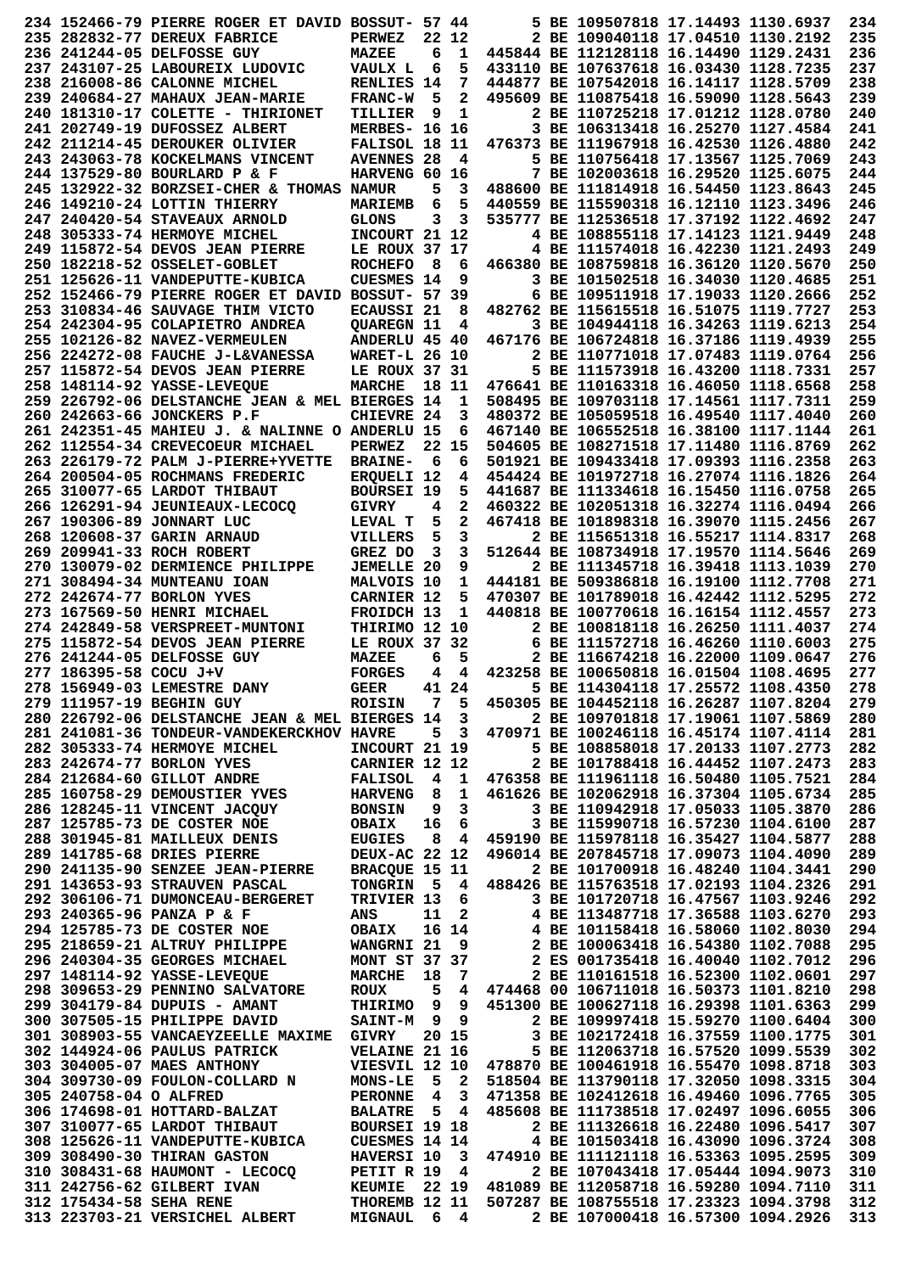|                         | 234 152466-79 PIERRE ROGER ET DAVID BOSSUT- 57 44 |                              |           |                         |                                                                        | 5 BE 109507818 17.14493 1130.6937                                           |  | 234        |
|-------------------------|---------------------------------------------------|------------------------------|-----------|-------------------------|------------------------------------------------------------------------|-----------------------------------------------------------------------------|--|------------|
|                         | 235 282832-77 DEREUX FABRICE                      | <b>PERWEZ</b>                |           | 22 12                   |                                                                        | 2 BE 109040118 17.04510 1130.2192                                           |  | 235        |
|                         |                                                   |                              |           |                         |                                                                        |                                                                             |  |            |
|                         | 236 241244-05 DELFOSSE GUY                        | <b>MAZEE</b>                 | 6         | 1                       |                                                                        | 445844 BE 112128118 16.14490 1129.2431                                      |  | 236        |
|                         | 237 243107-25 LABOUREIX LUDOVIC                   | VAULX L                      | 6         | 5                       |                                                                        | 433110 BE 107637618 16.03430 1128.7235                                      |  | 237        |
|                         | 238 216008-86 CALONNE MICHEL                      | RENLIES 14                   |           | 7                       |                                                                        | 444877 BE 107542018 16.14117 1128.5709                                      |  | 238        |
|                         | 239 240684-27 MAHAUX JEAN-MARIE                   | <b>FRANC-W</b>               | 5         | 2                       |                                                                        | 495609 BE 110875418 16.59090 1128.5643                                      |  | 239        |
|                         | 240 181310-17 COLETTE - THIRIONET                 | TILLIER                      | 9         | 1                       |                                                                        | 2 BE 110725218 17.01212 1128.0780                                           |  | 240        |
|                         | 241 202749-19 DUFOSSEZ ALBERT                     | MERBES- 16 16                |           |                         |                                                                        | 3 BE 106313418 16.25270 1127.4584                                           |  | 241        |
|                         |                                                   |                              |           |                         |                                                                        |                                                                             |  |            |
|                         | 242 211214-45 DEROUKER OLIVIER                    | FALISOL 18 11                |           |                         |                                                                        | 476373 BE 111967918 16.42530 1126.4880                                      |  | 242        |
|                         | 243 243063-78 KOCKELMANS VINCENT                  | <b>AVENNES 28</b>            |           | 4                       |                                                                        | 5 BE 110756418 17.13567 1125.7069                                           |  | 243        |
|                         | 244 137529-80 BOURLARD P & F                      | <b>HARVENG 60</b>            |           | 16                      |                                                                        | 7 BE 102003618 16.29520 1125.6075                                           |  | 244        |
|                         | 245 132922-32 BORZSEI-CHER & THOMAS NAMUR         |                              | 5         | 3                       |                                                                        | 488600 BE 111814918 16.54450 1123.8643                                      |  | 245        |
|                         | 246 149210-24 LOTTIN THIERRY                      | <b>MARIEMB</b>               | 6         | 5                       |                                                                        | 440559 BE 115590318 16.12110 1123.3496                                      |  | 246        |
|                         |                                                   |                              |           |                         |                                                                        |                                                                             |  |            |
|                         | 247 240420-54 STAVEAUX ARNOLD                     | <b>GLONS</b>                 | 3         | 3                       |                                                                        | 535777 BE 112536518 17.37192 1122.4692                                      |  | 247        |
|                         | 248 305333-74 HERMOYE MICHEL                      | INCOURT 21 12                |           |                         |                                                                        | 4 BE 108855118 17.14123 1121.9449                                           |  | 248        |
|                         | 249 115872-54 DEVOS JEAN PIERRE                   | LE ROUX 37 17                |           |                         |                                                                        | 4 BE 111574018 16.42230 1121.2493                                           |  | 249        |
|                         | 250 182218-52 OSSELET-GOBLET                      | <b>ROCHEFO</b>               | 8         | 6                       |                                                                        | 466380 BE 108759818 16.36120 1120.5670                                      |  | 250        |
|                         | 251 125626-11 VANDEPUTTE-KUBICA                   | <b>CUESMES 14</b>            |           | 9                       |                                                                        | 3 BE 101502518 16.34030 1120.4685                                           |  | 251        |
|                         |                                                   |                              |           |                         |                                                                        |                                                                             |  |            |
|                         | 252 152466-79 PIERRE ROGER ET DAVID BOSSUT- 57 39 |                              |           |                         |                                                                        | 6 BE 109511918 17.19033 1120.2666                                           |  | 252        |
|                         | 253 310834-46 SAUVAGE THIM VICTO                  | <b>ECAUSSI 21</b>            |           | 8                       |                                                                        | 482762 BE 115615518 16.51075 1119.7727                                      |  | 253        |
|                         | 254 242304-95 COLAPIETRO ANDREA                   | <b>OUAREGN 11</b>            |           | 4                       |                                                                        | 3 BE 104944118 16.34263 1119.6213                                           |  | 254        |
|                         | 255 102126-82 NAVEZ-VERMEULEN                     | ANDERLU 45 40                |           |                         |                                                                        | 467176 BE 106724818 16.37186 1119.4939                                      |  | 255        |
|                         | 256 224272-08 FAUCHE J-L&VANESSA                  | <b>WARET-L 26 10</b>         |           |                         |                                                                        | 2 BE 110771018 17.07483 1119.0764                                           |  | 256        |
|                         |                                                   |                              |           |                         |                                                                        |                                                                             |  |            |
|                         | 257 115872-54 DEVOS JEAN PIERRE                   | LE ROUX 37 31                |           |                         |                                                                        | 5 BE 111573918 16.43200 1118.7331                                           |  | 257        |
|                         | 258 148114-92 YASSE-LEVEQUE                       | <b>MARCHE</b>                |           | 18 11                   |                                                                        | 476641 BE 110163318 16.46050 1118.6568                                      |  | 258        |
|                         | 259 226792-06 DELSTANCHE JEAN & MEL BIERGES 14    |                              |           | 1                       |                                                                        | 508495 BE 109703118 17.14561 1117.7311                                      |  | 259        |
|                         | 260 242663-66 JONCKERS P.F                        | CHIEVRE 24                   |           | 3                       |                                                                        | 480372 BE 105059518 16.49540 1117.4040                                      |  | 260        |
|                         | 261 242351-45 MAHIEU J. & NALINNE O ANDERLU 15    |                              |           | 6                       |                                                                        | 467140 BE 106552518 16.38100 1117.1144                                      |  | 261        |
|                         |                                                   |                              |           |                         |                                                                        |                                                                             |  |            |
|                         | 262 112554-34 CREVECOEUR MICHAEL                  | <b>PERWEZ</b>                |           | 22 15                   |                                                                        | 504605 BE 108271518 17.11480 1116.8769                                      |  | 262        |
|                         | 263 226179-72 PALM J-PIERRE+YVETTE                | <b>BRAINE-</b>               | -6        | 6                       |                                                                        | 501921 BE 109433418 17.09393 1116.2358                                      |  | 263        |
|                         | 264 200504-05 ROCHMANS FREDERIC                   | <b>ERQUELI 12</b>            |           | 4                       |                                                                        | 454424 BE 101972718 16.27074 1116.1826                                      |  | 264        |
|                         | 265 310077-65 LARDOT THIBAUT                      | <b>BOURSEI 19</b>            |           | 5                       |                                                                        | 441687 BE 111334618 16.15450 1116.0758                                      |  | 265        |
|                         |                                                   |                              | 4         | 2                       |                                                                        | 460322 BE 102051318 16.32274 1116.0494                                      |  | 266        |
|                         | 266 126291-94 JEUNIEAUX-LECOCO                    | <b>GIVRY</b>                 |           |                         |                                                                        |                                                                             |  |            |
|                         | 267 190306-89 JONNART LUC                         | LEVAL T                      | 5         | 2                       |                                                                        | 467418 BE 101898318 16.39070 1115.2456                                      |  | 267        |
|                         | 268 120608-37 GARIN ARNAUD                        | <b>VILLERS</b>               | 5         | 3                       |                                                                        | 2 BE 115651318 16.55217 1114.8317                                           |  | 268        |
|                         | 269 209941-33 ROCH ROBERT                         | GREZ DO                      | 3         | 3                       |                                                                        | 512644 BE 108734918 17.19570 1114.5646                                      |  | 269        |
|                         | 270 130079-02 DERMIENCE PHILIPPE                  | <b>JEMELLE 20</b>            |           | 9                       |                                                                        | 2 BE 111345718 16.39418 1113.1039                                           |  | 270        |
|                         |                                                   |                              |           |                         |                                                                        |                                                                             |  |            |
|                         | <b>271 308494-34 MUNTEANU IOAN</b>                | MALVOIS 10                   |           | 1                       |                                                                        | 444181 BE 509386818 16.19100 1112.7708                                      |  | 271        |
|                         | 272 242674-77 BORLON YVES                         | <b>CARNIER 12</b>            |           | 5                       |                                                                        | 470307 BE 101789018 16.42442 1112.5295                                      |  | 272        |
|                         | 273 167569-50 HENRI MICHAEL                       | <b>FROIDCH 13</b>            |           | 1                       |                                                                        | 440818 BE 100770618 16.16154 1112.4557                                      |  | 273        |
|                         | 274 242849-58 VERSPREET-MUNTONI                   | THIRIMO 12 10                |           |                         |                                                                        | 2 BE 100818118 16.26250 1111.4037                                           |  | 274        |
|                         | 275 115872-54 DEVOS JEAN PIERRE                   | LE ROUX 37                   |           | 32                      |                                                                        | 6 BE 111572718 16.46260 1110.6003                                           |  | 275        |
|                         |                                                   |                              |           |                         |                                                                        |                                                                             |  |            |
|                         | 276 241244-05 DELFOSSE GUY                        | <b>MAZEE</b>                 | 6         | 5                       |                                                                        | 2 BE 116674218 16.22000 1109.0647                                           |  | 276        |
| 277 186395-58 COCU J+V  |                                                   | <b>FORGES</b>                | 4         | 4                       |                                                                        | 423258 BE 100650818 16.01504 1108.4695                                      |  | 277        |
|                         | 278 156949-03 LEMESTRE DANY                       | <b>GEER</b>                  |           | 41 24                   |                                                                        | 5 BE 114304118 17.25572 1108.4350                                           |  | 278        |
|                         | 279 111957-19 BEGHIN GUY                          |                              |           |                         |                                                                        |                                                                             |  |            |
|                         |                                                   |                              |           |                         |                                                                        |                                                                             |  |            |
|                         |                                                   | ROISIN 7 5                   |           |                         | 450305 BE 104452118 16.26287 1107.8204                                 |                                                                             |  | 279        |
|                         | 280 226792-06 DELSTANCHE JEAN & MEL BIERGES 14 3  |                              |           |                         |                                                                        | 2 BE 109701818 17.19061 1107.5869                                           |  | 280        |
|                         | 281 241081-36 TONDEUR-VANDEKERCKHOV HAVRE         |                              |           | 5 <sup>3</sup>          |                                                                        | 470971 BE 100246118 16.45174 1107.4114                                      |  | 281        |
|                         | 282 305333-74 HERMOYE MICHEL                      | INCOURT 21 19                |           |                         |                                                                        | 5 BE 108858018 17.20133 1107.2773                                           |  | 282        |
|                         | 283 242674-77 BORLON YVES                         | <b>CARNIER 12 12</b>         |           |                         |                                                                        | 2 BE 101788418 16.44452 1107.2473                                           |  | 283        |
|                         | 284 212684-60 GILLOT ANDRE                        |                              |           | 41                      |                                                                        | 476358 BE 111961118 16.50480 1105.7521                                      |  |            |
|                         |                                                   | <b>FALISOL</b>               |           |                         |                                                                        |                                                                             |  | 284        |
|                         | 285 160758-29 DEMOUSTIER YVES                     | <b>HARVENG</b>               | 8         | 1                       |                                                                        | 461626 BE 102062918 16.37304 1105.6734                                      |  | 285        |
|                         | 286 128245-11 VINCENT JACQUY                      | <b>BONSIN</b>                | 9         | $\mathbf{3}$            |                                                                        | 3 BE 110942918 17.05033 1105.3870                                           |  | 286        |
|                         | 287 125785-73 DE COSTER NOE                       | <b>OBAIX</b>                 |           | 16 6                    |                                                                        | 3 BE 115990718 16.57230 1104.6100                                           |  | 287        |
|                         | 288 301945-81 MAILLEUX DENIS                      | <b>EUGIES</b>                |           |                         | 8 4 459190 BE 115978118 16.35427 1104.5877                             |                                                                             |  | 288        |
|                         | 289 141785-68 DRIES PIERRE                        | <b>DEUX-AC 22 12</b>         |           |                         | 496014 BE 207845718 17.09073 1104.4090                                 |                                                                             |  | 289        |
|                         |                                                   |                              |           |                         |                                                                        |                                                                             |  |            |
|                         | 290 241135-90 SENZEE JEAN-PIERRE                  | <b>BRACOUE 15 11</b>         |           |                         |                                                                        | 2 BE 101700918 16.48240 1104.3441                                           |  | 290        |
|                         | 291 143653-93 STRAUVEN PASCAL                     | TONGRIN 5 4                  |           |                         | 488426 BE 115763518 17.02193 1104.2326                                 |                                                                             |  | 291        |
|                         | 292 306106-71 DUMONCEAU-BERGERET                  | TRIVIER 13                   |           | $6\overline{6}$         |                                                                        | 3 BE 101720718 16.47567 1103.9246                                           |  | 292        |
|                         | 293 240365-96 PANZA P & F                         | ANS                          | 11        | $\overline{\mathbf{2}}$ |                                                                        | 4 BE 113487718 17.36588 1103.6270                                           |  | 293        |
|                         | 294 125785-73 DE COSTER NOE                       |                              |           |                         |                                                                        |                                                                             |  |            |
|                         |                                                   | <b>OBAIX</b>                 |           | 16 14                   |                                                                        |                                                                             |  | 294        |
|                         | 295 218659-21 ALTRUY PHILIPPE                     | WANGRNI 21                   |           | - 9                     | 4 BE 101158418 16.58060 1102.8030<br>2 BE 100063418 16.54380 1102.7088 |                                                                             |  | 295        |
|                         | 296 240304-35 GEORGES MICHAEL                     | <b>MONT ST 37 37</b>         |           |                         | 2 ES 001735418 16.40040 1102.7012                                      |                                                                             |  | 296        |
|                         | 297 148114-92 YASSE-LEVEQUE                       | <b>MARCHE</b>                | 18        | - 7                     |                                                                        | 2 BE 110161518 16.52300 1102.0601                                           |  | 297        |
|                         | 298 309653-29 PENNINO SALVATORE                   | ROUX                         | ${\bf 5}$ |                         | 4 474468 00 106711018 16.50373 1101.8210                               |                                                                             |  | 298        |
|                         | 299 304179-84 DUPUIS - AMANT                      | THIRIMO 9 9                  |           |                         | 451300 BE 100627118 16.29398 1101.6363                                 |                                                                             |  | 299        |
|                         |                                                   |                              |           |                         |                                                                        |                                                                             |  |            |
|                         | 300 307505-15 PHILIPPE DAVID                      | SAINT-M 9 9                  |           |                         |                                                                        | 2 BE 109997418 15.59270 1100.6404                                           |  | 300        |
|                         | 301 308903-55 VANCAEYZEELLE MAXIME                | <b>GIVRY</b>                 |           | 20 15                   |                                                                        | 3 BE 102172418 16.37559 1100.1775                                           |  | 301        |
|                         | 302 144924-06 PAULUS PATRICK                      | VELAINE 21 16                |           |                         |                                                                        | 5 BE 112063718 16.57520 1099.5539                                           |  | 302        |
|                         | 303 304005-07 MAES ANTHONY                        | VIESVIL 12 10                |           |                         | 478870 BE 100461918 16.55470 1098.8718                                 |                                                                             |  | 303        |
|                         | 304 309730-09 FOULON-COLLARD N                    | <b>MONS-LE</b>               |           | 5 2                     | 518504 BE 113790118 17.32050 1098.3315                                 |                                                                             |  | 304        |
| 305 240758-04 O ALFRED  |                                                   | <b>PERONNE</b>               |           |                         | 471358 BE 102412618 16.49460 1096.7765                                 |                                                                             |  |            |
|                         |                                                   |                              |           | $4 \quad 3$             |                                                                        |                                                                             |  | 305        |
|                         | 306 174698-01 HOTTARD-BALZAT                      | BALATRE 5 4                  |           |                         | 485608 BE 111738518 17.02497 1096.6055                                 |                                                                             |  | 306        |
|                         | 307 310077-65 LARDOT THIBAUT                      | <b>BOURSEI 19 18</b>         |           |                         |                                                                        | 2 BE 111326618 16.22480 1096.5417                                           |  | 307        |
|                         | 308 125626-11 VANDEPUTTE-KUBICA                   | <b>CUESMES 14 14</b>         |           |                         |                                                                        | 4 BE 101503418 16.43090 1096.3724                                           |  | 308        |
|                         | 309 308490-30 THIRAN GASTON                       | HAVERSI 10                   |           | $\mathbf{3}$            |                                                                        | 474910 BE 111121118 16.53363 1095.2595                                      |  | 309        |
|                         | 310 308431-68 HAUMONT - LECOCQ                    | PETIT R 19                   |           | $\overline{\mathbf{4}}$ |                                                                        | 2 BE 107043418 17.05444 1094.9073                                           |  | 310        |
|                         |                                                   |                              |           |                         |                                                                        |                                                                             |  |            |
|                         | 311 242756-62 GILBERT IVAN                        | <b>KEUMIE</b> 22 19          |           |                         |                                                                        | 481089 BE 112058718 16.59280 1094.7110                                      |  | 311        |
| 312 175434-58 SEHA RENE | 313 223703-21 VERSICHEL ALBERT                    | THOREMB 12 11<br>MIGNAUL 6 4 |           |                         |                                                                        | 507287 BE 108755518 17.23323 1094.3798<br>2 BE 107000418 16.57300 1094.2926 |  | 312<br>313 |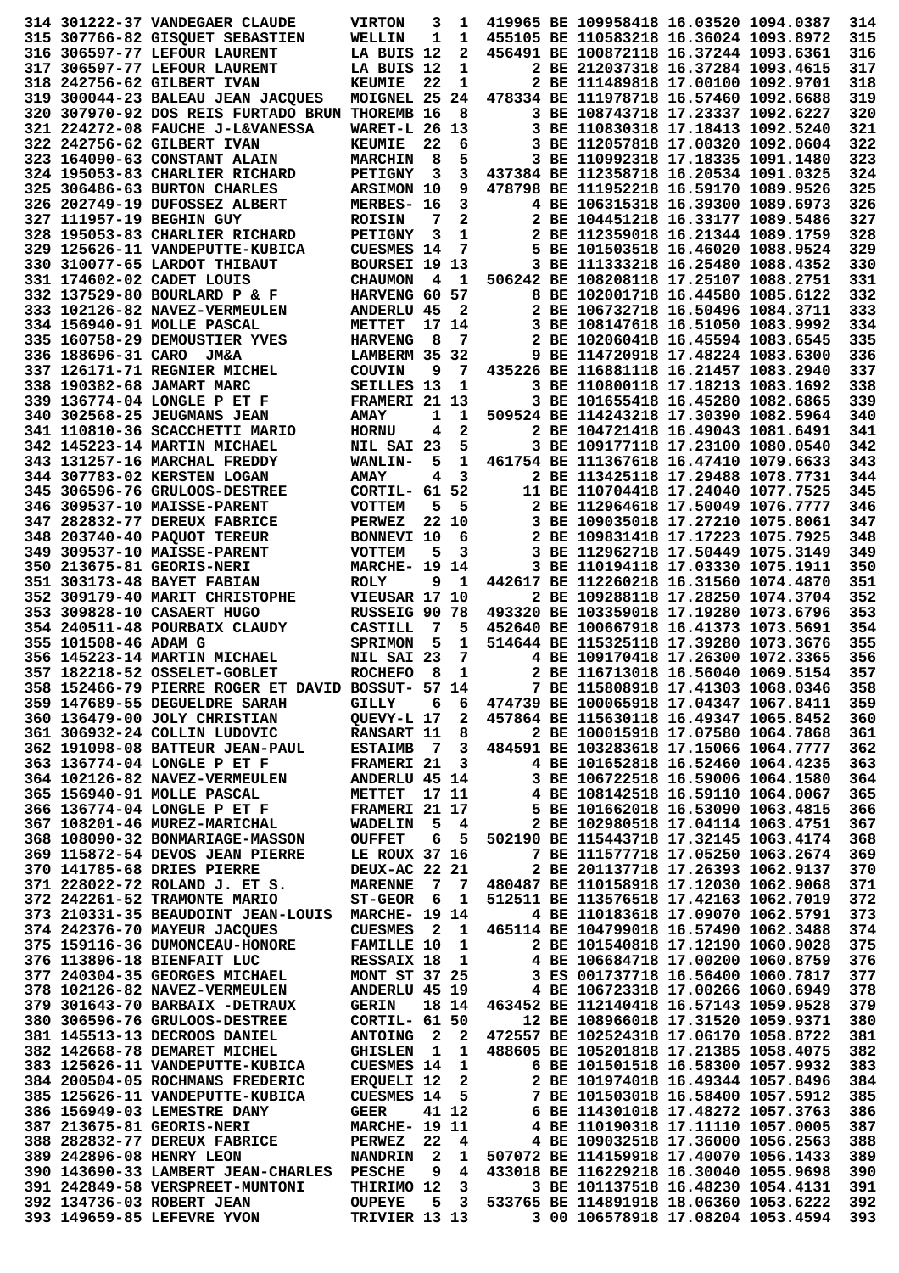|                      | 314 301222-37 VANDEGAER CLAUDE                          | <b>VIRTON</b>                  | 3              | 1                       |                                            | 419965 BE 109958418 16.03520 1094.0387 |  | 314        |
|----------------------|---------------------------------------------------------|--------------------------------|----------------|-------------------------|--------------------------------------------|----------------------------------------|--|------------|
|                      | 315 307766-82 GISQUET SEBASTIEN                         | WELLIN                         | 1              | 1                       |                                            | 455105 BE 110583218 16.36024 1093.8972 |  | 315        |
|                      |                                                         |                                |                |                         |                                            |                                        |  |            |
|                      | 316 306597-77 LEFOUR LAURENT                            | LA BUIS 12                     |                | 2                       |                                            | 456491 BE 100872118 16.37244 1093.6361 |  | 316        |
|                      | 317 306597-77 LEFOUR LAURENT                            | LA BUIS 12                     |                | 1                       |                                            | 2 BE 212037318 16.37284 1093.4615      |  | 317        |
|                      | 318 242756-62 GILBERT IVAN                              | <b>KEUMIE</b>                  | 22             | 1                       |                                            | 2 BE 111489818 17.00100 1092.9701      |  | 318        |
|                      | 319 300044-23 BALEAU JEAN JACOUES                       | MOIGNEL 25                     |                | 24                      |                                            | 478334 BE 111978718 16.57460 1092.6688 |  | 319        |
|                      | 320 307970-92 DOS REIS FURTADO BRUN THOREMB 16          |                                |                | 8                       |                                            | 3 BE 108743718 17.23337 1092.6227      |  | 320        |
|                      | 321 224272-08 FAUCHE J-L&VANESSA                        | <b>WARET-L 26 13</b>           |                |                         |                                            | 3 BE 110830318 17.18413 1092.5240      |  | 321        |
|                      |                                                         |                                |                |                         |                                            |                                        |  |            |
|                      | 322 242756-62 GILBERT IVAN                              | <b>KEUMIE</b>                  | 22             | 6                       |                                            | 3 BE 112057818 17.00320 1092.0604      |  | 322        |
|                      | 323 164090-63 CONSTANT ALAIN                            | <b>MARCHIN</b>                 | 8              | 5                       |                                            | 3 BE 110992318 17.18335 1091.1480      |  | 323        |
|                      | 324 195053-83 CHARLIER RICHARD                          | <b>PETIGNY</b>                 | 3              | 3                       | 437384 BE 112358718 16.20534 1091.0325     |                                        |  | 324        |
|                      | 325 306486-63 BURTON CHARLES                            | <b>ARSIMON 10</b>              |                | 9                       |                                            | 478798 BE 111952218 16.59170 1089.9526 |  | 325        |
|                      | 326 202749-19 DUFOSSEZ ALBERT                           |                                |                | 3                       |                                            | 4 BE 106315318 16.39300 1089.6973      |  | 326        |
|                      |                                                         | MERBES- 16                     |                |                         |                                            |                                        |  |            |
|                      | 327 111957-19 BEGHIN GUY                                | <b>ROISIN</b>                  | 7              | 2                       |                                            | 2 BE 104451218 16.33177 1089.5486      |  | 327        |
|                      | 328 195053-83 CHARLIER RICHARD                          | <b>PETIGNY</b>                 | 3              | 1                       |                                            | 2 BE 112359018 16.21344 1089.1759      |  | 328        |
|                      | 329 125626-11 VANDEPUTTE-KUBICA                         | <b>CUESMES 14</b>              |                | 7                       |                                            | 5 BE 101503518 16.46020 1088.9524      |  | 329        |
|                      | 330 310077-65 LARDOT THIBAUT                            | BOURSEI 19 13                  |                |                         |                                            | 3 BE 111333218 16.25480 1088.4352      |  | 330        |
|                      |                                                         |                                |                | $\mathbf{1}$            |                                            | 506242 BE 108208118 17.25107 1088.2751 |  | 331        |
|                      | 331 174602-02 CADET LOUIS                               | <b>CHAUMON</b>                 | $\overline{4}$ |                         |                                            |                                        |  |            |
|                      | 332 137529-80 BOURLARD P & F                            | HARVENG 60 57                  |                |                         |                                            | 8 BE 102001718 16.44580 1085.6122      |  | 332        |
|                      | 333 102126-82 NAVEZ-VERMEULEN                           | <b>ANDERLU 45</b>              |                | $\mathbf{2}$            |                                            | 2 BE 106732718 16.50496 1084.3711      |  | 333        |
|                      | 334 156940-91 MOLLE PASCAL                              | METTET                         |                | 17 14                   |                                            | 3 BE 108147618 16.51050 1083.9992      |  | 334        |
|                      | 335 160758-29 DEMOUSTIER YVES                           | <b>HARVENG</b>                 | 8              | 7                       |                                            | 2 BE 102060418 16.45594 1083.6545      |  | 335        |
|                      |                                                         |                                |                |                         |                                            | 9 BE 114720918 17.48224 1083.6300      |  | 336        |
| 336 188696-31 CARO   | <b>JM&amp;A</b>                                         | LAMBERM 35                     |                | - 32                    |                                            |                                        |  |            |
|                      | 337 126171-71 REGNIER MICHEL                            | <b>COUVIN</b>                  | 9              | -7                      |                                            | 435226 BE 116881118 16.21457 1083.2940 |  | 337        |
|                      | 338 190382-68 JAMART MARC                               | SEILLES 13                     |                | 1                       |                                            | 3 BE 110800118 17.18213 1083.1692      |  | 338        |
|                      | 339 136774-04 LONGLE P ET F                             | FRAMERI 21 13                  |                |                         |                                            | 3 BE 101655418 16.45280 1082.6865      |  | 339        |
|                      | 340 302568-25 JEUGMANS JEAN                             | <b>AMAY</b>                    | 1              | 1                       |                                            | 509524 BE 114243218 17.30390 1082.5964 |  | 340        |
|                      |                                                         |                                |                |                         |                                            |                                        |  |            |
|                      | 341 110810-36 SCACCHETTI MARIO                          | <b>HORNU</b>                   | 4              | 2                       |                                            | 2 BE 104721418 16.49043 1081.6491      |  | 341        |
|                      | 342 145223-14 MARTIN MICHAEL                            | NIL SAI 23                     |                | 5                       |                                            | 3 BE 109177118 17.23100 1080.0540      |  | 342        |
|                      | 343 131257-16 MARCHAL FREDDY                            | <b>WANLIN-</b>                 | 5              | 1                       |                                            | 461754 BE 111367618 16.47410 1079.6633 |  | 343        |
|                      | 344 307783-02 KERSTEN LOGAN                             | <b>AMAY</b>                    | 4              | 3                       |                                            | 2 BE 113425118 17.29488 1078.7731      |  | 344        |
|                      | 345 306596-76 GRULOOS-DESTREE                           | CORTIL- 61 52                  |                |                         |                                            | 11 BE 110704418 17.24040 1077.7525     |  | 345        |
|                      |                                                         |                                |                |                         |                                            |                                        |  |            |
|                      | 346 309537-10 MAISSE-PARENT                             | <b>VOTTEM</b>                  | 5              | 5                       |                                            | 2 BE 112964618 17.50049 1076.7777      |  | 346        |
|                      | 347 282832-77 DEREUX FABRICE                            | <b>PERWEZ</b>                  |                | 22 10                   |                                            | 3 BE 109035018 17.27210 1075.8061      |  | 347        |
|                      | 348 203740-40 PAQUOT TEREUR                             | BONNEVI 10                     |                | 6                       |                                            | 2 BE 109831418 17.17223 1075.7925      |  | 348        |
|                      | 349 309537-10 MAISSE-PARENT                             | <b>VOTTEM</b>                  | 5              | 3                       |                                            | 3 BE 112962718 17.50449 1075.3149      |  | 349        |
|                      | 350 213675-81 GEORIS-NERI                               | <b>MARCHE- 19 14</b>           |                |                         |                                            | 3 BE 110194118 17.03330 1075.1911      |  | 350        |
|                      |                                                         |                                |                |                         |                                            |                                        |  |            |
|                      | 351 303173-48 BAYET FABIAN                              | <b>ROLY</b>                    | 9              | 1                       |                                            | 442617 BE 112260218 16.31560 1074.4870 |  | 351        |
|                      | 352 309179-40 MARIT CHRISTOPHE                          | VIEUSAR 17 10                  |                |                         |                                            | 2 BE 109288118 17.28250 1074.3704      |  | 352        |
|                      | 353 309828-10 CASAERT HUGO                              | RUSSEIG 90 78                  |                |                         |                                            | 493320 BE 103359018 17.19280 1073.6796 |  | 353        |
|                      | 354 240511-48 POURBAIX CLAUDY                           | <b>CASTILL</b>                 | 7              | 5                       |                                            | 452640 BE 100667918 16.41373 1073.5691 |  | 354        |
| 355 101508-46 ADAM G |                                                         |                                | 5              | 1                       |                                            | 514644 BE 115325118 17.39280 1073.3676 |  | 355        |
|                      |                                                         | <b>SPRIMON</b>                 |                |                         |                                            |                                        |  |            |
|                      | 356 145223-14 MARTIN MICHAEL                            | NIL SAI 23                     |                | 7                       |                                            | 4 BE 109170418 17.26300 1072.3365      |  | 356        |
|                      | 357 182218-52 OSSELET-GOBLET                            | <b>ROCHEFO</b>                 | 8              | 1                       |                                            | 2 BE 116713018 16.56040 1069.5154      |  | 357        |
|                      | 358 152466-79 PIERRE ROGER ET DAVID BOSSUT- 57 14       |                                |                |                         |                                            | 7 BE 115808918 17.41303 1068.0346      |  | 358        |
|                      | 359 147689-55 DEGUELDRE SARAH                           | GILLY 6 6                      |                |                         | 474739 BE 100065918 17.04347 1067.8411     |                                        |  | 359        |
|                      |                                                         |                                |                |                         |                                            |                                        |  | 360        |
|                      |                                                         |                                |                |                         |                                            |                                        |  |            |
|                      | 360 136479-00 JOLY CHRISTIAN                            | QUEVY-L 17 2                   |                |                         | 457864 BE 115630118 16.49347 1065.8452     |                                        |  |            |
|                      | 361 306932-24 COLLIN LUDOVIC                            | <b>RANSART 11</b>              |                | - 8                     |                                            | 2 BE 100015918 17.07580 1064.7868      |  | 361        |
|                      | 362 191098-08 BATTEUR JEAN-PAUL                         | <b>ESTAIMB</b>                 | $\overline{7}$ |                         | 3 484591 BE 103283618 17.15066 1064.7777   |                                        |  | 362        |
|                      | 363 136774-04 LONGLE P ET F                             | <b>FRAMERI 21</b>              |                | $\overline{\mathbf{3}}$ |                                            |                                        |  |            |
|                      |                                                         |                                |                |                         |                                            | 4 BE 101652818 16.52460 1064.4235      |  | 363        |
|                      | 364 102126-82 NAVEZ-VERMEULEN                           | <b>ANDERLU 45 14</b>           |                |                         |                                            | 3 BE 106722518 16.59006 1064.1580      |  | 364        |
|                      | 365 156940-91 MOLLE PASCAL                              | <b>METTET</b>                  |                | 17 11                   |                                            | 4 BE 108142518 16.59110 1064.0067      |  | 365        |
|                      | 366 136774-04 LONGLE P ET F                             | FRAMERI 21 17                  |                |                         |                                            | 5 BE 101662018 16.53090 1063.4815      |  | 366        |
|                      | 367 108201-46 MUREZ-MARICHAL                            | WADELIN 5 4                    |                |                         |                                            | 2 BE 102980518 17.04114 1063.4751      |  | 367        |
|                      | 368 108090-32 BONMARIAGE-MASSON                         | <b>OUFFET</b>                  |                |                         | 6 5 502190 BE 115443718 17.32145 1063.4174 |                                        |  | 368        |
|                      | 369 115872-54 DEVOS JEAN PIERRE                         |                                |                |                         |                                            |                                        |  |            |
|                      |                                                         | LE ROUX 37 16                  |                |                         |                                            | 7 BE 111577718 17.05250 1063.2674      |  | 369        |
|                      | 370 141785-68 DRIES PIERRE                              | <b>DEUX-AC 22 21</b>           |                |                         |                                            | 2 BE 201137718 17.26393 1062.9137      |  | 370        |
|                      | 371 228022-72 ROLAND J. ET S.                           | <b>MARENNE</b>                 |                | 7 7                     | 480487 BE 110158918 17.12030 1062.9068     |                                        |  | 371        |
|                      | 372 242261-52 TRAMONTE MARIO                            | $ST-GEOR$ 6                    |                | $\mathbf{1}$            |                                            | 512511 BE 113576518 17.42163 1062.7019 |  | 372        |
|                      | 373 210331-35 BEAUDOINT JEAN-LOUIS                      | <b>MARCHE- 19 14</b>           |                |                         |                                            | 4 BE 110183618 17.09070 1062.5791      |  | 373        |
|                      | 374 242376-70 MAYEUR JACQUES                            | CUESMES <sub>2</sub>           |                | $\mathbf{1}$            | 465114 BE 104799018 16.57490 1062.3488     |                                        |  | 374        |
|                      |                                                         |                                |                |                         |                                            |                                        |  |            |
|                      | 375 159116-36 DUMONCEAU-HONORE                          | <b>FAMILLE 10</b>              |                | $\mathbf{1}$            |                                            | 2 BE 101540818 17.12190 1060.9028      |  | 375        |
|                      | 376 113896-18 BIENFAIT LUC                              | RESSAIX 18                     |                | $\mathbf{1}$            |                                            | 4 BE 106684718 17.00200 1060.8759      |  | 376        |
|                      | 377 240304-35 GEORGES MICHAEL                           | <b>MONT ST 37 25</b>           |                |                         |                                            | 3 ES 001737718 16.56400 1060.7817      |  | 377        |
|                      | 378 102126-82 NAVEZ-VERMEULEN                           | ANDERLU 45 19                  |                |                         |                                            | 4 BE 106723318 17.00266 1060.6949      |  | 378        |
|                      | 379 301643-70 BARBAIX -DETRAUX                          | <b>GERIN</b>                   |                | 18 14                   |                                            | 463452 BE 112140418 16.57143 1059.9528 |  | 379        |
|                      |                                                         |                                |                |                         |                                            |                                        |  |            |
|                      | 380 306596-76 GRULOOS-DESTREE                           | <b>CORTIL- 61 50</b>           |                |                         |                                            | 12 BE 108966018 17.31520 1059.9371     |  | 380        |
|                      | 381 145513-13 DECROOS DANIEL                            | <b>ANTOING 2</b>               |                |                         | 2 472557 BE 102524318 17.06170 1058.8722   |                                        |  | 381        |
|                      | 382 142668-78 DEMARET MICHEL                            | GHISLEN 1 1                    |                |                         | 488605 BE 105201818 17.21385 1058.4075     |                                        |  | 382        |
|                      | 383 125626-11 VANDEPUTTE-KUBICA                         | <b>CUESMES 14</b>              |                | $\mathbf{1}$            |                                            | 6 BE 101501518 16.58300 1057.9932      |  | 383        |
|                      | 384 200504-05 ROCHMANS FREDERIC                         | ERQUELI 12                     |                | $\overline{\mathbf{2}}$ |                                            | 2 BE 101974018 16.49344 1057.8496      |  | 384        |
|                      | 385 125626-11 VANDEPUTTE-KUBICA                         |                                |                |                         |                                            |                                        |  |            |
|                      |                                                         | <b>CUESMES 14</b>              |                | $-5$                    | 7 BE 101503018 16.58400 1057.5912          |                                        |  | 385        |
|                      | 386 156949-03 LEMESTRE DANY                             | <b>GEER</b>                    |                | 41 12                   | 6 BE 114301018 17.48272 1057.3763          |                                        |  | 386        |
|                      | 387 213675-81 GEORIS-NERI                               | <b>MARCHE- 19 11</b>           |                |                         |                                            | 4 BE 110190318 17.11110 1057.0005      |  | 387        |
|                      | 388 282832-77 DEREUX FABRICE                            | <b>PERWEZ</b>                  | 22             | $\overline{4}$          |                                            | 4 BE 109032518 17.36000 1056.2563      |  | 388        |
|                      | 389 242896-08 HENRY LEON                                | NANDRIN <sub>2</sub>           |                | $\mathbf{1}$            |                                            | 507072 BE 114159918 17.40070 1056.1433 |  | 389        |
|                      | 390 143690-33 LAMBERT JEAN-CHARLES                      | <b>PESCHE</b>                  |                | $9 \quad 4$             | 433018 BE 116229218 16.30040 1055.9698     |                                        |  | 390        |
|                      |                                                         |                                |                |                         |                                            |                                        |  |            |
|                      | 391 242849-58 VERSPREET-MUNTONI                         | THIRIMO 12 3                   |                |                         |                                            | 3 BE 101137518 16.48230 1054.4131      |  | 391        |
|                      | 392 134736-03 ROBERT JEAN<br>393 149659-85 LEFEVRE YVON | <b>OUPEYE</b><br>TRIVIER 13 13 |                |                         | 5 3 533765 BE 114891918 18.06360 1053.6222 | 3 00 106578918 17.08204 1053.4594      |  | 392<br>393 |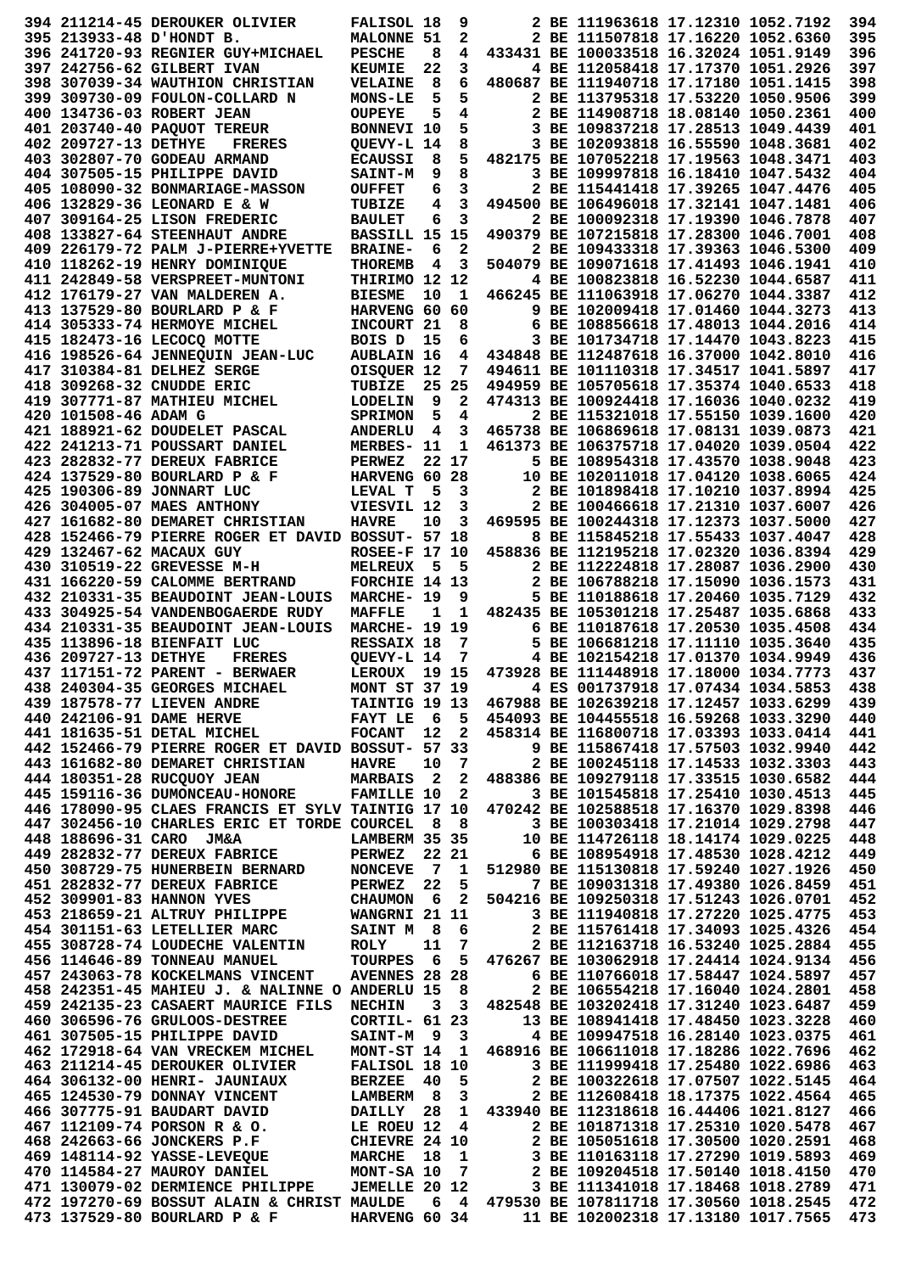|                      | 394 211214-45 DEROUKER OLIVIER                                                                                                                                                                            | <b>FALISOL 18</b>                     |    | 9                       |                                                                                                | 2 BE 111963618 17.12310 1052.7192      |  | 394        |
|----------------------|-----------------------------------------------------------------------------------------------------------------------------------------------------------------------------------------------------------|---------------------------------------|----|-------------------------|------------------------------------------------------------------------------------------------|----------------------------------------|--|------------|
|                      | 395 213933-48 D'HONDT B.                                                                                                                                                                                  | <b>MALONNE 51</b>                     |    | 2                       |                                                                                                | 2 BE 111507818 17.16220 1052.6360      |  | 395        |
|                      |                                                                                                                                                                                                           |                                       |    |                         |                                                                                                |                                        |  |            |
|                      | 396 241720-93 REGNIER GUY+MICHAEL                                                                                                                                                                         | <b>PESCHE</b>                         | 8  | 4                       |                                                                                                | 433431 BE 100033518 16.32024 1051.9149 |  | 396        |
|                      | 397 242756-62 GILBERT IVAN                                                                                                                                                                                | <b>KEUMIE</b>                         | 22 | 3                       |                                                                                                | 4 BE 112058418 17.17370 1051.2926      |  | 397        |
|                      | 398 307039-34 WAUTHION CHRISTIAN                                                                                                                                                                          | <b>VELAINE</b>                        | 8  | 6                       |                                                                                                | 480687 BE 111940718 17.17180 1051.1415 |  | 398        |
|                      | 399 309730-09 FOULON-COLLARD N                                                                                                                                                                            | <b>MONS-LE</b>                        | 5  | 5                       |                                                                                                | 2 BE 113795318 17.53220 1050.9506      |  | 399        |
|                      | 400 134736-03 ROBERT JEAN                                                                                                                                                                                 | <b>OUPEYE</b>                         | 5  | 4                       |                                                                                                | 2 BE 114908718 18.08140 1050.2361      |  | 400        |
|                      | 401 203740-40 PAQUOT TEREUR                                                                                                                                                                               | BONNEVI 10                            |    | 5                       |                                                                                                | 3 BE 109837218 17.28513 1049.4439      |  | 401        |
|                      |                                                                                                                                                                                                           |                                       |    |                         |                                                                                                |                                        |  |            |
| 402 209727-13 DETHYE | <b>FRERES</b>                                                                                                                                                                                             | QUEVY-L 14                            |    | 8                       |                                                                                                | 3 BE 102093818 16.55590 1048.3681      |  | 402        |
|                      | 403 302807-70 GODEAU ARMAND                                                                                                                                                                               | <b>ECAUSSI</b>                        | 8  | 5                       |                                                                                                | 482175 BE 107052218 17.19563 1048.3471 |  | 403        |
|                      | 404 307505-15 PHILIPPE DAVID                                                                                                                                                                              | <b>SAINT-M</b>                        | 9  | 8                       |                                                                                                | 3 BE 109997818 16.18410 1047.5432      |  | 404        |
|                      | 405 108090-32 BONMARIAGE-MASSON                                                                                                                                                                           | <b>OUFFET</b>                         | 6  | 3                       |                                                                                                | 2 BE 115441418 17.39265 1047.4476      |  | 405        |
|                      | 406 132829-36 LEONARD E & W                                                                                                                                                                               | <b>TUBIZE</b>                         | 4  | 3                       |                                                                                                | 494500 BE 106496018 17.32141 1047.1481 |  | 406        |
|                      |                                                                                                                                                                                                           |                                       |    |                         |                                                                                                |                                        |  |            |
|                      | 407 309164-25 LISON FREDERIC                                                                                                                                                                              | <b>BAULET</b>                         | 6  | 3                       |                                                                                                | 2 BE 100092318 17.19390 1046.7878      |  | 407        |
|                      | 408 133827-64 STEENHAUT ANDRE                                                                                                                                                                             | BASSILL 15 15                         |    |                         |                                                                                                | 490379 BE 107215818 17.28300 1046.7001 |  | 408        |
|                      | 409 226179-72 PALM J-PIERRE+YVETTE                                                                                                                                                                        | <b>BRAINE-</b>                        | 6  | 2                       |                                                                                                | 2 BE 109433318 17.39363 1046.5300      |  | 409        |
|                      | 410 118262-19 HENRY DOMINIQUE                                                                                                                                                                             | <b>THOREMB</b>                        | 4  | 3                       |                                                                                                | 504079 BE 109071618 17.41493 1046.1941 |  | 410        |
|                      | 411 242849-58 VERSPREET-MUNTONI                                                                                                                                                                           | THIRIMO 12 12                         |    |                         |                                                                                                | 4 BE 100823818 16.52230 1044.6587      |  | 411        |
|                      | 412 176179-27 VAN MALDEREN A.                                                                                                                                                                             | <b>BIESME</b>                         | 10 | 1                       |                                                                                                | 466245 BE 111063918 17.06270 1044.3387 |  | 412        |
|                      |                                                                                                                                                                                                           |                                       |    |                         |                                                                                                |                                        |  |            |
|                      | 413 137529-80 BOURLARD P & F                                                                                                                                                                              | HARVENG 60 60                         |    |                         |                                                                                                | 9 BE 102009418 17.01460 1044.3273      |  | 413        |
|                      | 414 305333-74 HERMOYE MICHEL                                                                                                                                                                              | INCOURT 21                            |    | 8                       |                                                                                                | 6 BE 108856618 17.48013 1044.2016      |  | 414        |
|                      | 415 182473-16 LECOCO MOTTE                                                                                                                                                                                | BOIS D                                | 15 | 6                       |                                                                                                | 3 BE 101734718 17.14470 1043.8223      |  | 415        |
|                      | 416 198526-64 JENNEQUIN JEAN-LUC                                                                                                                                                                          | <b>AUBLAIN 16</b>                     |    | 4                       | 434848 BE 112487618 16.37000 1042.8010                                                         |                                        |  | 416        |
|                      | 417 310384-81 DELHEZ SERGE                                                                                                                                                                                | OISQUER 12                            |    | 7                       |                                                                                                | 494611 BE 101110318 17.34517 1041.5897 |  | 417        |
|                      |                                                                                                                                                                                                           |                                       |    |                         |                                                                                                | 494959 BE 105705618 17.35374 1040.6533 |  | 418        |
|                      | 418 309268-32 CNUDDE ERIC                                                                                                                                                                                 | TUBIZE                                |    | 25 25                   |                                                                                                |                                        |  |            |
|                      | 419 307771-87 MATHIEU MICHEL                                                                                                                                                                              | <b>LODELIN</b>                        | 9  | $\mathbf{2}$            |                                                                                                | 474313 BE 100924418 17.16036 1040.0232 |  | 419        |
| 420 101508-46 ADAM G |                                                                                                                                                                                                           | <b>SPRIMON</b>                        | 5  | 4                       |                                                                                                | 2 BE 115321018 17.55150 1039.1600      |  | 420        |
|                      | 421 188921-62 DOUDELET PASCAL                                                                                                                                                                             | <b>ANDERLU</b>                        | 4  | 3                       |                                                                                                | 465738 BE 106869618 17.08131 1039.0873 |  | 421        |
|                      | 422 241213-71 POUSSART DANIEL                                                                                                                                                                             | MERBES- 11                            |    | 1                       |                                                                                                | 461373 BE 106375718 17.04020 1039.0504 |  | 422        |
|                      | 423 282832-77 DEREUX FABRICE                                                                                                                                                                              | PERWEZ                                |    | 22 17                   |                                                                                                | 5 BE 108954318 17.43570 1038.9048      |  | 423        |
|                      |                                                                                                                                                                                                           |                                       |    |                         |                                                                                                |                                        |  |            |
|                      | 424 137529-80 BOURLARD P & F                                                                                                                                                                              | HARVENG 60 28                         |    |                         |                                                                                                | 10 BE 102011018 17.04120 1038.6065     |  | 424        |
|                      | 425 190306-89 JONNART LUC                                                                                                                                                                                 | LEVAL T                               | 5  | 3                       |                                                                                                | 2 BE 101898418 17.10210 1037.8994      |  | 425        |
|                      | 426 304005-07 MAES ANTHONY                                                                                                                                                                                | VIESVIL 12                            |    | 3                       |                                                                                                | 2 BE 100466618 17.21310 1037.6007      |  | 426        |
|                      | 427 161682-80 DEMARET CHRISTIAN                                                                                                                                                                           | <b>HAVRE</b>                          | 10 | 3                       |                                                                                                | 469595 BE 100244318 17.12373 1037.5000 |  | 427        |
|                      | 428 152466-79 PIERRE ROGER ET DAVID BOSSUT- 57 18                                                                                                                                                         |                                       |    |                         |                                                                                                | 8 BE 115845218 17.55433 1037.4047      |  | 428        |
|                      | 429 132467-62 MACAUX GUY                                                                                                                                                                                  | <b>ROSEE-F 17 10</b>                  |    |                         |                                                                                                | 458836 BE 112195218 17.02320 1036.8394 |  | 429        |
|                      |                                                                                                                                                                                                           |                                       |    |                         |                                                                                                |                                        |  |            |
|                      | 430 310519-22 GREVESSE M-H                                                                                                                                                                                | <b>MELREUX</b>                        | 5  | 5                       |                                                                                                | 2 BE 112224818 17.28087 1036.2900      |  | 430        |
|                      | 431 166220-59 CALOMME BERTRAND                                                                                                                                                                            | FORCHIE 14 13                         |    |                         |                                                                                                | 2 BE 106788218 17.15090 1036.1573      |  | 431        |
|                      | 432 210331-35 BEAUDOINT JEAN-LOUIS                                                                                                                                                                        | MARCHE- 19                            |    | 9                       |                                                                                                | 5 BE 110188618 17.20460 1035.7129      |  | 432        |
|                      | 433 304925-54 VANDENBOGAERDE RUDY                                                                                                                                                                         | <b>MAFFLE</b>                         | 1  | 1                       |                                                                                                | 482435 BE 105301218 17.25487 1035.6868 |  | 433        |
|                      | 434 210331-35 BEAUDOINT JEAN-LOUIS                                                                                                                                                                        | <b>MARCHE- 19 19</b>                  |    |                         |                                                                                                | 6 BE 110187618 17.20530 1035.4508      |  | 434        |
|                      | 435 113896-18 BIENFAIT LUC                                                                                                                                                                                | RESSAIX 18                            |    | 7                       |                                                                                                | 5 BE 106681218 17.11110 1035.3640      |  | 435        |
|                      |                                                                                                                                                                                                           |                                       |    |                         |                                                                                                |                                        |  |            |
|                      |                                                                                                                                                                                                           |                                       |    |                         |                                                                                                |                                        |  |            |
| 436 209727-13 DETHYE | <b>FRERES</b>                                                                                                                                                                                             | <b>OUEVY-L 14</b>                     |    | 7                       |                                                                                                | 4 BE 102154218 17.01370 1034.9949      |  | 436        |
|                      | 437 117151-72 PARENT - BERWAER                                                                                                                                                                            | LEROUX                                |    | 19 15                   |                                                                                                | 473928 BE 111448918 17.18000 1034.7773 |  | 437        |
|                      |                                                                                                                                                                                                           |                                       |    |                         |                                                                                                |                                        |  | 438        |
|                      |                                                                                                                                                                                                           |                                       |    |                         |                                                                                                |                                        |  | 439        |
|                      |                                                                                                                                                                                                           |                                       |    |                         |                                                                                                |                                        |  | 440        |
|                      |                                                                                                                                                                                                           |                                       |    |                         |                                                                                                |                                        |  | 441        |
|                      | 4 240304-35 GEORGES MICHAEL MONT ST 37 19<br>4 242106-91 DAME HERVE TAINTIG 19 13 467988 BE 102639218 17.12457 1033.6299<br>441 181635-51 DETAL MICHEL FOCANT 12 2 458314 BE 116800718 17.03393 1033.0414 |                                       |    |                         |                                                                                                |                                        |  |            |
|                      | 442 152466-79 PIERRE ROGER ET DAVID BOSSUT- 57 33                                                                                                                                                         |                                       |    |                         |                                                                                                | 9 BE 115867418 17.57503 1032.9940      |  | 442        |
|                      | 443 161682-80 DEMARET CHRISTIAN                                                                                                                                                                           | <b>HAVRE</b>                          | 10 | $\overline{7}$          |                                                                                                | 2 BE 100245118 17.14533 1032.3303      |  | 443        |
|                      | 444 180351-28 RUCQUOY JEAN                                                                                                                                                                                | <b>MARBAIS</b> 2 2                    |    |                         | 488386 BE 109279118 17.33515 1030.6582                                                         |                                        |  | 444        |
|                      | 445 159116-36 DUMONCEAU-HONORE FAMILLE 10                                                                                                                                                                 |                                       |    | $\overline{\mathbf{2}}$ |                                                                                                | 3 BE 101545818 17.25410 1030.4513      |  | 445        |
|                      | 446 178090-95 CLAES FRANCIS ET SYLV TAINTIG 17 10                                                                                                                                                         |                                       |    |                         | 470242 BE 102588518 17.16370 1029.8398                                                         |                                        |  | 446        |
|                      | 447 302456-10 CHARLES ERIC ET TORDE COURCEL 8                                                                                                                                                             |                                       |    | - 8                     | 3 BE 100303418 17.21014 1029.2798                                                              |                                        |  | 447        |
|                      | 448 188696-31 CARO JM&A                                                                                                                                                                                   |                                       |    |                         |                                                                                                |                                        |  |            |
|                      |                                                                                                                                                                                                           | LAMBERM 35 35                         |    |                         | 10 BE 114726118 18.14174 1029.0225                                                             |                                        |  | 448        |
|                      | 449 282832-77 DEREUX FABRICE                                                                                                                                                                              | <b>PERWEZ</b>                         |    | 22 21                   | 6 BE 108954918 17.48530 1028.4212                                                              |                                        |  | 449        |
|                      | 450 308729-75 HUNERBEIN BERNARD NONCEVE                                                                                                                                                                   |                                       |    | 7 1                     | 512980 BE 115130818 17.59240 1027.1926                                                         |                                        |  | 450        |
|                      | 451 282832-77 DEREUX FABRICE                                                                                                                                                                              |                                       |    | 5                       |                                                                                                | 7 BE 109031318 17.49380 1026.8459      |  | 451        |
|                      | 452 309901-83 HANNON YVES                                                                                                                                                                                 | <b>PERWEZ    22<br/>CHAUMON     6</b> |    | $\overline{\mathbf{2}}$ | 504216 BE 109250318 17.51243 1026.0701                                                         |                                        |  | 452        |
|                      |                                                                                                                                                                                                           |                                       |    |                         | 3 BE 111940818 17.27220 1025.4775                                                              |                                        |  | 453        |
|                      | 453 218659-21 ALTRUY PHILIPPE WANGRNI 21 11                                                                                                                                                               |                                       |    | $6^{\circ}$             |                                                                                                |                                        |  |            |
|                      |                                                                                                                                                                                                           |                                       |    |                         | 2 BE 115761418 17.34093 1025.4326                                                              |                                        |  | 454        |
|                      |                                                                                                                                                                                                           |                                       |    | $\overline{7}$          | 2 BE 112163718 16.53240 1025.2884                                                              |                                        |  | 455        |
|                      | 454 301151-63 LETELLIER MARC SAINT M 8<br>455 308728-74 LOUDECHE VALENTIN ROLY 11<br>456 114646-89 TONNEAU MANUEL TOURPES 6                                                                               |                                       |    |                         | 6 5 476267 BE 103062918 17.24414 1024.9134                                                     |                                        |  | 456        |
|                      | 457 243063-78 KOCKELMANS VINCENT                                                                                                                                                                          | <b>AVENNES 28 28</b>                  |    |                         |                                                                                                | 6 BE 110766018 17.58447 1024.5897      |  | 457        |
|                      | 458 242351-45 MAHIEU J. & NALINNE O ANDERLU 15 8                                                                                                                                                          |                                       |    |                         |                                                                                                | 2 BE 106554218 17.16040 1024.2801      |  | 458        |
|                      | 459 242135-23 CASAERT MAURICE FILS                                                                                                                                                                        | <b>NECHIN</b>                         |    |                         | 3 3 482548 BE 103202418 17.31240 1023.6487                                                     |                                        |  | 459        |
|                      | 460 306596-76 GRULOOS-DESTREE                                                                                                                                                                             | CORTIL- 61 23                         |    |                         |                                                                                                | 13 BE 108941418 17.48450 1023.3228     |  | 460        |
|                      | 461 307505-15 PHILIPPE DAVID                                                                                                                                                                              |                                       |    |                         |                                                                                                |                                        |  |            |
|                      |                                                                                                                                                                                                           |                                       |    |                         | SAINT-M 9 3 4 BE 109947518 16.28140 1023.0375                                                  |                                        |  | 461        |
|                      | 462 172918-64 VAN VRECKEM MICHEL                                                                                                                                                                          |                                       |    |                         | MONT-ST 14 1 468916 BE 106611018 17.18286 1022.7696                                            |                                        |  | 462        |
|                      | 463 211214-45 DEROUKER OLIVIER                                                                                                                                                                            | <b>FALISOL 18 10</b>                  |    |                         |                                                                                                | 3 BE 111999418 17.25480 1022.6986      |  | 463        |
|                      | 464 306132-00 HENRI- JAUNIAUX                                                                                                                                                                             |                                       |    | $5^{\circ}$             |                                                                                                | 2 BE 100322618 17.07507 1022.5145      |  | 464        |
|                      | 465 124530-79 DONNAY VINCENT                                                                                                                                                                              | BERZEE 40<br>LAMBERM 8                |    | $\overline{\mathbf{3}}$ |                                                                                                | 2 BE 112608418 18.17375 1022.4564      |  | 465        |
|                      |                                                                                                                                                                                                           |                                       |    |                         | 1 433940 BE 112318618 16.44406 1021.8127                                                       |                                        |  | 466        |
|                      |                                                                                                                                                                                                           |                                       |    |                         | 2 BE 101871318 17.25310 1020.5478                                                              |                                        |  |            |
|                      |                                                                                                                                                                                                           |                                       |    |                         |                                                                                                |                                        |  | 467        |
|                      | 466 307775-91 BAUDART DAVID<br>467 112109-74 PORSON R & O. LE ROEU 12 4<br>468 242663-66 JONCKERS P.F CHIEVRE 24 10                                                                                       |                                       |    |                         | 2 BE 105051618 17.30500 1020.2591                                                              |                                        |  | 468        |
|                      |                                                                                                                                                                                                           |                                       |    |                         | 3 BE 110163118 17.27290 1019.5893                                                              |                                        |  | 469        |
|                      |                                                                                                                                                                                                           |                                       |    |                         |                                                                                                |                                        |  | 470        |
|                      | 469 148114-92 YASSE-LEVEQUE MARCHE 18 1<br>470 114584-27 MAUROY DANIEL MONT-SA 10 7<br>471 130079-02 DERMIENCE PHILIPPE JEMELLE 20 12                                                                     |                                       |    |                         | 2 BE 109204518 17.50140 1018.4150<br>3 BE 111341018 17.18468 1018.2789                         |                                        |  | 471        |
|                      | 472 197270-69 BOSSUT ALAIN & CHRIST MAULDE<br>473 137529-80 BOURLARD P & F                                                                                                                                |                                       |    |                         | 6 4 479530 BE 107811718 17.30560 1018.2545<br>HARVENG 60 34 11 BE 102002318 17.13180 1017.7565 |                                        |  | 472<br>473 |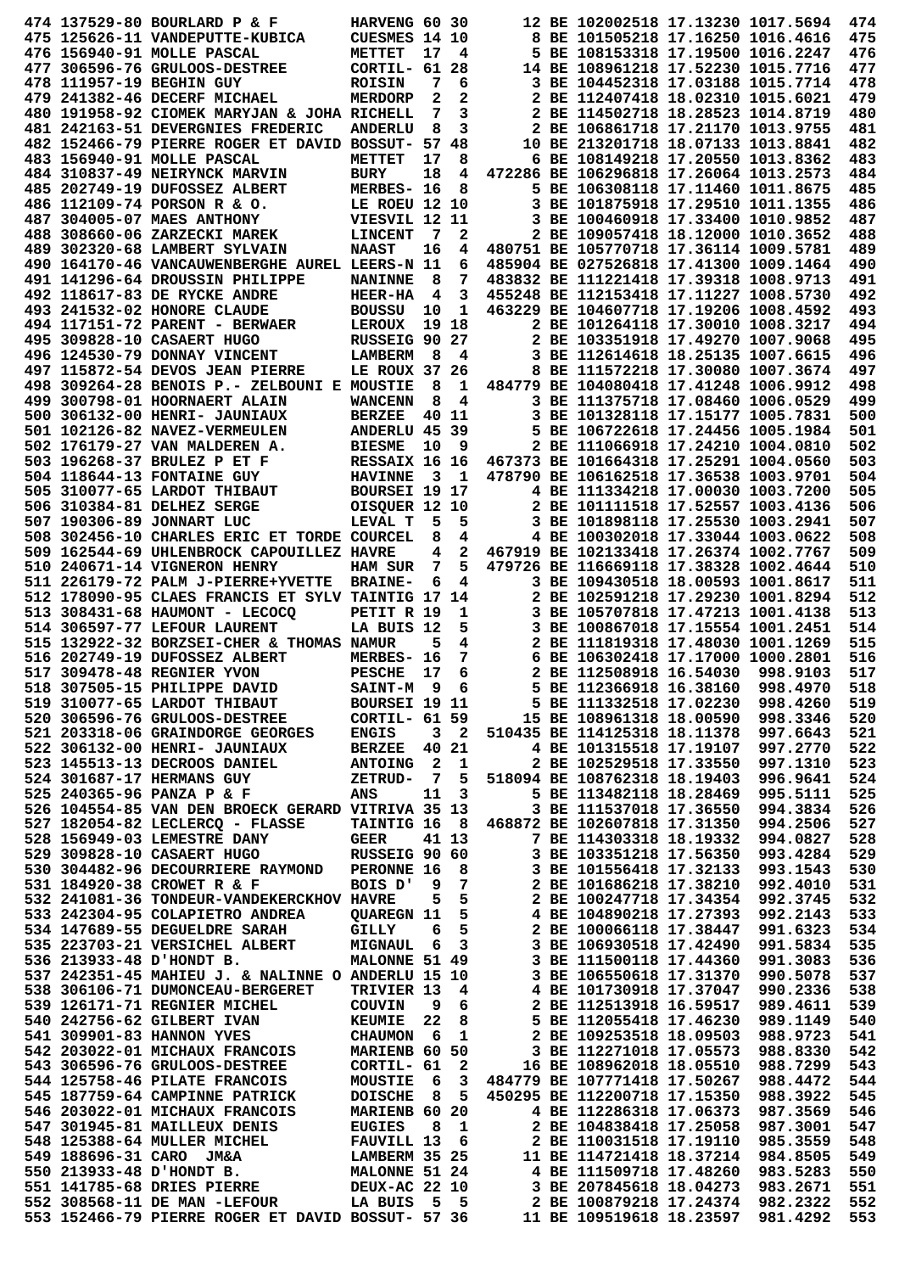|  | 474 137529-80 BOURLARD P & F                                                                                                                                                                                                                 | HARVENG 60 30           |    |                         |                         | 12 BE 102002518 17.13230 1017.5694                 |                                                                                                                     | 474        |
|--|----------------------------------------------------------------------------------------------------------------------------------------------------------------------------------------------------------------------------------------------|-------------------------|----|-------------------------|-------------------------|----------------------------------------------------|---------------------------------------------------------------------------------------------------------------------|------------|
|  | 475 125626-11 VANDEPUTTE-KUBICA                                                                                                                                                                                                              | <b>CUESMES 14 10</b>    |    |                         |                         | 8 BE 101505218 17.16250 1016.4616                  |                                                                                                                     | 475        |
|  | 476 156940-91 MOLLE PASCAL                                                                                                                                                                                                                   | METTET                  | 17 | 4                       |                         | 5 BE 108153318 17.19500 1016.2247                  |                                                                                                                     | 476        |
|  | 477 306596-76 GRULOOS-DESTREE                                                                                                                                                                                                                | CORTIL- 61              |    | 28                      |                         | 14 BE 108961218 17.52230 1015.7716                 |                                                                                                                     | 477        |
|  | 478 111957-19 BEGHIN GUY                                                                                                                                                                                                                     | <b>ROISIN</b>           | 7  | 6                       |                         | 3 BE 104452318 17.03188 1015.7714                  |                                                                                                                     | 478        |
|  | 479 241382-46 DECERF MICHAEL                                                                                                                                                                                                                 | <b>MERDORP</b>          | 2  | 2                       |                         | 2 BE 112407418 18.02310 1015.6021                  |                                                                                                                     | 479        |
|  |                                                                                                                                                                                                                                              |                         |    |                         |                         | 2 BE 114502718 18.28523 1014.8719                  |                                                                                                                     |            |
|  | 480 191958-92 CIOMEK MARYJAN & JOHA RICHELL                                                                                                                                                                                                  |                         | 7  | 3                       |                         |                                                    |                                                                                                                     | 480        |
|  | 481 242163-51 DEVERGNIES FREDERIC                                                                                                                                                                                                            | <b>ANDERLU</b>          | 8  | 3                       |                         | 2 BE 106861718 17.21170 1013.9755                  |                                                                                                                     | 481        |
|  | 482 152466-79 PIERRE ROGER ET DAVID BOSSUT- 57                                                                                                                                                                                               |                         |    | 48                      |                         | 10 BE 213201718 18.07133 1013.8841                 |                                                                                                                     | 482        |
|  | 483 156940-91 MOLLE PASCAL                                                                                                                                                                                                                   | METTET                  | 17 | 8                       |                         | 6 BE 108149218 17.20550 1013.8362                  |                                                                                                                     | 483        |
|  | 484 310837-49 NEIRYNCK MARVIN                                                                                                                                                                                                                | <b>BURY</b>             | 18 | 4                       |                         | 472286 BE 106296818 17.26064 1013.2573             |                                                                                                                     | 484        |
|  | 485 202749-19 DUFOSSEZ ALBERT                                                                                                                                                                                                                | MERBES- 16              |    | 8                       |                         | 5 BE 106308118 17.11460 1011.8675                  |                                                                                                                     | 485        |
|  | 486 112109-74 PORSON R & O.                                                                                                                                                                                                                  | LE ROEU 12 10           |    |                         |                         | 3 BE 101875918 17.29510 1011.1355                  |                                                                                                                     | 486        |
|  | 487 304005-07 MAES ANTHONY                                                                                                                                                                                                                   | VIESVIL 12 11           |    |                         |                         | 3 BE 100460918 17.33400 1010.9852                  |                                                                                                                     | 487        |
|  |                                                                                                                                                                                                                                              |                         |    |                         |                         |                                                    |                                                                                                                     |            |
|  | 488 308660-06 ZARZECKI MAREK                                                                                                                                                                                                                 | <b>LINCENT</b>          | 7  | 2                       |                         | 2 BE 109057418 18.12000 1010.3652                  |                                                                                                                     | 488        |
|  | 489 302320-68 LAMBERT SYLVAIN                                                                                                                                                                                                                | <b>NAAST</b>            | 16 | 4                       |                         | 480751 BE 105770718 17.36114 1009.5781             |                                                                                                                     | 489        |
|  | 490 164170-46 VANCAUWENBERGHE AUREL LEERS-N 11                                                                                                                                                                                               |                         |    | 6                       |                         | 485904 BE 027526818 17.41300 1009.1464             |                                                                                                                     | 490        |
|  | 491 141296-64 DROUSSIN PHILIPPE                                                                                                                                                                                                              | <b>NANINNE</b>          | 8  | 7                       |                         | 483832 BE 111221418 17.39318 1008.9713             |                                                                                                                     | 491        |
|  | 492 118617-83 DE RYCKE ANDRE                                                                                                                                                                                                                 | <b>HEER-HA</b>          | 4  | 3                       |                         | 455248 BE 112153418 17.11227 1008.5730             |                                                                                                                     | 492        |
|  | 493 241532-02 HONORE CLAUDE                                                                                                                                                                                                                  | <b>BOUSSU</b>           | 10 | 1                       |                         | 463229 BE 104607718 17.19206 1008.4592             |                                                                                                                     | 493        |
|  | 494 117151-72 PARENT - BERWAER                                                                                                                                                                                                               | <b>LEROUX</b>           |    | 19 18                   |                         | 2 BE 101264118 17.30010 1008.3217                  |                                                                                                                     | 494        |
|  | 495 309828-10 CASAERT HUGO                                                                                                                                                                                                                   | RUSSEIG 90 27           |    |                         |                         | 2 BE 103351918 17.49270 1007.9068                  |                                                                                                                     | 495        |
|  |                                                                                                                                                                                                                                              |                         |    |                         |                         |                                                    |                                                                                                                     |            |
|  | 496 124530-79 DONNAY VINCENT                                                                                                                                                                                                                 | <b>LAMBERM</b>          | 8  | 4                       |                         | 3 BE 112614618 18.25135 1007.6615                  |                                                                                                                     | 496        |
|  | 497 115872-54 DEVOS JEAN PIERRE                                                                                                                                                                                                              | LE ROUX 37              |    | 26                      |                         | 8 BE 111572218 17.30080 1007.3674                  |                                                                                                                     | 497        |
|  | 498 309264-28 BENOIS P.- ZELBOUNI E MOUSTIE                                                                                                                                                                                                  |                         | 8  | 1                       |                         | 484779 BE 104080418 17.41248 1006.9912             |                                                                                                                     | 498        |
|  | 499 300798-01 HOORNAERT ALAIN                                                                                                                                                                                                                | <b>WANCENN</b>          | 8  | 4                       |                         | 3 BE 111375718 17.08460 1006.0529                  |                                                                                                                     | 499        |
|  | 500 306132-00 HENRI- JAUNIAUX                                                                                                                                                                                                                | <b>BERZEE</b>           |    | 40 11                   |                         | 3 BE 101328118 17.15177 1005.7831                  |                                                                                                                     | 500        |
|  | 501 102126-82 NAVEZ-VERMEULEN                                                                                                                                                                                                                | ANDERLU 45 39           |    |                         |                         | 5 BE 106722618 17.24456 1005.1984                  |                                                                                                                     | 501        |
|  |                                                                                                                                                                                                                                              |                         | 10 | 9                       |                         | 2 BE 111066918 17.24210 1004.0810                  |                                                                                                                     | 502        |
|  | 502 176179-27 VAN MALDEREN A.                                                                                                                                                                                                                | <b>BIESME</b>           |    |                         |                         |                                                    |                                                                                                                     |            |
|  | 503 196268-37 BRULEZ P ET F                                                                                                                                                                                                                  | RESSAIX 16 16           |    |                         |                         | 467373 BE 101664318 17.25291 1004.0560             |                                                                                                                     | 503        |
|  | 504 118644-13 FONTAINE GUY                                                                                                                                                                                                                   | <b>HAVINNE</b>          | 3  | -1                      |                         | 478790 BE 106162518 17.36538 1003.9701             |                                                                                                                     | 504        |
|  | 505 310077-65 LARDOT THIBAUT                                                                                                                                                                                                                 | BOURSEI 19 17           |    |                         |                         | 4 BE 111334218 17.00030 1003.7200                  |                                                                                                                     | 505        |
|  | 506 310384-81 DELHEZ SERGE                                                                                                                                                                                                                   | OISQUER 12 10           |    |                         |                         | 2 BE 101111518 17.52557 1003.4136                  |                                                                                                                     | 506        |
|  | 507 190306-89 JONNART LUC                                                                                                                                                                                                                    | LEVAL T                 | 5  | 5                       |                         | 3 BE 101898118 17.25530 1003.2941                  |                                                                                                                     | 507        |
|  | 508 302456-10 CHARLES ERIC ET TORDE COURCEL                                                                                                                                                                                                  |                         | 8  | 4                       |                         | 4 BE 100302018 17.33044 1003.0622                  |                                                                                                                     | 508        |
|  | 509 162544-69 UHLENBROCK CAPOUILLEZ HAVRE                                                                                                                                                                                                    |                         | 4  | 2                       |                         | 467919 BE 102133418 17.26374 1002.7767             |                                                                                                                     | 509        |
|  |                                                                                                                                                                                                                                              |                         |    | 5                       |                         | 479726 BE 116669118 17.38328 1002.4644             |                                                                                                                     | 510        |
|  | 510 240671-14 VIGNERON HENRY                                                                                                                                                                                                                 | <b>HAM SUR</b>          | 7  |                         |                         |                                                    |                                                                                                                     |            |
|  | 511 226179-72 PALM J-PIERRE+YVETTE                                                                                                                                                                                                           | <b>BRAINE-</b>          | 6  | 4                       |                         | 3 BE 109430518 18.00593 1001.8617                  |                                                                                                                     | 511        |
|  | 512 178090-95 CLAES FRANCIS ET SYLV TAINTIG 17                                                                                                                                                                                               |                         |    | 14                      |                         | 2 BE 102591218 17.29230 1001.8294                  |                                                                                                                     | 512        |
|  | 513 308431-68 HAUMONT - LECOCO                                                                                                                                                                                                               | PETIT R 19              |    | 1                       |                         | 3 BE 105707818 17.47213 1001.4138                  |                                                                                                                     | 513        |
|  | 514 306597-77 LEFOUR LAURENT                                                                                                                                                                                                                 | LA BUIS 12              |    | 5                       |                         | 3 BE 100867018 17.15554 1001.2451                  |                                                                                                                     | 514        |
|  | 515 132922-32 BORZSEI-CHER & THOMAS NAMUR                                                                                                                                                                                                    |                         |    | 4                       |                         |                                                    |                                                                                                                     |            |
|  |                                                                                                                                                                                                                                              |                         |    |                         |                         |                                                    |                                                                                                                     |            |
|  |                                                                                                                                                                                                                                              |                         | 5  |                         |                         |                                                    | 2 BE 111819318 17.48030 1001.1269                                                                                   | 515        |
|  | 516 202749-19 DUFOSSEZ ALBERT                                                                                                                                                                                                                | MERBES- 16              |    | 7                       |                         | 6 BE 106302418 17.17000 1000.2801                  |                                                                                                                     | 516        |
|  | 517 309478-48 REGNIER YVON                                                                                                                                                                                                                   | <b>PESCHE</b>           | 17 | 6                       |                         | 2 BE 112508918 16.54030                            | 998.9103                                                                                                            | 517        |
|  | 518 307505-15 PHILIPPE DAVID                                                                                                                                                                                                                 | <b>SAINT-M</b>          | 9  | 6                       |                         | 5 BE 112366918 16.38160                            | 998.4970                                                                                                            | 518        |
|  |                                                                                                                                                                                                                                              |                         |    |                         |                         |                                                    |                                                                                                                     | 519        |
|  | 519 310077-65 LARDOT THIBAUT<br>520 306596-76 GRULOOS-DESTREE                                                                                                                                                                                |                         |    |                         |                         |                                                    | BOURSEI 19 11 5 BE 111332518 17.02230 998.4260<br>CORTIL- 61 59 15 BE 108961318 18.00590 998.3346                   | 520        |
|  | 521 203318-06 GRAINDORGE GEORGES ENGIS 3 2 510435 BE 114125318 18.11378 997.6643                                                                                                                                                             |                         |    |                         |                         |                                                    |                                                                                                                     | 521        |
|  | 522 306132-00 HENRI- JAUNIAUX                                                                                                                                                                                                                |                         |    |                         |                         |                                                    |                                                                                                                     | 522        |
|  |                                                                                                                                                                                                                                              |                         |    |                         |                         |                                                    |                                                                                                                     |            |
|  | 523 145513-13 DECROOS DANIEL                                                                                                                                                                                                                 |                         |    |                         |                         |                                                    |                                                                                                                     | 523        |
|  | 524 301687-17 HERMANS GUY                                                                                                                                                                                                                    |                         |    |                         |                         |                                                    | BERZEE 40 21<br>ANTOING 2 1<br>ZBE 102529518 17.33550 997.1310<br>ZETRUD- 7 5 518094 BE 108762318 18.19403 996.9641 | 524        |
|  | 525 240365-96 PANZA P & F ANS                                                                                                                                                                                                                |                         |    | $11 \quad 3$            |                         | 5 BE 113482118 18.28469 995.5111                   |                                                                                                                     | 525        |
|  | 526 104554-85 VAN DEN BROECK GERARD VITRIVA 35 13                                                                                                                                                                                            |                         |    |                         |                         |                                                    | 3 BE 111537018 17.36550 994.3834                                                                                    | 526        |
|  | 527 182054-82 LECLERCO - FLASSE                                                                                                                                                                                                              |                         |    |                         |                         | TAINTIG 16 8 468872 BE 102607818 17.31350 994.2506 |                                                                                                                     | 527        |
|  | 528 156949-03 LEMESTRE DANY                                                                                                                                                                                                                  | <b>GEER</b>             |    | 41 13                   |                         | 7 BE 114303318 18.19332                            | 994.0827                                                                                                            | 528        |
|  |                                                                                                                                                                                                                                              |                         |    |                         |                         |                                                    | 3 BE 103351218 17.56350 993.4284                                                                                    | 529        |
|  | 528 156949-03 LEMESTRE DANY GEER 41 13<br>529 309828-10 CASAERT HUGO RUSSEIG 90 60<br>530 304482-96 DECOURRIERE RAYMOND PERONNE 16 8 3 BE 101556418 17.32133 993.1543                                                                        |                         |    |                         |                         |                                                    |                                                                                                                     | 530        |
|  |                                                                                                                                                                                                                                              |                         |    |                         |                         |                                                    |                                                                                                                     |            |
|  | 531 184920-38 CROWET R & F                                                                                                                                                                                                                   |                         |    |                         |                         |                                                    |                                                                                                                     | 531        |
|  | 532 241081-36 TONDEUR-VANDEKERCKHOV HAVRE                                                                                                                                                                                                    |                         |    | $5\quad 5$              |                         |                                                    | 2 BE 100247718 17.34354 992.3745                                                                                    | 532        |
|  | 533 242304-95 COLAPIETRO ANDREA                                                                                                                                                                                                              |                         |    |                         |                         |                                                    | QUAREGN 11 5 4 BE 104890218 17.27393 992.2143                                                                       | 533        |
|  |                                                                                                                                                                                                                                              |                         |    |                         |                         |                                                    |                                                                                                                     | 534        |
|  |                                                                                                                                                                                                                                              |                         |    |                         |                         |                                                    |                                                                                                                     | 535        |
|  | 534 147689-55 DEGUELDRE SARAH GILLY 6 5 2 BE 100066118 17.38447 991.6323<br>535 223703-21 VERSICHEL ALBERT MIGNAUL 6 3 3 BE 106930518 17.42490 991.5834<br>536 213933-48 D'HONDT B. MALONNE 51 49 3 BE 111500118 17.44360 991.3083           |                         |    |                         |                         |                                                    |                                                                                                                     | 536        |
|  |                                                                                                                                                                                                                                              |                         |    |                         |                         |                                                    |                                                                                                                     | 537        |
|  | 537 242351-45 MAHIEU J. & NALINNE O ANDERLU 15 10 3 BE 106550618 17.31370 990.5078<br>538 306106-71 DUMONCEAU-BERGERET                                                                                                                       | TRIVIER 13              |    | $\overline{\mathbf{4}}$ |                         |                                                    | 4 BE 101730918 17.37047 990.2336                                                                                    | 538        |
|  |                                                                                                                                                                                                                                              |                         |    |                         |                         |                                                    |                                                                                                                     |            |
|  | 539 126171-71 REGNIER MICHEL                                                                                                                                                                                                                 | COUVIN                  |    |                         |                         |                                                    | 9 6 2 BE 112513918 16.59517 989.4611                                                                                | 539        |
|  | 540 242756-62 GILBERT IVAN                                                                                                                                                                                                                   |                         |    |                         |                         |                                                    |                                                                                                                     | 540        |
|  | 541 309901-83 HANNON YVES                                                                                                                                                                                                                    |                         |    |                         |                         |                                                    | KEUMIE  22 8 5 BE 112055418 17.46230 989.1149<br>CHAUMON  6 1 2 BE 109253518 18.09503 988.9723                      | 541        |
|  | 542 203022-01 MICHAUX FRANCOIS MARIENB 60 50                                                                                                                                                                                                 |                         |    |                         |                         |                                                    | 3 BE 112271018 17.05573 988.8330                                                                                    | 542        |
|  | 543 306596-76 GRULOOS-DESTREE                                                                                                                                                                                                                |                         |    |                         | $\overline{\mathbf{2}}$ | 16 BE 108962018 18.05510                           | 988.7299                                                                                                            | 543        |
|  | 544 125758-46 PILATE FRANCOIS                                                                                                                                                                                                                | CORTIL- 61<br>MOUSTIE 6 |    |                         |                         |                                                    | MOUSTIE 6 3 484779 BE 107771418 17.50267 988.4472                                                                   | 544        |
|  | 545 187759-64 CAMPINNE PATRICK                                                                                                                                                                                                               |                         |    |                         |                         |                                                    | DOISCHE 8 5 450295 BE 112200718 17.15350 988.3922                                                                   | 545        |
|  |                                                                                                                                                                                                                                              |                         |    |                         |                         |                                                    |                                                                                                                     | 546        |
|  |                                                                                                                                                                                                                                              |                         |    |                         |                         |                                                    |                                                                                                                     |            |
|  |                                                                                                                                                                                                                                              |                         |    |                         |                         |                                                    |                                                                                                                     | 547        |
|  |                                                                                                                                                                                                                                              |                         |    |                         |                         |                                                    |                                                                                                                     | 548        |
|  |                                                                                                                                                                                                                                              |                         |    |                         |                         |                                                    |                                                                                                                     | 549        |
|  |                                                                                                                                                                                                                                              |                         |    |                         |                         |                                                    |                                                                                                                     | 550        |
|  |                                                                                                                                                                                                                                              |                         |    |                         |                         |                                                    |                                                                                                                     | 551        |
|  | 345 167739-64 CAMPINNE PAIRICK<br>546 203022-01 MICHAUX FRANCOIS<br>547 301945-81 MAILLEUX DENIS EUGIES 8 1<br>548 125388-64 MULLER MICHEL<br>548 125388-64 MULLER MICHEL<br>549 188696-31 CARO JM&A<br>549 188696-31 CARO JM&A<br>550 21393 |                         |    |                         |                         |                                                    |                                                                                                                     | 552<br>553 |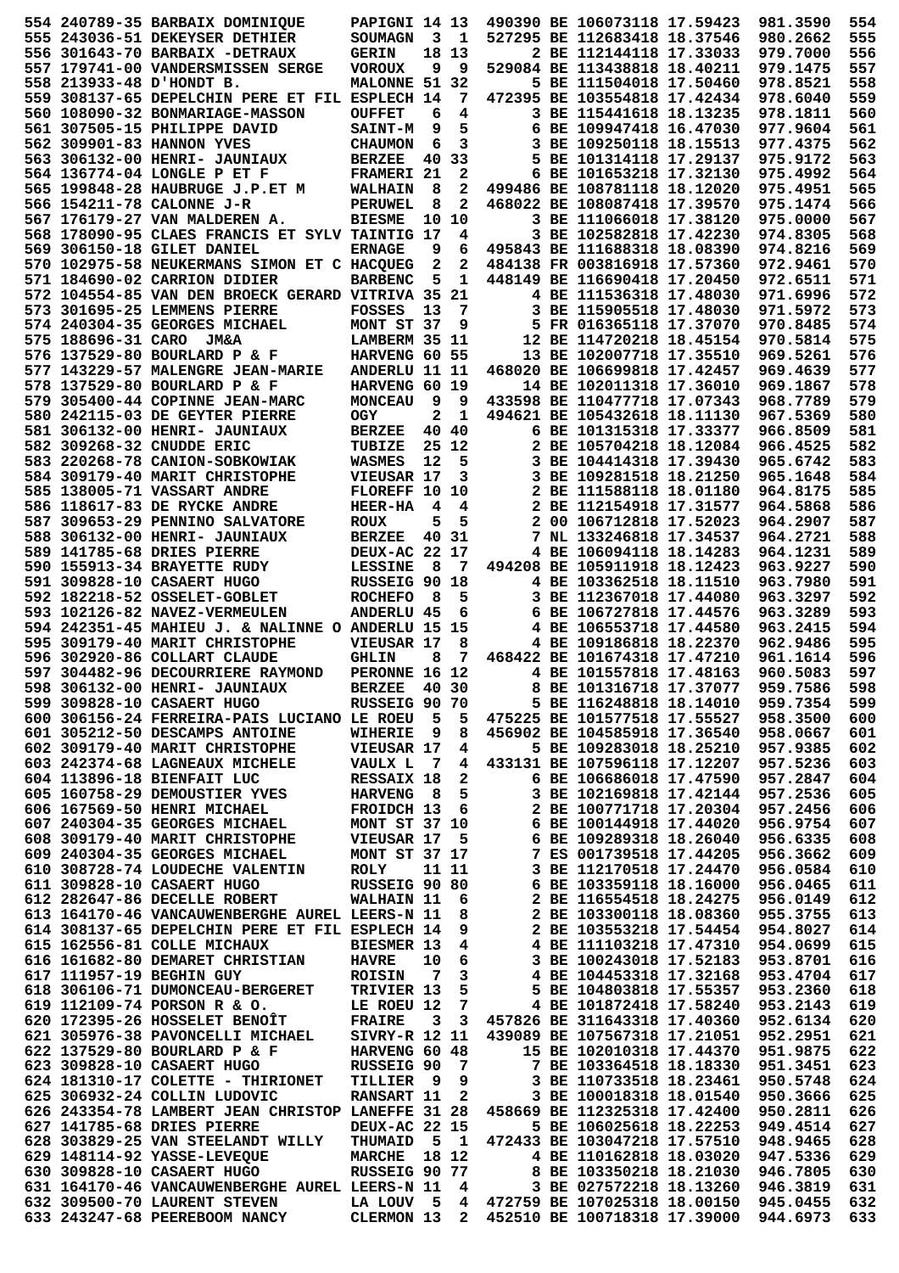|  | 554 240789-35 BARBAIX DOMINIQUE                   | PAPIGNI 14 13        |                         |                         |  | 490390 BE 106073118 17.59423              | 981.3590 | 554 |
|--|---------------------------------------------------|----------------------|-------------------------|-------------------------|--|-------------------------------------------|----------|-----|
|  | 555 243036-51 DEKEYSER DETHIER                    | SOUMAGN              |                         | 3 <sub>1</sub>          |  | 527295 BE 112683418 18.37546              | 980.2662 | 555 |
|  | 556 301643-70 BARBAIX -DETRAUX                    | <b>GERIN</b>         |                         | 18 13                   |  | 2 BE 112144118 17.33033                   | 979.7000 | 556 |
|  | 557 179741-00 VANDERSMISSEN SERGE                 | <b>VOROUX</b>        | 9                       | 9                       |  | 529084 BE 113438818 18.40211              | 979.1475 | 557 |
|  | 558 213933-48 D'HONDT B.                          | MALONNE 51 32        |                         |                         |  | 5 BE 111504018 17.50460                   | 978.8521 | 558 |
|  | 559 308137-65 DEPELCHIN PERE ET FIL ESPLECH 14    |                      |                         | 7                       |  | 472395 BE 103554818 17.42434              | 978.6040 | 559 |
|  |                                                   |                      |                         | 4                       |  | 3 BE 115441618 18.13235                   |          | 560 |
|  | 560 108090-32 BONMARIAGE-MASSON                   | <b>OUFFET</b>        | 6                       |                         |  |                                           | 978.1811 |     |
|  | 561 307505-15 PHILIPPE DAVID                      | <b>SAINT-M</b>       | 9                       | 5                       |  | 6 BE 109947418 16.47030                   | 977.9604 | 561 |
|  | 562 309901-83 HANNON YVES                         | <b>CHAUMON</b>       | 6                       | 3                       |  | 3 BE 109250118 18.15513                   | 977.4375 | 562 |
|  | 563 306132-00 HENRI- JAUNIAUX                     | <b>BERZEE</b>        | 40                      | 33                      |  | 5 BE 101314118 17.29137                   | 975.9172 | 563 |
|  | 564 136774-04 LONGLE P ET F                       | FRAMERI 21           |                         | 2                       |  | 6 BE 101653218 17.32130                   | 975.4992 | 564 |
|  | 565 199848-28 HAUBRUGE J.P.ET M                   | <b>WALHAIN</b>       | 8                       | 2                       |  | 499486 BE 108781118 18.12020              | 975.4951 | 565 |
|  | 566 154211-78 CALONNE J-R                         | <b>PERUWEL</b>       | 8                       | 2                       |  | 468022 BE 108087418 17.39570              | 975.1474 | 566 |
|  | 567 176179-27 VAN MALDEREN A.                     | <b>BIESME</b>        | 10                      | 10                      |  | 3 BE 111066018 17.38120                   | 975.0000 | 567 |
|  | 568 178090-95 CLAES FRANCIS ET SYLV TAINTIG 17    |                      |                         | 4                       |  | 3 BE 102582818 17.42230                   | 974.8305 | 568 |
|  | 569 306150-18 GILET DANIEL                        | <b>ERNAGE</b>        | 9                       | 6                       |  | 495843 BE 111688318 18.08390              | 974.8216 | 569 |
|  |                                                   |                      |                         |                         |  |                                           |          |     |
|  | 570 102975-58 NEUKERMANS SIMON ET C HACQUEG       |                      | 2                       | 2                       |  | 484138 FR 003816918 17.57360              | 972.9461 | 570 |
|  | 571 184690-02 CARRION DIDIER                      | <b>BARBENC</b>       | 5                       | 1                       |  | 448149 BE 116690418 17.20450              | 972.6511 | 571 |
|  | 572 104554-85 VAN DEN BROECK GERARD VITRIVA 35 21 |                      |                         |                         |  | 4 BE 111536318 17.48030                   | 971.6996 | 572 |
|  | 573 301695-25 LEMMENS PIERRE                      | <b>FOSSES</b>        | 13                      | 7                       |  | 3 BE 115905518 17.48030                   | 971.5972 | 573 |
|  | 574 240304-35 GEORGES MICHAEL                     | MONT ST 37           |                         | 9                       |  | 5 FR 016365118 17.37070                   | 970.8485 | 574 |
|  | 575 188696-31 CARO JM&A                           | LAMBERM 35 11        |                         |                         |  | 12 BE 114720218 18.45154                  | 970.5814 | 575 |
|  | 576 137529-80 BOURLARD P & F                      | HARVENG 60 55        |                         |                         |  | 13 BE 102007718 17.35510                  | 969.5261 | 576 |
|  | 577 143229-57 MALENGRE JEAN-MARIE                 | ANDERLU 11 11        |                         |                         |  | 468020 BE 106699818 17.42457              | 969.4639 | 577 |
|  | 578 137529-80 BOURLARD P & F                      | HARVENG 60 19        |                         |                         |  | 14 BE 102011318 17.36010                  | 969.1867 | 578 |
|  | 579 305400-44 COPINNE JEAN-MARC                   | <b>MONCEAU</b>       | 9                       | 9                       |  | 433598 BE 110477718 17.07343              | 968.7789 | 579 |
|  | 580 242115-03 DE GEYTER PIERRE                    |                      | 2                       | 1                       |  | 494621 BE 105432618 18.11130              | 967.5369 | 580 |
|  |                                                   | OGY                  |                         |                         |  |                                           |          |     |
|  | 581 306132-00 HENRI- JAUNIAUX                     | <b>BERZEE</b>        |                         | 40 40                   |  | 6 BE 101315318 17.33377                   | 966.8509 | 581 |
|  | 582 309268-32 CNUDDE ERIC                         | TUBIZE               |                         | 25 12                   |  | 2 BE 105704218 18.12084                   | 966.4525 | 582 |
|  | 583 220268-78 CANION-SOBKOWIAK                    | <b>WASMES</b>        | $12 \overline{ }$       | 5                       |  | 3 BE 104414318 17.39430                   | 965.6742 | 583 |
|  | 584 309179-40 MARIT CHRISTOPHE                    | VIEUSAR 17           |                         | 3                       |  | 3 BE 109281518 18.21250                   | 965.1648 | 584 |
|  | 585 138005-71 VASSART ANDRE                       | FLOREFF 10           |                         | 10                      |  | 2 BE 111588118 18.01180                   | 964.8175 | 585 |
|  | 586 118617-83 DE RYCKE ANDRE                      | <b>HEER-HA</b>       | 4                       | 4                       |  | 2 BE 112154918 17.31577                   | 964.5868 | 586 |
|  | 587 309653-29 PENNINO SALVATORE                   | <b>ROUX</b>          | 5                       | 5                       |  | 2 00 106712818 17.52023                   | 964.2907 | 587 |
|  | 588 306132-00 HENRI- JAUNIAUX                     | <b>BERZEE</b>        |                         | 40 31                   |  | 7 NL 133246818 17.34537                   | 964.2721 | 588 |
|  | 589 141785-68 DRIES PIERRE                        | DEUX-AC 22 17        |                         |                         |  | 4 BE 106094118 18.14283                   | 964.1231 | 589 |
|  |                                                   |                      |                         | - 7                     |  |                                           |          |     |
|  | 590 155913-34 BRAYETTE RUDY                       | <b>LESSINE</b>       | 8                       |                         |  | 494208 BE 105911918 18.12423              | 963.9227 | 590 |
|  | 591 309828-10 CASAERT HUGO                        | RUSSEIG 90 18        |                         |                         |  | 4 BE 103362518 18.11510                   | 963.7980 | 591 |
|  | 592 182218-52 OSSELET-GOBLET                      | <b>ROCHEFO</b>       | 8                       | 5                       |  | 3 BE 112367018 17.44080                   | 963.3297 | 592 |
|  | 593 102126-82 NAVEZ-VERMEULEN                     | <b>ANDERLU 45</b>    |                         | 6                       |  | 6 BE 106727818 17.44576                   | 963.3289 | 593 |
|  | 594 242351-45 MAHIEU J. & NALINNE O ANDERLU 15 15 |                      |                         |                         |  | 4 BE 106553718 17.44580                   | 963.2415 | 594 |
|  | 595 309179-40 MARIT CHRISTOPHE                    | VIEUSAR 17           |                         | 8                       |  | 4 BE 109186818 18.22370                   | 962.9486 | 595 |
|  | 596 302920-86 COLLART CLAUDE                      | <b>GHLIN</b>         | 8                       | 7                       |  | 468422 BE 101674318 17.47210              | 961.1614 | 596 |
|  | 597 304482-96 DECOURRIERE RAYMOND                 | PERONNE 16 12        |                         |                         |  | 4 BE 101557818 17.48163                   | 960.5083 | 597 |
|  | 598 306132-00 HENRI- JAUNIAUX                     | <b>BERZEE</b>        |                         | 40 30                   |  | 8 BE 101316718 17.37077                   | 959.7586 | 598 |
|  | 599 309828-10 CASAERT HUGO                        | RUSSEIG 90 70        |                         |                         |  | 5 BE 116248818 18.14010                   | 959.7354 | 599 |
|  | 600 306156-24 FERREIRA-PAIS LUCIANO LE ROEU 5 5   |                      |                         |                         |  | 475225 BE 101577518 17.55527 958.3500     |          | 600 |
|  | 601 305212-50 DESCAMPS ANTOINE                    |                      |                         |                         |  | 456902 BE 104585918 17.36540              | 958.0667 | 601 |
|  |                                                   | <b>WIHERIE</b>       | - 9                     | 8                       |  |                                           |          |     |
|  | 602 309179-40 MARIT CHRISTOPHE                    | VIEUSAR 17           |                         | 4                       |  | 5 BE 109283018 18.25210                   | 957.9385 | 602 |
|  | 603 242374-68 LAGNEAUX MICHELE                    | VAULX L 7            |                         | 4                       |  | 433131 BE 107596118 17.12207              | 957.5236 | 603 |
|  | 604 113896-18 BIENFAIT LUC                        | RESSAIX 18           |                         | $\mathbf{2}$            |  | 6 BE 106686018 17.47590                   | 957.2847 | 604 |
|  | 605 160758-29 DEMOUSTIER YVES                     | <b>HARVENG 8</b>     |                         | 5                       |  | 3 BE 102169818 17.42144                   | 957.2536 | 605 |
|  | 606 167569-50 HENRI MICHAEL                       | <b>FROIDCH 13</b>    |                         | - 6                     |  | 2 BE 100771718 17.20304                   | 957.2456 | 606 |
|  | 607 240304-35 GEORGES MICHAEL                     | <b>MONT ST 37 10</b> |                         |                         |  | 6 BE 100144918 17.44020                   | 956.9754 | 607 |
|  | 608 309179-40 MARIT CHRISTOPHE                    | VIEUSAR 17           |                         | - 5                     |  | 6 BE 109289318 18.26040                   | 956.6335 | 608 |
|  | 609 240304-35 GEORGES MICHAEL                     | <b>MONT ST 37 17</b> |                         |                         |  | 7 ES 001739518 17.44205                   | 956.3662 | 609 |
|  | 610 308728-74 LOUDECHE VALENTIN                   | <b>ROLY</b>          |                         | 11 11                   |  | 3 BE 112170518 17.24470                   | 956.0584 | 610 |
|  | 611 309828-10 CASAERT HUGO                        | RUSSEIG 90 80        |                         |                         |  | 6 BE 103359118 18.16000                   | 956.0465 | 611 |
|  | 612 282647-86 DECELLE ROBERT                      | WALHAIN 11           |                         | - 6                     |  | 2 BE 116554518 18.24275                   | 956.0149 | 612 |
|  | 613 164170-46 VANCAUWENBERGHE AUREL LEERS-N 11    |                      |                         |                         |  | 2 BE 103300118 18.08360                   | 955.3755 | 613 |
|  |                                                   |                      |                         | - 8                     |  |                                           |          |     |
|  | 614 308137-65 DEPELCHIN PERE ET FIL ESPLECH 14    |                      |                         | - 9                     |  | 2 BE 103553218 17.54454                   | 954.8027 | 614 |
|  | 615 162556-81 COLLE MICHAUX                       | <b>BIESMER 13</b>    |                         | $\overline{4}$          |  | 4 BE 111103218 17.47310                   | 954.0699 | 615 |
|  | 616 161682-80 DEMARET CHRISTIAN                   | <b>HAVRE</b>         | 10                      | 6                       |  | 3 BE 100243018 17.52183                   | 953.8701 | 616 |
|  | 617 111957-19 BEGHIN GUY                          | <b>ROISIN</b>        | $\overline{7}$          | $\overline{\mathbf{3}}$ |  | 4 BE 104453318 17.32168                   | 953.4704 | 617 |
|  | 618 306106-71 DUMONCEAU-BERGERET                  | TRIVIER 13           |                         | 5                       |  | 5 BE 104803818 17.55357                   | 953.2360 | 618 |
|  | 619 112109-74 PORSON R & O.                       | LE ROEU 12           |                         | $\overline{7}$          |  | 4 BE 101872418 17.58240                   | 953.2143 | 619 |
|  | 620 172395-26 HOSSELET BENOÎT                     | <b>FRAIRE</b>        | $\overline{\mathbf{3}}$ |                         |  | 3 457826 BE 311643318 17.40360            | 952.6134 | 620 |
|  | 621 305976-38 PAVONCELLI MICHAEL                  | SIVRY-R 12 11        |                         |                         |  | 439089 BE 107567318 17.21051              | 952.2951 | 621 |
|  | 622 137529-80 BOURLARD P & F                      | HARVENG 60 48        |                         |                         |  | 15 BE 102010318 17.44370                  | 951.9875 | 622 |
|  | 623 309828-10 CASAERT HUGO                        | <b>RUSSEIG 90</b>    |                         | $\overline{7}$          |  | 7 BE 103364518 18.18330                   | 951.3451 | 623 |
|  | 624 181310-17 COLETTE - THIRIONET                 | TILLIER 9            |                         | 9                       |  | 3 BE 110733518 18.23461                   | 950.5748 | 624 |
|  |                                                   |                      |                         |                         |  |                                           |          |     |
|  | 625 306932-24 COLLIN LUDOVIC                      | RANSART 11 2         |                         |                         |  | 3 BE 100018318 18.01540                   | 950.3666 | 625 |
|  | 626 243354-78 LAMBERT JEAN CHRISTOP LANEFFE 31 28 |                      |                         |                         |  | 458669 BE 112325318 17.42400              | 950.2811 | 626 |
|  | 627 141785-68 DRIES PIERRE                        | DEUX-AC 22 15        |                         |                         |  | 5 BE 106025618 18.22253                   | 949.4514 | 627 |
|  | 628 303829-25 VAN STEELANDT WILLY                 | THUMAID 5 1          |                         |                         |  | 472433 BE 103047218 17.57510              | 948.9465 | 628 |
|  | 629 148114-92 YASSE-LEVEQUE                       | <b>MARCHE</b> 18 12  |                         |                         |  | 4 BE 110162818 18.03020                   | 947.5336 | 629 |
|  | 630 309828-10 CASAERT HUGO                        | RUSSEIG 90 77        |                         |                         |  | 8 BE 103350218 18.21030                   | 946.7805 | 630 |
|  | 631 164170-46 VANCAUWENBERGHE AUREL LEERS-N 11    |                      |                         | - 4                     |  | 3 BE 027572218 18.13260                   | 946.3819 | 631 |
|  | 632 309500-70 LAURENT STEVEN                      |                      |                         |                         |  | LA LOUV 5 4 472759 BE 107025318 18.00150  | 945.0455 | 632 |
|  | 633 243247-68 PEEREBOOM NANCY                     |                      |                         |                         |  | CLERMON 13 2 452510 BE 100718318 17.39000 | 944.6973 | 633 |
|  |                                                   |                      |                         |                         |  |                                           |          |     |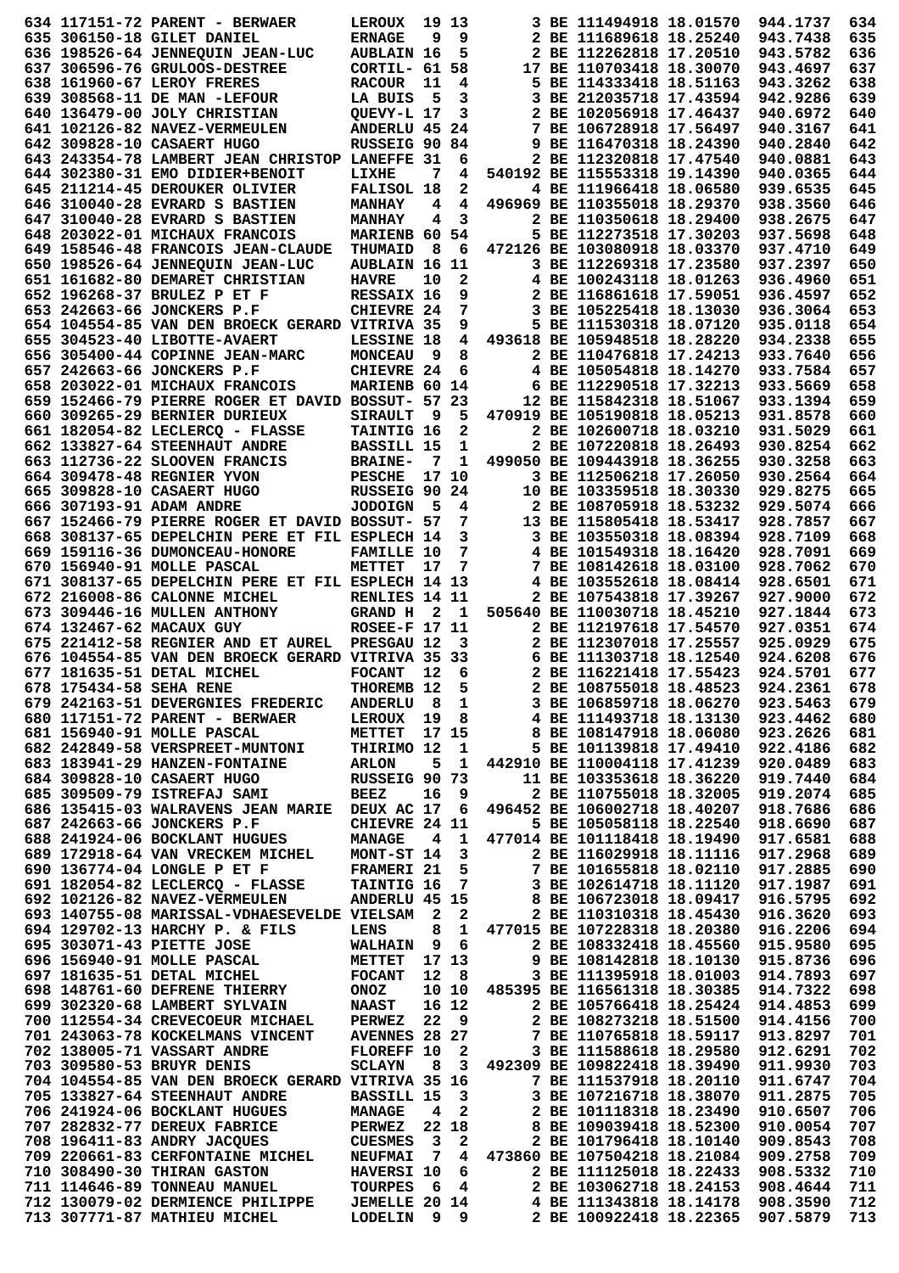|                           | 634 117151-72 PARENT - BERWAER                                                     | <b>LEROUX</b>                   |                         | 19 13                                              |  | 3 BE 111494918 18.01570                                     | 944.1737             | 634        |
|---------------------------|------------------------------------------------------------------------------------|---------------------------------|-------------------------|----------------------------------------------------|--|-------------------------------------------------------------|----------------------|------------|
|                           | 635 306150-18 GILET DANIEL                                                         | <b>ERNAGE</b>                   | 9                       | 9                                                  |  | 2 BE 111689618 18.25240                                     | 943.7438             | 635        |
|                           | 636 198526-64 JENNEQUIN JEAN-LUC                                                   | <b>AUBLAIN 16</b>               |                         | 5                                                  |  | 2 BE 112262818 17.20510                                     | 943.5782             | 636        |
|                           | 637 306596-76 GRULOOS-DESTREE                                                      | CORTIL- 61                      |                         | 58                                                 |  | 17 BE 110703418 18.30070                                    | 943.4697             | 637        |
|                           | 638 161960-67 LEROY FRERES                                                         | <b>RACOUR</b>                   | 11                      | 4                                                  |  | 5 BE 114333418 18.51163                                     | 943.3262             | 638        |
|                           | 639 308568-11 DE MAN -LEFOUR                                                       | LA BUIS                         | 5                       | 3                                                  |  | 3 BE 212035718 17.43594                                     | 942.9286             | 639        |
|                           | 640 136479-00 JOLY CHRISTIAN                                                       | QUEVY-L 17                      |                         | 3                                                  |  | 2 BE 102056918 17.46437                                     | 940.6972             | 640        |
|                           | 641 102126-82 NAVEZ-VERMEULEN                                                      | ANDERLU 45 24                   |                         |                                                    |  | 7 BE 106728918 17.56497                                     | 940.3167             | 641        |
|                           | 642 309828-10 CASAERT HUGO                                                         | RUSSEIG 90 84                   |                         |                                                    |  | 9 BE 116470318 18.24390                                     | 940.2840             | 642        |
|                           | 643 243354-78 LAMBERT JEAN CHRISTOP LANEFFE 31                                     |                                 |                         | 6                                                  |  | 2 BE 112320818 17.47540                                     | 940.0881             | 643        |
|                           | 644 302380-31 EMO DIDIER+BENOIT                                                    | LIXHE                           | 7                       | 4                                                  |  | 540192 BE 115553318 19.14390                                | 940.0365             | 644        |
|                           | 645 211214-45 DEROUKER OLIVIER<br>646 310040-28 EVRARD S BASTIEN                   | FALISOL 18                      |                         | 2                                                  |  | 4 BE 111966418 18.06580<br>496969 BE 110355018 18.29370     | 939.6535             | 645<br>646 |
|                           | 647 310040-28 EVRARD S BASTIEN                                                     | <b>MANHAY</b>                   | 4<br>4                  | 4<br>3                                             |  | 2 BE 110350618 18.29400                                     | 938.3560<br>938.2675 | 647        |
|                           | 648 203022-01 MICHAUX FRANCOIS                                                     | <b>MANHAY</b><br>MARIENB 60 54  |                         |                                                    |  | 5 BE 112273518 17.30203                                     | 937.5698             | 648        |
|                           | 649 158546-48 FRANCOIS JEAN-CLAUDE                                                 | <b>THUMAID</b>                  | 8                       | 6                                                  |  | 472126 BE 103080918 18.03370                                | 937.4710             | 649        |
|                           | 650 198526-64 JENNEQUIN JEAN-LUC                                                   | <b>AUBLAIN 16 11</b>            |                         |                                                    |  | 3 BE 112269318 17.23580                                     | 937.2397             | 650        |
|                           | 651 161682-80 DEMARET CHRISTIAN                                                    | <b>HAVRE</b>                    | 10                      | $\mathbf 2$                                        |  | 4 BE 100243118 18.01263                                     | 936.4960             | 651        |
|                           | 652 196268-37 BRULEZ P ET F                                                        | RESSAIX 16                      |                         | 9                                                  |  | 2 BE 116861618 17.59051                                     | 936.4597             | 652        |
|                           | 653 242663-66 JONCKERS P.F                                                         | CHIEVRE 24                      |                         | 7                                                  |  | 3 BE 105225418 18.13030                                     | 936.3064             | 653        |
|                           | 654 104554-85 VAN DEN BROECK GERARD VITRIVA 35                                     |                                 |                         | 9                                                  |  | 5 BE 111530318 18.07120                                     | 935.0118             | 654        |
|                           | 655 304523-40 LIBOTTE-AVAERT                                                       | LESSINE 18                      |                         | 4                                                  |  | 493618 BE 105948518 18.28220                                | 934.2338             | 655        |
|                           | 656 305400-44 COPINNE JEAN-MARC                                                    | <b>MONCEAU</b>                  | و.                      | 8                                                  |  | 2 BE 110476818 17.24213                                     | 933.7640             | 656        |
|                           | 657 242663-66 JONCKERS P.F                                                         | CHIEVRE 24                      |                         | 6                                                  |  | 4 BE 105054818 18.14270                                     | 933.7584             | 657        |
|                           | 658 203022-01 MICHAUX FRANCOIS                                                     | MARIENB 60 14                   |                         |                                                    |  | 6 BE 112290518 17.32213                                     | 933.5669             | 658        |
|                           | 659 152466-79 PIERRE ROGER ET DAVID BOSSUT- 57 23                                  |                                 |                         |                                                    |  | 12 BE 115842318 18.51067                                    | 933.1394             | 659        |
|                           | 660 309265-29 BERNIER DURIEUX                                                      | <b>SIRAULT</b>                  | و _                     | 5                                                  |  | 470919 BE 105190818 18.05213                                | 931.8578             | 660        |
|                           | 661 182054-82 LECLERCQ - FLASSE                                                    | <b>TAINTIG 16</b>               |                         | $\mathbf{2}$                                       |  | 2 BE 102600718 18.03210                                     | 931.5029             | 661        |
|                           | 662 133827-64 STEENHAUT ANDRE                                                      | BASSILL 15                      |                         | $\mathbf 1$                                        |  | 2 BE 107220818 18.26493                                     | 930.8254             | 662        |
|                           | 663 112736-22 SLOOVEN FRANCIS                                                      | <b>BRAINE-</b>                  | 7                       | 1                                                  |  | 499050 BE 109443918 18.36255                                | 930.3258             | 663        |
|                           | 664 309478-48 REGNIER YVON                                                         | <b>PESCHE</b>                   |                         | 17 10                                              |  | 3 BE 112506218 17.26050                                     | 930.2564             | 664        |
|                           | 665 309828-10 CASAERT HUGO                                                         | RUSSEIG 90 24                   |                         |                                                    |  | 10 BE 103359518 18.30330                                    | 929.8275             | 665        |
|                           | 666 307193-91 ADAM ANDRE                                                           | JODOIGN 5                       |                         | 4                                                  |  | 2 BE 108705918 18.53232                                     | 929.5074             | 666        |
|                           | 667 152466-79 PIERRE ROGER ET DAVID BOSSUT- 57                                     |                                 |                         | 7                                                  |  | 13 BE 115805418 18.53417                                    | 928.7857             | 667        |
|                           | 668 308137-65 DEPELCHIN PERE ET FIL ESPLECH 14                                     |                                 |                         | 3                                                  |  | 3 BE 103550318 18.08394                                     | 928.7109             | 668        |
|                           | 669 159116-36 DUMONCEAU-HONORE                                                     | <b>FAMILLE 10</b>               |                         | 7                                                  |  | 4 BE 101549318 18.16420                                     | 928.7091             | 669        |
|                           | 670 156940-91 MOLLE PASCAL                                                         | <b>METTET</b>                   | 17                      | 7                                                  |  | 7 BE 108142618 18.03100                                     | 928.7062             | 670        |
|                           | 671 308137-65 DEPELCHIN PERE ET FIL ESPLECH 14 13                                  |                                 |                         |                                                    |  | 4 BE 103552618 18.08414                                     | 928.6501             | 671        |
|                           | 672 216008-86 CALONNE MICHEL                                                       | RENLIES 14 11                   |                         |                                                    |  | 2 BE 107543818 17.39267                                     | 927.9000             | 672        |
|                           | 673 309446-16 MULLEN ANTHONY                                                       | <b>GRAND H</b>                  | 2                       | -1                                                 |  | 505640 BE 110030718 18.45210                                | 927.1844             | 673        |
|                           | 674 132467-62 MACAUX GUY                                                           | <b>ROSEE-F 17 11</b>            |                         |                                                    |  | 2 BE 112197618 17.54570                                     | 927.0351             | 674        |
|                           | 675 221412-58 REGNIER AND ET AUREL                                                 | PRESGAU 12                      |                         | 3                                                  |  | 2 BE 112307018 17.25557                                     | 925.0929             | 675        |
|                           | 676 104554-85 VAN DEN BROECK GERARD VITRIVA 35 33                                  |                                 |                         |                                                    |  | 6 BE 111303718 18.12540                                     | 924.6208             | 676        |
|                           | 677 181635-51 DETAL MICHEL                                                         | <b>FOCANT</b>                   | 12                      | 6                                                  |  | 2 BE 116221418 17.55423                                     | 924.5701             | 677        |
| 678 175434-58 SEHA RENE   |                                                                                    | THOREMB 12                      |                         | 5                                                  |  | 2 BE 108755018 18.48523                                     | 924.2361             | 678        |
|                           | 679 242163-51 DEVERGNIES FREDERIC                                                  | ANDERLU 8 1                     |                         |                                                    |  | 3 BE 106859718 18.06270                                     | 923.5463             | 679        |
|                           | 680 117151-72 PARENT - BERWAER                                                     | LEROUX 19 8                     |                         |                                                    |  | 4 BE 111493718 18.13130                                     | 923.4462             | 680        |
|                           | 681 156940-91 MOLLE PASCAL                                                         | METTET                          |                         | 17 15                                              |  | 8 BE 108147918 18.06080                                     | 923.2626             | 681        |
|                           | 682 242849-58 VERSPREET-MUNTONI                                                    | THIRIMO 12                      |                         | $\mathbf{1}$                                       |  | 5 BE 101139818 17.49410                                     | 922.4186             | 682        |
|                           | 683 183941-29 HANZEN-FONTAINE                                                      | <b>ARLON</b>                    | 5                       | $\mathbf{1}$                                       |  | 442910 BE 110004118 17.41239                                | 920.0489             | 683        |
|                           | 684 309828-10 CASAERT HUGO                                                         | RUSSEIG 90 73                   |                         |                                                    |  | 11 BE 103353618 18.36220                                    | 919.7440             | 684        |
|                           | 685 309509-79 ISTREFAJ SAMI                                                        | <b>BEEZ</b>                     | 16                      | 9                                                  |  | 2 BE 110755018 18.32005                                     | 919.2074             | 685        |
|                           | 686 135415-03 WALRAVENS JEAN MARIE                                                 | DEUX AC 17                      |                         | - 6                                                |  | 496452 BE 106002718 18.40207                                | 918.7686             | 686        |
|                           | 687 242663-66 JONCKERS P.F                                                         | CHIEVRE 24 11                   |                         |                                                    |  | 5 BE 105058118 18.22540                                     | 918.6690             | 687        |
|                           | 688 241924-06 BOCKLANT HUGUES                                                      | <b>MANAGE</b>                   | 4                       | $\mathbf{1}$                                       |  | 477014 BE 101118418 18.19490                                | 917.6581             | 688        |
|                           | 689 172918-64 VAN VRECKEM MICHEL                                                   | MONT-ST 14                      |                         | $\overline{\mathbf{3}}$                            |  | 2 BE 116029918 18.11116                                     | 917.2968             | 689        |
|                           | 690 136774-04 LONGLE P ET F                                                        | <b>FRAMERI 21</b><br>TAINTIG 16 |                         | 5<br>$\overline{7}$                                |  | 7 BE 101655818 18.02110<br>3 BE 102614718 18.11120          | 917.2885             | 690        |
|                           | 691 182054-82 LECLERCQ - FLASSE<br>692 102126-82 NAVEZ-VERMEULEN                   | ANDERLU 45 15                   |                         |                                                    |  | 8 BE 106723018 18.09417                                     | 917.1987<br>916.5795 | 691<br>692 |
|                           | 693 140755-08 MARISSAL-VDHAESEVELDE VIELSAM                                        |                                 | $\overline{\mathbf{2}}$ | 2                                                  |  | 2 BE 110310318 18.45430                                     | 916.3620             | 693        |
|                           | 694 129702-13 HARCHY P. & FILS                                                     | LENS                            | 8                       | $\mathbf{1}$                                       |  | 477015 BE 107228318 18.20380                                | 916.2206             | 694        |
|                           |                                                                                    | WALHAIN 9 6                     |                         |                                                    |  | 2 BE 108332418 18.45560                                     | 915.9580             | 695        |
|                           |                                                                                    |                                 |                         |                                                    |  |                                                             |                      |            |
| 695 303071-43 PIETTE JOSE |                                                                                    |                                 |                         |                                                    |  |                                                             |                      |            |
|                           | 696 156940-91 MOLLE PASCAL                                                         | <b>METTET</b>                   |                         | 17 13                                              |  | 9 BE 108142818 18.10130                                     | 915.8736             | 696        |
|                           | 697 181635-51 DETAL MICHEL                                                         | <b>FOCANT</b>                   | 12                      | - 8                                                |  | 3 BE 111395918 18.01003                                     | 914.7893             | 697        |
|                           | 698 148761-60 DEFRENE THIERRY                                                      | ONOZ                            |                         | 10 10                                              |  | 485395 BE 116561318 18.30385                                | 914.7322             | 698        |
|                           | 699 302320-68 LAMBERT SYLVAIN                                                      | <b>NAAST</b>                    |                         | 16 12                                              |  | 2 BE 105766418 18.25424                                     | 914.4853             | 699        |
|                           | 700 112554-34 CREVECOEUR MICHAEL                                                   | <b>PERWEZ</b>                   | 22                      | 9                                                  |  | 2 BE 108273218 18.51500                                     | 914.4156             | 700        |
|                           | 701 243063-78 KOCKELMANS VINCENT                                                   | <b>AVENNES 28 27</b>            |                         |                                                    |  | 7 BE 110765818 18.59117                                     | 913.8297             | 701        |
|                           | 702 138005-71 VASSART ANDRE                                                        | FLOREFF 10                      | 8                       | $\overline{\mathbf{2}}$<br>$\overline{\mathbf{3}}$ |  | 3 BE 111588618 18.29580                                     | 912.6291             | 702        |
|                           | 703 309580-53 BRUYR DENIS                                                          | <b>SCLAYN</b>                   |                         |                                                    |  | 492309 BE 109822418 18.39490                                | 911.9930             | 703        |
|                           | 704 104554-85 VAN DEN BROECK GERARD VITRIVA 35 16<br>705 133827-64 STEENHAUT ANDRE | BASSILL 15                      |                         | $\overline{\mathbf{3}}$                            |  | 7 BE 111537918 18.20110<br>3 BE 107216718 18.38070          | 911.6747<br>911.2875 | 704<br>705 |
|                           | 706 241924-06 BOCKLANT HUGUES                                                      | <b>MANAGE</b>                   | 4                       | $\overline{\mathbf{2}}$                            |  | 2 BE 101118318 18.23490                                     | 910.6507             | 706        |
|                           | 707 282832-77 DEREUX FABRICE                                                       | <b>PERWEZ</b>                   |                         |                                                    |  |                                                             | 910.0054             | 707        |
|                           | 708 196411-83 ANDRY JACQUES                                                        | <b>CUESMES</b>                  | $\overline{\mathbf{3}}$ | 22 18<br>$\overline{\mathbf{2}}$                   |  | 8 BE 109039418 18.52300<br>2 BE 101796418 18.10140          | 909.8543             | 708        |
|                           | 709 220661-83 CERFONTAINE MICHEL                                                   | <b>NEUFMAI</b>                  | - 7                     | $\overline{4}$                                     |  | 473860 BE 107504218 18.21084                                | 909.2758             | 709        |
|                           | 710 308490-30 THIRAN GASTON                                                        | <b>HAVERSI 10</b>               |                         | 6                                                  |  | 2 BE 111125018 18.22433                                     | 908.5332             | 710        |
|                           | 711 114646-89 TONNEAU MANUEL                                                       | TOURPES                         | - 6                     | $\overline{\mathbf{4}}$                            |  | 2 BE 103062718 18.24153 908.4644                            |                      | 711        |
|                           | 712 130079-02 DERMIENCE PHILIPPE JEMELLE 20 14<br>713 307771-87 MATHIEU MICHEL     | LODELIN 9 9                     |                         |                                                    |  | 4 BE 111343818 18.14178 908.3590<br>2 BE 100922418 18.22365 | 907.5879             | 712        |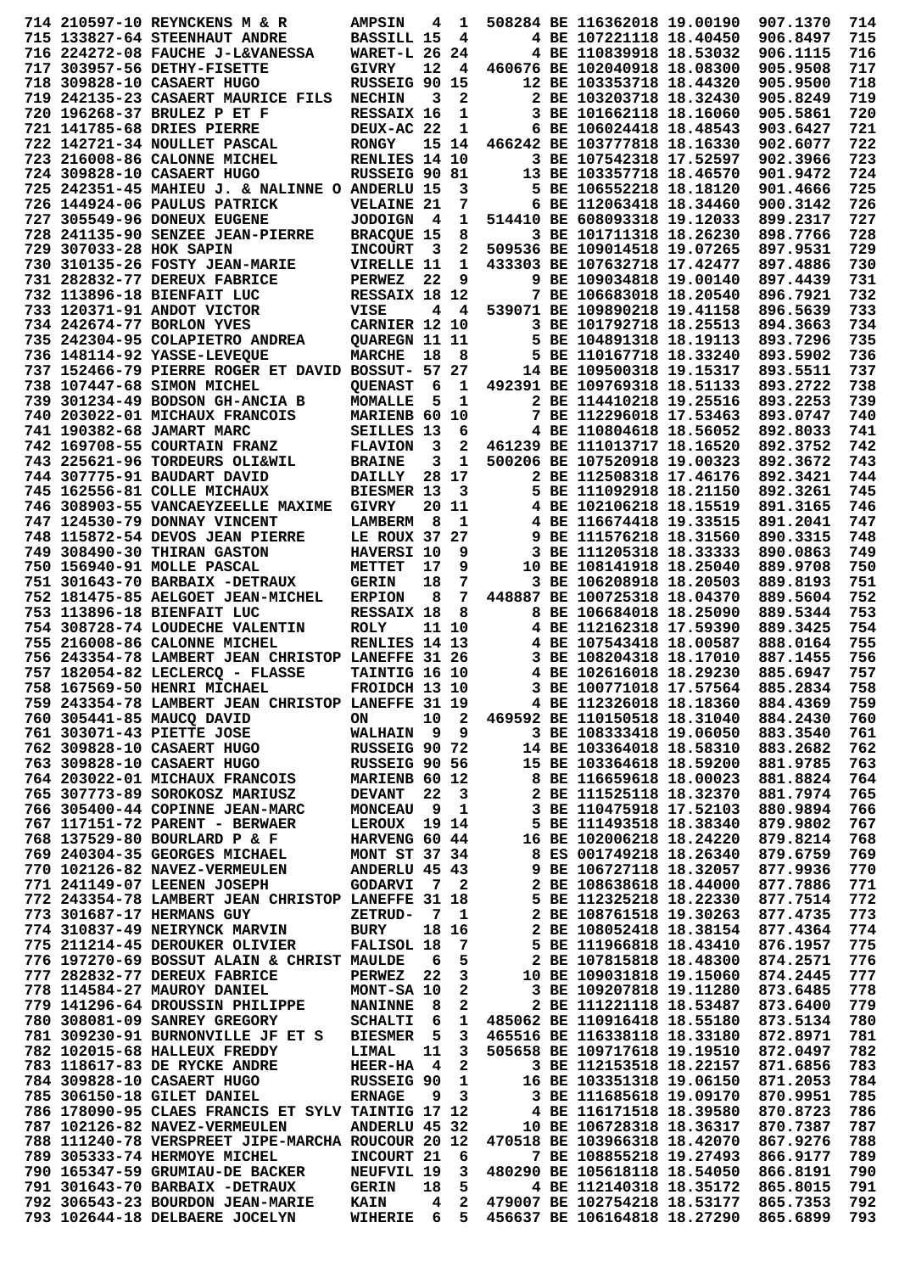|                         | 714 210597-10 REYNCKENS M & R                                      | <b>AMPSIN</b>            | 4                       | 1                       |  | 508284 BE 116362018 19.00190                                   |                         | 907.1370             | 714        |
|-------------------------|--------------------------------------------------------------------|--------------------------|-------------------------|-------------------------|--|----------------------------------------------------------------|-------------------------|----------------------|------------|
|                         | 715 133827-64 STEENHAUT ANDRE                                      | BASSILL 15               |                         | -4                      |  | 4 BE 107221118 18.40450                                        |                         | 906.8497             | 715        |
|                         | 716 224272-08 FAUCHE J-L&VANESSA                                   | <b>WARET-L 26 24</b>     |                         |                         |  | 4 BE 110839918 18.53032                                        |                         | 906.1115             | 716        |
|                         | 717 303957-56 DETHY-FISETTE                                        | <b>GIVRY</b>             | 12                      | -4                      |  | 460676 BE 102040918 18.08300                                   |                         | 905.9508             | 717        |
|                         | 718 309828-10 CASAERT HUGO                                         | RUSSEIG 90 15            |                         |                         |  | 12 BE 103353718 18.44320                                       |                         | 905.9500             | 718        |
|                         | 719 242135-23 CASAERT MAURICE FILS                                 | <b>NECHIN</b>            | 3                       | $\mathbf{2}$            |  | 2 BE 103203718 18.32430                                        |                         | 905.8249             | 719        |
|                         | 720 196268-37 BRULEZ P ET F                                        | RESSAIX 16               |                         | 1                       |  | 3 BE 101662118 18.16060                                        |                         | 905.5861             | 720        |
|                         |                                                                    |                          |                         |                         |  |                                                                |                         |                      |            |
|                         | 721 141785-68 DRIES PIERRE                                         | DEUX-AC 22               |                         | 1                       |  | 6 BE 106024418 18.48543                                        |                         | 903.6427             | 721        |
|                         | 722 142721-34 NOULLET PASCAL                                       | <b>RONGY</b>             |                         | 15 14                   |  | 466242 BE 103777818 18.16330                                   |                         | 902.6077             | 722        |
|                         | 723 216008-86 CALONNE MICHEL                                       | RENLIES 14 10            |                         |                         |  | 3 BE 107542318 17.52597                                        |                         | 902.3966             | 723        |
|                         | 724 309828-10 CASAERT HUGO                                         | RUSSEIG 90 81            |                         |                         |  | 13 BE 103357718 18.46570                                       |                         | 901.9472             | 724        |
|                         | 725 242351-45 MAHIEU J. & NALINNE O ANDERLU 15                     |                          |                         | 3                       |  | 5 BE 106552218 18.18120                                        |                         | 901.4666             | 725        |
|                         | 726 144924-06 PAULUS PATRICK                                       | <b>VELAINE 21</b>        |                         | 7                       |  | 6 BE 112063418 18.34460                                        |                         | 900.3142             | 726        |
|                         | 727 305549-96 DONEUX EUGENE                                        | <b>JODOIGN</b>           | $\overline{\mathbf{4}}$ | 1                       |  | 514410 BE 608093318 19.12033                                   |                         | 899.2317             | 727        |
|                         | 728 241135-90 SENZEE JEAN-PIERRE                                   | <b>BRACQUE 15</b>        |                         | 8                       |  | 3 BE 101711318 18.26230                                        |                         | 898.7766             | 728        |
| 729 307033-28 HOK SAPIN |                                                                    | <b>INCOURT</b>           | 3                       | 2                       |  | 509536 BE 109014518 19.07265                                   |                         | 897.9531             | 729        |
|                         | 730 310135-26 FOSTY JEAN-MARIE                                     |                          |                         | 1                       |  | 433303 BE 107632718 17.42477                                   |                         | 897.4886             | 730        |
|                         |                                                                    | VIRELLE 11               |                         |                         |  |                                                                |                         |                      |            |
|                         | 731 282832-77 DEREUX FABRICE                                       | <b>PERWEZ</b>            | 22                      | 9                       |  | 9 BE 109034818 19.00140                                        |                         | 897.4439             | 731        |
|                         | 732 113896-18 BIENFAIT LUC                                         | RESSAIX 18 12            |                         |                         |  | 7 BE 106683018 18.20540                                        |                         | 896.7921             | 732        |
|                         | 733 120371-91 ANDOT VICTOR                                         | <b>VISE</b>              | 4                       | $\overline{\mathbf{4}}$ |  | 539071 BE 109890218 19.41158                                   |                         | 896.5639             | 733        |
|                         | 734 242674-77 BORLON YVES                                          | CARNIER 12 10            |                         |                         |  | 3 BE 101792718 18.25513                                        |                         | 894.3663             | 734        |
|                         | 735 242304-95 COLAPIETRO ANDREA                                    | <b>QUAREGN 11 11</b>     |                         |                         |  | 5 BE 104891318 18.19113                                        |                         | 893.7296             | 735        |
|                         | 736 148114-92 YASSE-LEVEQUE                                        | <b>MARCHE</b>            | 18                      | 8                       |  | 5 BE 110167718 18.33240                                        |                         | 893.5902             | 736        |
|                         | 737 152466-79 PIERRE ROGER ET DAVID BOSSUT- 57 27                  |                          |                         |                         |  | 14 BE 109500318 19.15317                                       |                         | 893.5511             | 737        |
|                         | 738 107447-68 SIMON MICHEL                                         | <b>QUENAST</b>           | 6                       | 1                       |  | 492391 BE 109769318 18.51133                                   |                         | 893.2722             | 738        |
|                         | 739 301234-49 BODSON GH-ANCIA B                                    | MOMALLE                  | 5                       | 1                       |  | 2 BE 114410218 19.25516                                        |                         | 893.2253             | 739        |
|                         | 740 203022-01 MICHAUX FRANCOIS                                     | MARIENB 60 10            |                         |                         |  | 7 BE 112296018 17.53463                                        |                         | 893.0747             | 740        |
|                         |                                                                    |                          |                         |                         |  | 4 BE 110804618 18.56052                                        |                         |                      | 741        |
|                         | 741 190382-68 JAMART MARC                                          | SEILLES 13               |                         | 6                       |  |                                                                |                         | 892.8033             |            |
|                         | 742 169708-55 COURTAIN FRANZ                                       | <b>FLAVION</b>           | 3                       | $\mathbf{2}$            |  | 461239 BE 111013717 18.16520                                   |                         | 892.3752             | 742        |
|                         | 743 225621-96 TORDEURS OLI&WIL                                     | <b>BRAINE</b>            | 3                       | 1                       |  | 500206 BE 107520918 19.00323                                   |                         | 892.3672             | 743        |
|                         | 744 307775-91 BAUDART DAVID                                        | DAILLY                   |                         | 28 17                   |  | 2 BE 112508318 17.46176                                        |                         | 892.3421             | 744        |
|                         | 745 162556-81 COLLE MICHAUX                                        | BIESMER 13               |                         | 3                       |  | 5 BE 111092918 18.21150                                        |                         | 892.3261             | 745        |
|                         | 746 308903-55 VANCAEYZEELLE MAXIME                                 | <b>GIVRY</b>             |                         | 20 11                   |  | 4 BE 102106218 18.15519                                        |                         | 891.3165             | 746        |
|                         | 747 124530-79 DONNAY VINCENT                                       | <b>LAMBERM</b>           | 8                       | 1                       |  | 4 BE 116674418 19.33515                                        |                         | 891.2041             | 747        |
|                         | 748 115872-54 DEVOS JEAN PIERRE                                    | LE ROUX 37 27            |                         |                         |  | 9 BE 111576218 18.31560                                        |                         | 890.3315             | 748        |
|                         | 749 308490-30 THIRAN GASTON                                        | HAVERSI 10               |                         | 9                       |  | 3 BE 111205318 18.33333                                        |                         | 890.0863             | 749        |
|                         | 750 156940-91 MOLLE PASCAL                                         | METTET                   | 17                      | 9                       |  | 10 BE 108141918 18.25040                                       |                         | 889.9708             | 750        |
|                         |                                                                    |                          |                         | 7                       |  | 3 BE 106208918 18.20503                                        |                         |                      | 751        |
|                         | 751 301643-70 BARBAIX -DETRAUX                                     | <b>GERIN</b>             | 18                      |                         |  |                                                                |                         | 889.8193             |            |
|                         | 752 181475-85 AELGOET JEAN-MICHEL                                  | <b>ERPION</b>            | 8                       | 7                       |  | 448887 BE 100725318 18.04370                                   |                         | 889.5604             | 752        |
|                         | 753 113896-18 BIENFAIT LUC                                         | <b>RESSAIX 18</b>        |                         | 8                       |  | 8 BE 106684018 18.25090                                        |                         | 889.5344             | 753        |
|                         | 754 308728-74 LOUDECHE VALENTIN                                    | <b>ROLY</b>              |                         | 11 10                   |  | 4 BE 112162318 17.59390                                        |                         | 889.3425             | 754        |
|                         | 755 216008-86 CALONNE MICHEL                                       | RENLIES 14 13            |                         |                         |  | 4 BE 107543418 18.00587                                        |                         | 888.0164             | 755        |
|                         | 756 243354-78 LAMBERT JEAN CHRISTOP LANEFFE 31 26                  |                          |                         |                         |  | 3 BE 108204318 18.17010                                        |                         | 887.1455             | 756        |
|                         | 757 182054-82 LECLERCO - FLASSE                                    | <b>TAINTIG 16 10</b>     |                         |                         |  | 4 BE 102616018 18.29230                                        |                         | 885.6947             | 757        |
|                         | 758 167569-50 HENRI MICHAEL                                        | FROIDCH 13 10            |                         |                         |  | 3 BE 100771018 17.57564                                        |                         | 885.2834             | 758        |
|                         | 759 243354-78 LAMBERT JEAN CHRISTOP LANEFFE 31 19                  |                          |                         |                         |  | 4 BE 112326018 18.18360                                        |                         | 884.4369             | 759        |
|                         | 760 305441-85 MAUCQ DAVID                                          | ON                       |                         | 10 2                    |  | 469592 BE 110150518 18.31040                                   |                         | 884.2430             | 760        |
|                         | 761 303071-43 PIETTE JOSE                                          | <b>WALHAIN</b>           |                         | 9 <sub>9</sub>          |  |                                                                | 3 BE 108333418 19.06050 |                      | 761        |
|                         |                                                                    |                          |                         |                         |  |                                                                |                         |                      |            |
|                         |                                                                    |                          |                         |                         |  |                                                                |                         | 883.3540             |            |
|                         | 762 309828-10 CASAERT HUGO                                         | RUSSEIG 90 72            |                         |                         |  | 14 BE 103364018 18.58310                                       |                         | 883.2682             | 762        |
|                         | 763 309828-10 CASAERT HUGO                                         | RUSSEIG 90 56            |                         |                         |  | 15 BE 103364618 18.59200                                       |                         | 881.9785             | 763        |
|                         | 764 203022-01 MICHAUX FRANCOIS                                     | <b>MARIENB 60 12</b>     |                         |                         |  | 8 BE 116659618 18.00023                                        |                         | 881.8824             | 764        |
|                         | 765 307773-89 SOROKOSZ MARIUSZ                                     | <b>DEVANT</b>            | 22                      | $_{3}$                  |  | 2 BE 111525118 18.32370                                        |                         | 881.7974             | 765        |
|                         | 766 305400-44 COPINNE JEAN-MARC                                    | MONCEAU 9 1              |                         |                         |  | 3 BE 110475918 17.52103                                        |                         | 880.9894             | 766        |
|                         | 767 117151-72 PARENT - BERWAER                                     | LEROUX 19 14             |                         |                         |  | 5 BE 111493518 18.38340                                        |                         | 879.9802             | 767        |
|                         | 768 137529-80 BOURLARD P & F                                       | HARVENG 60 44            |                         |                         |  | 16 BE 102006218 18.24220                                       |                         | 879.8214             | 768        |
|                         | 769 240304-35 GEORGES MICHAEL                                      | <b>MONT ST 37 34</b>     |                         |                         |  | 8 ES 001749218 18.26340                                        |                         | 879.6759             | 769        |
|                         | 770 102126-82 NAVEZ-VERMEULEN                                      | ANDERLU 45 43            |                         |                         |  | 9 BE 106727118 18.32057                                        |                         | 877.9936             | 770        |
|                         | 771 241149-07 LEENEN JOSEPH                                        |                          |                         | 7 2                     |  |                                                                |                         |                      |            |
|                         |                                                                    | <b>GODARVI</b>           |                         |                         |  | 2 BE 108638618 18.44000                                        |                         | 877.7886             | 771        |
|                         | 772 243354-78 LAMBERT JEAN CHRISTOP LANEFFE 31 18                  |                          |                         |                         |  | 5 BE 112325218 18.22330                                        |                         | 877.7514             | 772        |
|                         | 773 301687-17 HERMANS GUY                                          | <b>ZETRUD-</b>           |                         | 7 1                     |  | 2 BE 108761518 19.30263                                        |                         | 877.4735             | 773        |
|                         | 774 310837-49 NEIRYNCK MARVIN                                      | BURY                     |                         | 18 16                   |  | 2 BE 108052418 18.38154                                        |                         | 877.4364             | 774        |
|                         | 775 211214-45 DEROUKER OLIVIER                                     | FALISOL 18               |                         | $\overline{7}$          |  | 5 BE 111966818 18.43410                                        |                         | 876.1957             | 775        |
|                         | 776 197270-69 BOSSUT ALAIN & CHRIST MAULDE                         |                          | 6                       | 5                       |  | 2 BE 107815818 18.48300                                        |                         | 874.2571             | 776        |
|                         | 777 282832-77 DEREUX FABRICE                                       | <b>PERWEZ</b>            | - 22                    | $\overline{\mathbf{3}}$ |  | 10 BE 109031818 19.15060                                       |                         | 874.2445             | 777        |
|                         | 778 114584-27 MAUROY DANIEL                                        | <b>MONT-SA 10</b>        |                         | $\overline{2}$          |  | 3 BE 109207818 19.11280                                        |                         | 873.6485             | 778        |
|                         | 779 141296-64 DROUSSIN PHILIPPE                                    | <b>NANINNE</b>           | - 8                     | $\overline{\mathbf{2}}$ |  | 2 BE 111221118 18.53487                                        |                         | 873.6400             | 779        |
|                         | 780 308081-09 SANREY GREGORY                                       | <b>SCHALTI</b>           | - 6                     | $\mathbf{1}$            |  | 485062 BE 110916418 18.55180                                   |                         | 873.5134             | 780        |
|                         | 781 309230-91 BURNONVILLE JF ET S                                  | BIESMER 5                |                         | $\overline{\mathbf{3}}$ |  | 465516 BE 116338118 18.33180                                   |                         | 872.8971             | 781        |
|                         | 782 102015-68 HALLEUX FREDDY                                       | LIMAL                    | 11                      | $\overline{\mathbf{3}}$ |  | 505658 BE 109717618 19.19510                                   |                         | 872.0497             | 782        |
|                         |                                                                    |                          |                         |                         |  |                                                                |                         |                      |            |
|                         | 783 118617-83 DE RYCKE ANDRE                                       | HEER-HA 4                |                         | $\overline{\mathbf{2}}$ |  | 3 BE 112153518 18.22157                                        |                         | 871.6856             | 783        |
|                         | 784 309828-10 CASAERT HUGO                                         | <b>RUSSEIG 90</b>        |                         | $\mathbf{1}$            |  | 16 BE 103351318 19.06150                                       |                         | 871.2053             | 784        |
|                         | 785 306150-18 GILET DANIEL                                         | <b>ERNAGE</b>            | 9                       | $\overline{\mathbf{3}}$ |  | 3 BE 111685618 19.09170                                        |                         | 870.9951             | 785        |
|                         | 786 178090-95 CLAES FRANCIS ET SYLV TAINTIG 17 12                  |                          |                         |                         |  | 4 BE 116171518 18.39580                                        |                         | 870.8723             | 786        |
|                         | 787 102126-82 NAVEZ-VERMEULEN                                      | ANDERLU 45 32            |                         |                         |  | 10 BE 106728318 18.36317                                       |                         | 870.7387             | 787        |
|                         | 788 111240-78 VERSPREET JIPE-MARCHA ROUCOUR 20 12                  |                          |                         |                         |  | 470518 BE 103966318 18.42070                                   |                         | 867.9276             | 788        |
|                         | 789 305333-74 HERMOYE MICHEL                                       | INCOURT 21               |                         | - 6                     |  | 7 BE 108855218 19.27493                                        |                         | 866.9177             | 789        |
|                         | 790 165347-59 GRUMIAU-DE BACKER                                    | NEUFVIL 19               |                         | $\overline{\mathbf{3}}$ |  | 480290 BE 105618118 18.54050                                   |                         | 866.8191             | 790        |
|                         | 791 301643-70 BARBAIX -DETRAUX                                     | <b>GERIN</b>             | 18                      | 5                       |  | 4 BE 112140318 18.35172                                        |                         | 865.8015             | 791        |
|                         | 792 306543-23 BOURDON JEAN-MARIE<br>793 102644-18 DELBAERE JOCELYN | <b>KAIN</b><br>WIHERIE 6 | $\overline{\mathbf{4}}$ | 5                       |  | 2 479007 BE 102754218 18.53177<br>456637 BE 106164818 18.27290 |                         | 865.7353<br>865.6899 | 792<br>793 |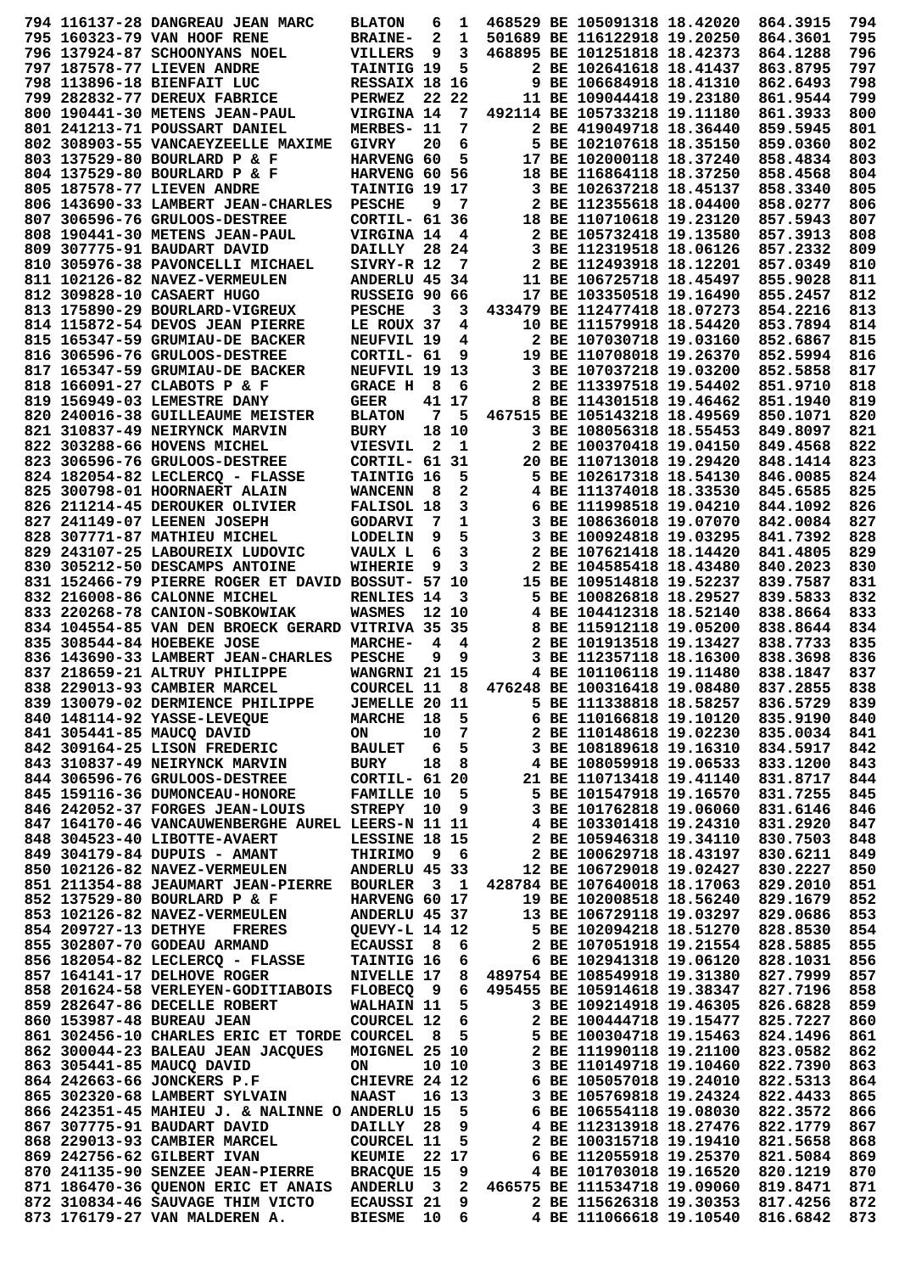|  | 794 116137-28 DANGREAU JEAN MARC                                                     | <b>BLATON</b>        | 6   | 1     |  | 468529 BE 105091318 18.42020                                                      | 864.3915 | 794        |
|--|--------------------------------------------------------------------------------------|----------------------|-----|-------|--|-----------------------------------------------------------------------------------|----------|------------|
|  | 795 160323-79 VAN HOOF RENE                                                          | <b>BRAINE-</b>       | 2   | 1     |  | 501689 BE 116122918 19.20250                                                      | 864.3601 | 795        |
|  | 796 137924-87 SCHOONYANS NOEL                                                        | VILLERS              | 9   | 3     |  | 468895 BE 101251818 18.42373                                                      | 864.1288 | 796        |
|  | 797 187578-77 LIEVEN ANDRE                                                           | TAINTIG 19           |     | 5     |  | 2 BE 102641618 18.41437                                                           | 863.8795 | 797        |
|  | 798 113896-18 BIENFAIT LUC                                                           | <b>RESSAIX 18 16</b> |     |       |  | 9 BE 106684918 18.41310                                                           | 862.6493 | 798        |
|  | 799 282832-77 DEREUX FABRICE                                                         | <b>PERWEZ</b>        |     | 22 22 |  | 11 BE 109044418 19.23180                                                          | 861.9544 | 799        |
|  |                                                                                      |                      |     |       |  |                                                                                   |          |            |
|  | 800 190441-30 METENS JEAN-PAUL                                                       | VIRGINA 14           |     | 7     |  | 492114 BE 105733218 19.11180                                                      | 861.3933 | 800        |
|  | 801 241213-71 POUSSART DANIEL                                                        | MERBES- 11           |     | 7     |  | 2 BE 419049718 18.36440                                                           | 859.5945 | 801        |
|  | 802 308903-55 VANCAEYZEELLE MAXIME                                                   | <b>GIVRY</b>         | 20  | 6     |  | 5 BE 102107618 18.35150                                                           | 859.0360 | 802        |
|  | 803 137529-80 BOURLARD P & F                                                         | HARVENG 60           |     | 5     |  | 17 BE 102000118 18.37240                                                          | 858.4834 | 803        |
|  | 804 137529-80 BOURLARD P & F                                                         | HARVENG 60 56        |     |       |  | 18 BE 116864118 18.37250                                                          | 858.4568 | 804        |
|  | 805 187578-77 LIEVEN ANDRE                                                           | TAINTIG 19 17        |     |       |  | 3 BE 102637218 18.45137                                                           | 858.3340 | 805        |
|  | 806 143690-33 LAMBERT JEAN-CHARLES                                                   | <b>PESCHE</b>        | 9   | -7    |  | 2 BE 112355618 18.04400                                                           | 858.0277 | 806        |
|  | 807 306596-76 GRULOOS-DESTREE                                                        | CORTIL- 61 36        |     |       |  | 18 BE 110710618 19.23120                                                          | 857.5943 | 807        |
|  |                                                                                      |                      |     |       |  |                                                                                   |          |            |
|  | 808 190441-30 METENS JEAN-PAUL                                                       | VIRGINA 14           |     | 4     |  | 2 BE 105732418 19.13580                                                           | 857.3913 | 808        |
|  | 809 307775-91 BAUDART DAVID                                                          | <b>DAILLY</b>        |     | 28 24 |  | 3 BE 112319518 18.06126                                                           | 857.2332 | 809        |
|  | 810 305976-38 PAVONCELLI MICHAEL                                                     | SIVRY-R 12           |     | 7     |  | 2 BE 112493918 18.12201                                                           | 857.0349 | 810        |
|  | 811 102126-82 NAVEZ-VERMEULEN                                                        | ANDERLU 45 34        |     |       |  | 11 BE 106725718 18.45497                                                          | 855.9028 | 811        |
|  | 812 309828-10 CASAERT HUGO                                                           | RUSSEIG 90 66        |     |       |  | 17 BE 103350518 19.16490                                                          | 855.2457 | 812        |
|  | 813 175890-29 BOURLARD-VIGREUX                                                       | <b>PESCHE</b>        | 3   | 3     |  | 433479 BE 112477418 18.07273                                                      | 854.2216 | 813        |
|  | 814 115872-54 DEVOS JEAN PIERRE                                                      | LE ROUX 37           |     | 4     |  | 10 BE 111579918 18.54420                                                          | 853.7894 | 814        |
|  | 815 165347-59 GRUMIAU-DE BACKER                                                      | NEUFVIL 19           |     | 4     |  | 2 BE 107030718 19.03160                                                           | 852.6867 | 815        |
|  |                                                                                      |                      |     |       |  |                                                                                   | 852.5994 |            |
|  | 816 306596-76 GRULOOS-DESTREE                                                        | CORTIL- 61           |     | 9     |  | 19 BE 110708018 19.26370                                                          |          | 816        |
|  | 817 165347-59 GRUMIAU-DE BACKER                                                      | NEUFVIL 19 13        |     |       |  | 3 BE 107037218 19.03200                                                           | 852.5858 | 817        |
|  | 818 166091-27 CLABOTS P & F                                                          | <b>GRACE H</b>       | 8   | 6     |  | 2 BE 113397518 19.54402                                                           | 851.9710 | 818        |
|  | 819 156949-03 LEMESTRE DANY                                                          | <b>GEER</b>          |     | 41 17 |  | 8 BE 114301518 19.46462                                                           | 851.1940 | 819        |
|  | 820 240016-38 GUILLEAUME MEISTER                                                     | <b>BLATON</b>        | 7   | 5     |  | 467515 BE 105143218 18.49569                                                      | 850.1071 | 820        |
|  | 821 310837-49 NEIRYNCK MARVIN                                                        | <b>BURY</b>          |     | 18 10 |  | 3 BE 108056318 18.55453                                                           | 849.8097 | 821        |
|  | 822 303288-66 HOVENS MICHEL                                                          | <b>VIESVIL</b>       | 2   | 1     |  | 2 BE 100370418 19.04150                                                           | 849.4568 | 822        |
|  | 823 306596-76 GRULOOS-DESTREE                                                        | CORTIL- 61           |     | 31    |  | 20 BE 110713018 19.29420                                                          | 848.1414 | 823        |
|  |                                                                                      |                      |     |       |  |                                                                                   |          |            |
|  | 824 182054-82 LECLERCQ - FLASSE                                                      | TAINTIG 16           |     | 5     |  | 5 BE 102617318 18.54130                                                           | 846.0085 | 824        |
|  | 825 300798-01 HOORNAERT ALAIN                                                        | <b>WANCENN</b>       | - 8 | 2     |  | 4 BE 111374018 18.33530                                                           | 845.6585 | 825        |
|  | 826 211214-45 DEROUKER OLIVIER                                                       | FALISOL 18           |     | 3     |  | 6 BE 111998518 19.04210                                                           | 844.1092 | 826        |
|  | 827 241149-07 LEENEN JOSEPH                                                          | <b>GODARVI</b>       | 7   | 1     |  | 3 BE 108636018 19.07070                                                           | 842.0084 | 827        |
|  | 828 307771-87 MATHIEU MICHEL                                                         | <b>LODELIN</b>       | 9   | 5     |  | 3 BE 100924818 19.03295                                                           | 841.7392 | 828        |
|  | 829 243107-25 LABOUREIX LUDOVIC                                                      | VAULX L              | 6   | 3     |  | 2 BE 107621418 18.14420                                                           | 841.4805 | 829        |
|  | 830 305212-50 DESCAMPS ANTOINE                                                       | WIHERIE              | 9   | 3     |  | 2 BE 104585418 18.43480                                                           | 840.2023 | 830        |
|  |                                                                                      |                      |     |       |  |                                                                                   |          |            |
|  | 831 152466-79 PIERRE ROGER ET DAVID BOSSUT- 57 10                                    |                      |     |       |  | 15 BE 109514818 19.52237                                                          | 839.7587 | 831        |
|  | 832 216008-86 CALONNE MICHEL                                                         | RENLIES 14           |     | 3     |  | 5 BE 100826818 18.29527                                                           | 839.5833 | 832        |
|  | 833 220268-78 CANION-SOBKOWIAK                                                       | WASMES               |     | 12 10 |  | 4 BE 104412318 18.52140                                                           | 838.8664 | 833        |
|  | 834 104554-85 VAN DEN BROECK GERARD VITRIVA 35 35                                    |                      |     |       |  | 8 BE 115912118 19.05200                                                           | 838.8644 | 834        |
|  | 835 308544-84 HOEBEKE JOSE                                                           | <b>MARCHE-</b>       | 4   | 4     |  | 2 BE 101913518 19.13427                                                           | 838.7733 | 835        |
|  | 836 143690-33 LAMBERT JEAN-CHARLES                                                   | <b>PESCHE</b>        | 9   | 9     |  | 3 BE 112357118 18.16300                                                           | 838.3698 | 836        |
|  | 837 218659-21 ALTRUY PHILIPPE                                                        | WANGRNI 21 15        |     |       |  | 4 BE 101106118 19.11480                                                           | 838.1847 | 837        |
|  | 838 229013-93 CAMBIER MARCEL                                                         | <b>COURCEL 11</b>    |     | 8     |  | 476248 BE 100316418 19.08480                                                      | 837.2855 | 838        |
|  | 839 130079-02 DERMIENCE PHILIPPE                                                     | <b>JEMELLE 20 11</b> |     |       |  | 5 BE 111338818 18.58257 836.5729                                                  |          | 839        |
|  |                                                                                      |                      |     |       |  |                                                                                   |          |            |
|  | 840 148114-92 YASSE-LEVEOUE                                                          | <b>MARCHE</b>        |     | 18 5  |  | 6 BE 110166818 19.10120 835.9190                                                  |          | 840        |
|  | 841 305441-85 MAUCO DAVID                                                            | ON                   |     | 10 7  |  | 2 BE 110148618 19.02230                                                           | 835.0034 | 841        |
|  | 842 309164-25 LISON FREDERIC                                                         | <b>BAULET</b>        |     | 6 5   |  | 3 BE 108189618 19.16310                                                           | 834.5917 | 842        |
|  | 843 310837-49 NEIRYNCK MARVIN                                                        | <b>BURY</b>          |     | 18 8  |  | 4 BE 108059918 19.06533 833.1200                                                  |          | 843        |
|  | 844 306596-76 GRULOOS-DESTREE                                                        | <b>CORTIL- 61 20</b> |     |       |  | 21 BE 110713418 19.41140 831.8717                                                 |          | 844        |
|  | 845 159116-36 DUMONCEAU-HONORE                                                       | <b>FAMILLE 10</b>    |     | - 5   |  | 5 BE 101547918 19.16570                                                           | 831.7255 | 845        |
|  | 846 242052-37 FORGES JEAN-LOUIS                                                      | STREPY 10            |     | 9     |  | 3 BE 101762818 19.06060                                                           | 831.6146 | 846        |
|  | 847 164170-46 VANCAUWENBERGHE AUREL LEERS-N 11 11                                    |                      |     |       |  | 4 BE 103301418 19.24310                                                           | 831.2920 | 847        |
|  |                                                                                      |                      |     |       |  |                                                                                   |          |            |
|  | 848 304523-40 LIBOTTE-AVAERT                                                         | LESSINE 18 15        |     |       |  | 2 BE 105946318 19.34110                                                           | 830.7503 | 848        |
|  | 849 304179-84 DUPUIS - AMANT                                                         | THIRIMO 9 6          |     |       |  | 2 BE 100629718 18.43197 830.6211                                                  |          | 849        |
|  | 850 102126-82 NAVEZ-VERMEULEN                                                        | ANDERLU 45 33        |     |       |  | 12 BE 106729018 19.02427                                                          | 830.2227 | 850        |
|  | 851 211354-88 JEAUMART JEAN-PIERRE BOURLER 3 1 428784 BE 107640018 18.17063          |                      |     |       |  |                                                                                   | 829.2010 | 851        |
|  | 852 137529-80 BOURLARD P & F                                                         | HARVENG 60 17        |     |       |  | 19 BE 102008518 18.56240                                                          | 829.1679 | 852        |
|  | 853 102126-82 NAVEZ-VERMEULEN                                                        | ANDERLU 45 37        |     |       |  | 13 BE 106729118 19.03297 829.0686                                                 |          | 853        |
|  | 854 209727-13 DETHYE FRERES                                                          | QUEVY-L 14 12        |     |       |  | 5 BE 102094218 18.51270                                                           | 828.8530 | 854        |
|  | 855 302807-70 GODEAU ARMAND                                                          | <b>ECAUSSI 8 6</b>   |     |       |  | 2 BE 107051918 19.21554 828.5885                                                  |          | 855        |
|  |                                                                                      |                      |     |       |  |                                                                                   |          | 856        |
|  |                                                                                      |                      |     |       |  |                                                                                   |          |            |
|  | 856 182054-82 LECLERCO - FLASSE                                                      | TAINTIG 16 6         |     |       |  | 6 BE 102941318 19.06120                                                           | 828.1031 |            |
|  | 857 164141-17 DELHOVE ROGER                                                          |                      |     |       |  | NIVELLE 17 8 489754 BE 108549918 19.31380                                         | 827.7999 | 857        |
|  | 858 201624-58 VERLEYEN-GODITIABOIS FLOBECQ 9 6 495455 BE 105914618 19.38347 827.7196 |                      |     |       |  |                                                                                   |          | 858        |
|  | 859 282647-86 DECELLE ROBERT                                                         | WALHAIN 11 5         |     |       |  | 3 BE 109214918 19.46305                                                           | 826.6828 | 859        |
|  |                                                                                      |                      |     |       |  | 2 BE 100444718 19.15477                                                           | 825.7227 | 860        |
|  |                                                                                      |                      |     |       |  | 5 BE 100304718 19.15463                                                           | 824.1496 | 861        |
|  | 862 300044-23 BALEAU JEAN JACQUES                                                    | MOIGNEL 25 10        |     |       |  |                                                                                   | 823.0582 |            |
|  |                                                                                      |                      |     |       |  | 2 BE 111990118 19.21100                                                           |          | 862        |
|  | 863 305441-85 MAUCQ DAVID                                                            | ON                   |     | 10 10 |  | 3 BE 110149718 19.10460                                                           | 822.7390 | 863        |
|  | 864 242663-66 JONCKERS P.F                                                           | <b>CHIEVRE 24 12</b> |     |       |  | 6 BE 105057018 19.24010                                                           | 822.5313 | 864        |
|  | 865 302320-68 LAMBERT SYLVAIN NAAST                                                  |                      |     | 16 13 |  | 3 BE 105769818 19.24324                                                           | 822.4433 | 865        |
|  | 866 242351-45 MAHIEU J. & NALINNE O ANDERLU 15 5                                     |                      |     |       |  | 6 BE 106554118 19.08030                                                           | 822.3572 | 866        |
|  | 867 307775-91 BAUDART DAVID                                                          | DAILLY 28            |     | 9     |  | 4 BE 112313918 18.27476                                                           | 822.1779 | 867        |
|  | 868 229013-93 CAMBIER MARCEL                                                         | <b>COURCEL 11</b>    |     | 5     |  | 2 BE 100315718 19.19410 821.5658                                                  |          | 868        |
|  | 869 242756-62 GILBERT IVAN                                                           | <b>KEUMIE</b>        |     | 22 17 |  | 6 BE 112055918 19.25370                                                           | 821.5084 | 869        |
|  | 870 241135-90 SENZEE JEAN-PIERRE                                                     | <b>BRACQUE 15</b>    |     | 9     |  | 4 BE 101703018 19.16520                                                           | 820.1219 | 870        |
|  |                                                                                      |                      |     |       |  |                                                                                   |          |            |
|  | 871 186470-36 QUENON ERIC ET ANAIS ANDERLU 3 2 466575 BE 111534718 19.09060 819.8471 |                      |     |       |  |                                                                                   |          | 871        |
|  | 872 310834-46 SAUVAGE THIM VICTO<br>873 176179-27 VAN MALDEREN A.                    | <b>BIESME</b>        |     | 10 6  |  | ECAUSSI 21 9 2 BE 115626318 19.30353 817.4256<br>4 BE 111066618 19.10540 816.6842 |          | 872<br>873 |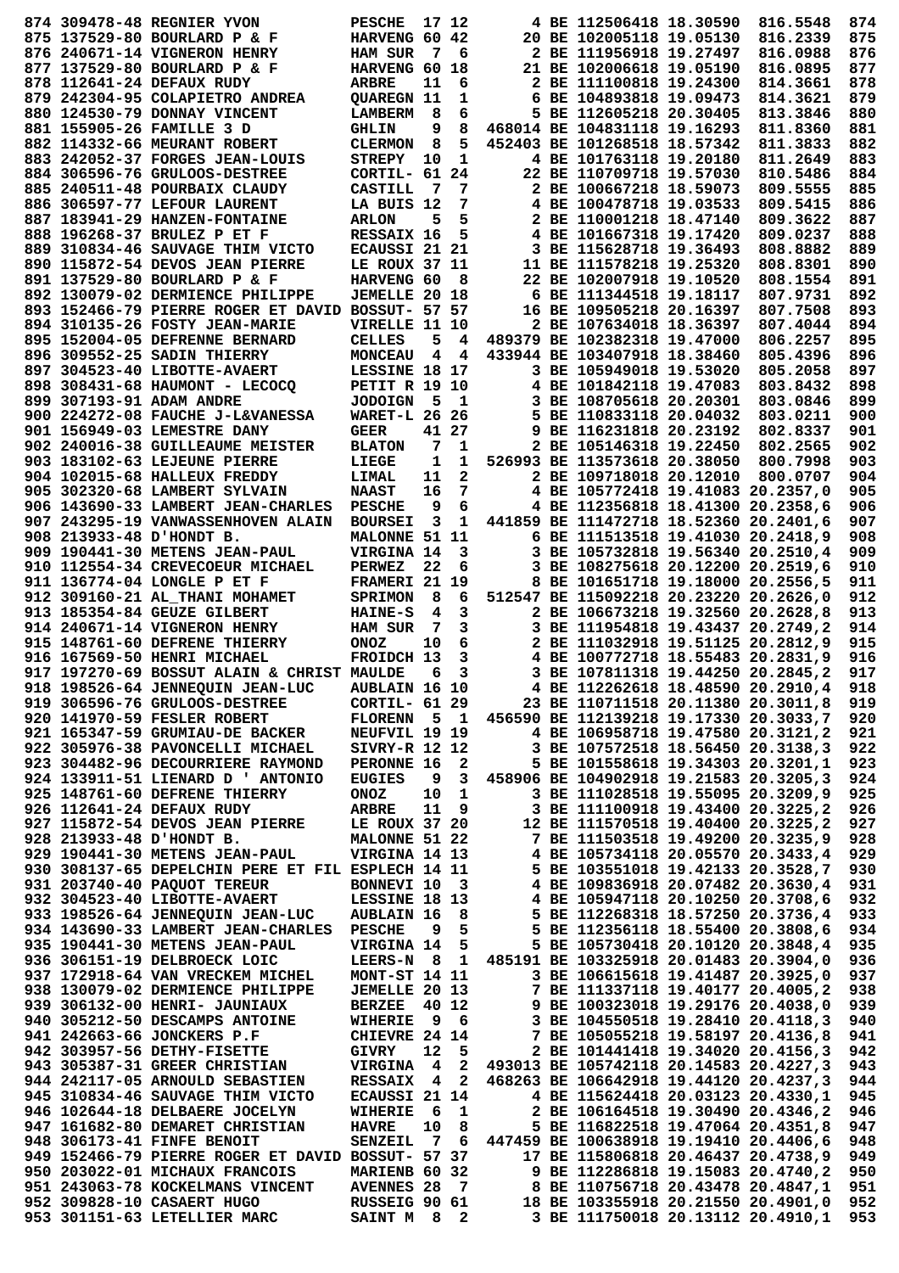|  | 874 309478-48 REGNIER YVON                                                                                                                                                                                                                 | <b>PESCHE</b>        | 17 12       |                |                                                    | 4 BE 112506418 18.30590                | 816.5548                          | 874        |
|--|--------------------------------------------------------------------------------------------------------------------------------------------------------------------------------------------------------------------------------------------|----------------------|-------------|----------------|----------------------------------------------------|----------------------------------------|-----------------------------------|------------|
|  | 875 137529-80 BOURLARD P & F                                                                                                                                                                                                               | HARVENG 60 42        |             |                |                                                    | 20 BE 102005118 19.05130               | 816.2339                          | 875        |
|  |                                                                                                                                                                                                                                            |                      |             |                |                                                    |                                        |                                   |            |
|  | 876 240671-14 VIGNERON HENRY                                                                                                                                                                                                               | <b>HAM SUR</b>       | 7           | - 6            |                                                    | 2 BE 111956918 19.27497                | 816.0988                          | 876        |
|  | 877 137529-80 BOURLARD P & F                                                                                                                                                                                                               | HARVENG 60 18        |             |                |                                                    | 21 BE 102006618 19.05190               | 816.0895                          | 877        |
|  | 878 112641-24 DEFAUX RUDY                                                                                                                                                                                                                  | <b>ARBRE</b>         | 11          | 6              |                                                    | 2 BE 111100818 19.24300                | 814.3661                          | 878        |
|  | 879 242304-95 COLAPIETRO ANDREA                                                                                                                                                                                                            | <b>OUAREGN 11</b>    |             | 1              |                                                    | 6 BE 104893818 19.09473                | 814.3621                          | 879        |
|  | 880 124530-79 DONNAY VINCENT                                                                                                                                                                                                               | <b>LAMBERM</b>       | 8           | 6              |                                                    | 5 BE 112605218 20.30405                | 813.3846                          | 880        |
|  | 881 155905-26 FAMILLE 3 D                                                                                                                                                                                                                  | <b>GHLIN</b>         | 9           | 8              |                                                    | 468014 BE 104831118 19.16293           | 811.8360                          | 881        |
|  |                                                                                                                                                                                                                                            |                      |             | 5              |                                                    | 452403 BE 101268518 18.57342           |                                   | 882        |
|  | 882 114332-66 MEURANT ROBERT                                                                                                                                                                                                               | <b>CLERMON</b>       | 8           |                |                                                    |                                        | 811.3833                          |            |
|  | 883 242052-37 FORGES JEAN-LOUIS                                                                                                                                                                                                            | STREPY               | 10          | 1              |                                                    | 4 BE 101763118 19.20180                | 811.2649                          | 883        |
|  | 884 306596-76 GRULOOS-DESTREE                                                                                                                                                                                                              | CORTIL- 61 24        |             |                |                                                    | 22 BE 110709718 19.57030               | 810.5486                          | 884        |
|  | 885 240511-48 POURBAIX CLAUDY                                                                                                                                                                                                              | <b>CASTILL</b>       | - 7         | -7             |                                                    | 2 BE 100667218 18.59073                | 809.5555                          | 885        |
|  | 886 306597-77 LEFOUR LAURENT                                                                                                                                                                                                               | LA BUIS 12           |             | 7              |                                                    | 4 BE 100478718 19.03533                | 809.5415                          | 886        |
|  | 887 183941-29 HANZEN-FONTAINE                                                                                                                                                                                                              | <b>ARLON</b>         | 5           | 5              |                                                    | 2 BE 110001218 18.47140                | 809.3622                          | 887        |
|  | 888 196268-37 BRULEZ P ET F                                                                                                                                                                                                                | RESSAIX 16           |             | 5              |                                                    | 4 BE 101667318 19.17420                | 809.0237                          | 888        |
|  |                                                                                                                                                                                                                                            |                      |             |                |                                                    |                                        |                                   |            |
|  | 889 310834-46 SAUVAGE THIM VICTO                                                                                                                                                                                                           | ECAUSSI 21 21        |             |                |                                                    | 3 BE 115628718 19.36493                | 808.8882                          | 889        |
|  | 890 115872-54 DEVOS JEAN PIERRE                                                                                                                                                                                                            | LE ROUX 37 11        |             |                |                                                    | 11 BE 111578218 19.25320               | 808.8301                          | 890        |
|  | 891 137529-80 BOURLARD P & F                                                                                                                                                                                                               | HARVENG 60           |             | - 8            |                                                    | 22 BE 102007918 19.10520               | 808.1554                          | 891        |
|  | 892 130079-02 DERMIENCE PHILIPPE                                                                                                                                                                                                           | <b>JEMELLE 20 18</b> |             |                |                                                    | 6 BE 111344518 19.18117                | 807.9731                          | 892        |
|  | 893 152466-79 PIERRE ROGER ET DAVID BOSSUT- 57 57                                                                                                                                                                                          |                      |             |                |                                                    | 16 BE 109505218 20.16397               | 807.7508                          | 893        |
|  | 894 310135-26 FOSTY JEAN-MARIE                                                                                                                                                                                                             | VIRELLE 11 10        |             |                |                                                    | 2 BE 107634018 18.36397                | 807.4044                          | 894        |
|  | 895 152004-05 DEFRENNE BERNARD                                                                                                                                                                                                             | <b>CELLES</b>        | 5           | 4              |                                                    | 489379 BE 102382318 19.47000           | 806.2257                          | 895        |
|  |                                                                                                                                                                                                                                            |                      |             |                |                                                    |                                        |                                   |            |
|  | 896 309552-25 SADIN THIERRY                                                                                                                                                                                                                | <b>MONCEAU</b>       | 4           | $\overline{4}$ |                                                    | 433944 BE 103407918 18.38460           | 805.4396                          | 896        |
|  | 897 304523-40 LIBOTTE-AVAERT                                                                                                                                                                                                               | LESSINE 18 17        |             |                |                                                    | 3 BE 105949018 19.53020                | 805.2058                          | 897        |
|  | 898 308431-68 HAUMONT - LECOCO                                                                                                                                                                                                             | <b>PETIT R 19 10</b> |             |                |                                                    | 4 BE 101842118 19.47083                | 803.8432                          | 898        |
|  | 899 307193-91 ADAM ANDRE                                                                                                                                                                                                                   | <b>JODOIGN</b>       | 5           | $\mathbf{1}$   |                                                    | 3 BE 108705618 20.20301                | 803.0846                          | 899        |
|  | 900 224272-08 FAUCHE J-L&VANESSA                                                                                                                                                                                                           | <b>WARET-L 26 26</b> |             |                |                                                    | 5 BE 110833118 20.04032                | 803.0211                          | 900        |
|  | 901 156949-03 LEMESTRE DANY                                                                                                                                                                                                                | <b>GEER</b>          |             | 41 27          |                                                    | 9 BE 116231818 20.23192                | 802.8337                          | 901        |
|  | 902 240016-38 GUILLEAUME MEISTER                                                                                                                                                                                                           |                      | 7           |                |                                                    | 2 BE 105146318 19.22450                |                                   | 902        |
|  |                                                                                                                                                                                                                                            | <b>BLATON</b>        |             | 1              |                                                    |                                        | 802.2565                          |            |
|  | 903 183102-63 LEJEUNE PIERRE                                                                                                                                                                                                               | LIEGE                | $\mathbf 1$ | $\mathbf 1$    |                                                    | 526993 BE 113573618 20.38050           | 800.7998                          | 903        |
|  | 904 102015-68 HALLEUX FREDDY                                                                                                                                                                                                               | LIMAL                | 11          | $\mathbf{2}$   |                                                    | 2 BE 109718018 20.12010                | 800.0707                          | 904        |
|  | 905 302320-68 LAMBERT SYLVAIN                                                                                                                                                                                                              | <b>NAAST</b>         | 16          | 7              |                                                    | 4 BE 105772418 19.41083 20.2357,0      |                                   | 905        |
|  | 906 143690-33 LAMBERT JEAN-CHARLES                                                                                                                                                                                                         | <b>PESCHE</b>        | 9           | 6              |                                                    | 4 BE 112356818 18.41300 20.2358,6      |                                   | 906        |
|  | 907 243295-19 VANWASSENHOVEN ALAIN                                                                                                                                                                                                         | <b>BOURSEI</b>       | 3           | 1              |                                                    | 441859 BE 111472718 18.52360 20.2401,6 |                                   | 907        |
|  | 908 213933-48 D'HONDT B.                                                                                                                                                                                                                   | MALONNE 51 11        |             |                |                                                    | 6 BE 111513518 19.41030 20.2418,9      |                                   | 908        |
|  |                                                                                                                                                                                                                                            |                      |             |                |                                                    |                                        |                                   |            |
|  | 909 190441-30 METENS JEAN-PAUL                                                                                                                                                                                                             | VIRGINA 14           |             | 3              |                                                    | 3 BE 105732818 19.56340 20.2510,4      |                                   | 909        |
|  | 910 112554-34 CREVECOEUR MICHAEL                                                                                                                                                                                                           | <b>PERWEZ</b>        | 22          | 6              |                                                    | 3 BE 108275618 20.12200 20.2519,6      |                                   | 910        |
|  | 911 136774-04 LONGLE P ET F                                                                                                                                                                                                                | FRAMERI 21 19        |             |                |                                                    | 8 BE 101651718 19.18000 20.2556,5      |                                   | 911        |
|  | 912 309160-21 AL THANI MOHAMET                                                                                                                                                                                                             | <b>SPRIMON</b>       | 8           | 6              |                                                    | 512547 BE 115092218 20.23220 20.2626,0 |                                   | 912        |
|  | 913 185354-84 GEUZE GILBERT                                                                                                                                                                                                                | <b>HAINE-S</b>       | 4           | 3              |                                                    | 2 BE 106673218 19.32560 20.2628,8      |                                   | 913        |
|  | 914 240671-14 VIGNERON HENRY                                                                                                                                                                                                               | <b>HAM SUR</b>       | 7           | 3              |                                                    | 3 BE 111954818 19.43437 20.2749,2      |                                   | 914        |
|  | 915 148761-60 DEFRENE THIERRY                                                                                                                                                                                                              |                      |             |                |                                                    | 2 BE 111032918 19.51125 20.2812,9      |                                   | 915        |
|  |                                                                                                                                                                                                                                            | <b>ONOZ</b>          | 10          | 6              |                                                    |                                        |                                   |            |
|  | 916 167569-50 HENRI MICHAEL                                                                                                                                                                                                                | FROIDCH 13           |             | 3              |                                                    |                                        |                                   |            |
|  |                                                                                                                                                                                                                                            |                      |             |                |                                                    |                                        | 4 BE 100772718 18.55483 20.2831,9 | 916        |
|  | 917 197270-69 BOSSUT ALAIN & CHRIST MAULDE                                                                                                                                                                                                 |                      | 6           | 3              |                                                    | 3 BE 107811318 19.44250 20.2845,2      |                                   | 917        |
|  | 918 198526-64 JENNEQUIN JEAN-LUC                                                                                                                                                                                                           | <b>AUBLAIN 16 10</b> |             |                |                                                    |                                        | 4 BE 112262618 18.48590 20.2910,4 | 918        |
|  |                                                                                                                                                                                                                                            |                      |             |                |                                                    |                                        |                                   |            |
|  | 919 306596-76 GRULOOS-DESTREE                                                                                                                                                                                                              | <b>CORTIL- 61 29</b> |             |                | 23 BE 110711518 20.11380 20.3011,8                 |                                        |                                   | 919        |
|  | 920 141970-59 FESLER ROBERT                                                                                                                                                                                                                |                      |             |                | FLORENN 5 1 456590 BE 112139218 19.17330 20.3033,7 |                                        |                                   | 920        |
|  | 921 165347-59 GRUMIAU-DE BACKER NEUFVIL 19 19 4 BE 106958718 19.47580 20.3121,2                                                                                                                                                            |                      |             |                |                                                    |                                        |                                   | 921        |
|  | 922 305976-38 PAVONCELLI MICHAEL                                                                                                                                                                                                           | SIVRY-R 12 12        |             |                | 3 BE 107572518 18.56450 20.3138,3                  |                                        |                                   | 922        |
|  | 923 304482-96 DECOURRIERE RAYMOND                                                                                                                                                                                                          |                      |             |                | PERONNE 16 2 5 BE 101558618 19.34303 20.3201,1     |                                        |                                   | 923        |
|  | 924 133911-51 LIENARD D ' ANTONIO                                                                                                                                                                                                          | <b>EUGIES</b>        |             |                | 9 3 458906 BE 104902918 19.21583 20.3205,3         |                                        |                                   | 924        |
|  | 925 148761-60 DEFRENE THIERRY                                                                                                                                                                                                              | ONOZ                 |             | 10 1           |                                                    | 3 BE 111028518 19.55095 20.3209,9      |                                   | 925        |
|  |                                                                                                                                                                                                                                            |                      |             |                |                                                    |                                        |                                   |            |
|  | 926 112641-24 DEFAUX RUDY                                                                                                                                                                                                                  | <b>ARBRE</b>         |             | 11 9           |                                                    | 3 BE 111100918 19.43400 20.3225,2      |                                   | 926        |
|  | 927 115872-54 DEVOS JEAN PIERRE LE ROUX 37 20 12 BE 111570518 19.40400 20.3225,2                                                                                                                                                           |                      |             |                |                                                    |                                        |                                   | 927        |
|  |                                                                                                                                                                                                                                            |                      |             |                |                                                    |                                        |                                   | 928        |
|  |                                                                                                                                                                                                                                            |                      |             |                |                                                    |                                        |                                   | 929        |
|  |                                                                                                                                                                                                                                            |                      |             |                |                                                    |                                        |                                   | 930        |
|  |                                                                                                                                                                                                                                            |                      |             |                |                                                    |                                        |                                   | 931        |
|  |                                                                                                                                                                                                                                            |                      |             |                |                                                    |                                        |                                   | 932        |
|  |                                                                                                                                                                                                                                            |                      |             |                |                                                    |                                        |                                   | 933        |
|  | 928 213933-48 D'HONDT B.<br>928 213933-48 D'HONDT B.<br>929 190441-30 METENS JEAN-PAUL<br>929 190441-30 METENS JEAN-PAUL<br>929 190441-30 METENS JEAN-PAUL<br>930 308137-65 DEPELCHIN PERE ET FIL ESPLECH 14 11<br>930 308137-65 DEPELCHIN |                      |             |                |                                                    |                                        |                                   |            |
|  | 934 143690-33 LAMBERT JEAN-CHARLES PESCHE 9 5                                                                                                                                                                                              |                      |             |                |                                                    | 5 BE 112356118 18.55400 20.3808,6      |                                   | 934        |
|  | 935 190441-30 METENS JEAN-PAUL                                                                                                                                                                                                             |                      |             |                | VIRGINA 14 5 5 BE 105730418 20.10120 20.3848,4     |                                        |                                   | 935        |
|  | 936 306151-19 DELBROECK LOIC                                                                                                                                                                                                               |                      |             |                | LEERS-N 8 1 485191 BE 103325918 20.01483 20.3904,0 |                                        |                                   | 936        |
|  | 937 172918-64 VAN VRECKEM MICHEL                                                                                                                                                                                                           | <b>MONT-ST 14 11</b> |             |                |                                                    | 3 BE 106615618 19.41487 20.3925,0      |                                   | 937        |
|  | 938 130079-02 DERMIENCE PHILIPPE                                                                                                                                                                                                           | <b>JEMELLE 20 13</b> |             |                |                                                    | 7 BE 111337118 19.40177 20.4005,2      |                                   | 938        |
|  | 939 306132-00 HENRI- JAUNIAUX                                                                                                                                                                                                              | BERZEE 40 12         |             |                |                                                    |                                        |                                   | 939        |
|  | 940 305212-50 DESCAMPS ANTOINE                                                                                                                                                                                                             |                      |             |                | 9 BE 100323018 19.29176 20.4038,0                  |                                        |                                   | 940        |
|  | 941 242663-66 JONCKERS P.F                                                                                                                                                                                                                 |                      |             |                |                                                    |                                        |                                   |            |
|  |                                                                                                                                                                                                                                            |                      |             |                |                                                    |                                        |                                   | 941        |
|  | 942 303957-56 DETHY-FISETTE                                                                                                                                                                                                                | <b>GIVRY</b>         |             |                | 12 5 2 BE 101441418 19.34020 20.4156,3             |                                        |                                   | 942        |
|  | 943 305387-31 GREER CHRISTIAN                                                                                                                                                                                                              |                      |             |                | VIRGINA 4 2 493013 BE 105742118 20.14583 20.4227,3 |                                        |                                   | 943        |
|  | 944 242117-05 ARNOULD SEBASTIEN                                                                                                                                                                                                            |                      |             |                | RESSAIX 4 2 468263 BE 106642918 19.44120 20.4237,3 |                                        |                                   | 944        |
|  | 945 310834-46 SAUVAGE THIM VICTO                                                                                                                                                                                                           |                      |             |                | ECAUSSI 21 14 4 BE 115624418 20.03123 20.4330,1    |                                        |                                   | 945        |
|  | 946 102644-18 DELBAERE JOCELYN                                                                                                                                                                                                             | WIHERIE 6 1          |             |                |                                                    |                                        |                                   | 946        |
|  | 947 161682-80 DEMARET CHRISTIAN                                                                                                                                                                                                            | <b>HAVRE</b>         |             |                | 10 8 5 BE 116822518 19.47064 20.4351,8             | 2 BE 106164518 19.30490 20.4346,2      |                                   | 947        |
|  |                                                                                                                                                                                                                                            |                      |             |                |                                                    |                                        |                                   |            |
|  | 948 306173-41 FINFE BENOIT                                                                                                                                                                                                                 |                      |             |                | SENZEIL 7 6 447459 BE 100638918 19.19410 20.4406,6 |                                        |                                   | 948        |
|  | 949 152466-79 PIERRE ROGER ET DAVID BOSSUT- 57 37 17 BE 115806818 20.46437 20.4738,9                                                                                                                                                       |                      |             |                |                                                    |                                        |                                   | 949        |
|  | 950 203022-01 MICHAUX FRANCOIS                                                                                                                                                                                                             | MARIENB 60 32        |             |                |                                                    | 9 BE 112286818 19.15083 20.4740,2      |                                   | 950        |
|  | 951 243063-78 KOCKELMANS VINCENT                                                                                                                                                                                                           |                      |             |                | AVENNES 28 7 8 BE 110756718 20.43478 20.4847,1     |                                        |                                   | 951        |
|  | 952 309828-10 CASAERT HUGO RUSSEIG 90 61 18 BE 103355918 20.21550 20.4901,0<br>953 301151-63 LETELLIER MARC SAINT M 8 2 3 BE 111750018 20.13112 20.4910,1                                                                                  |                      |             |                |                                                    |                                        |                                   | 952<br>953 |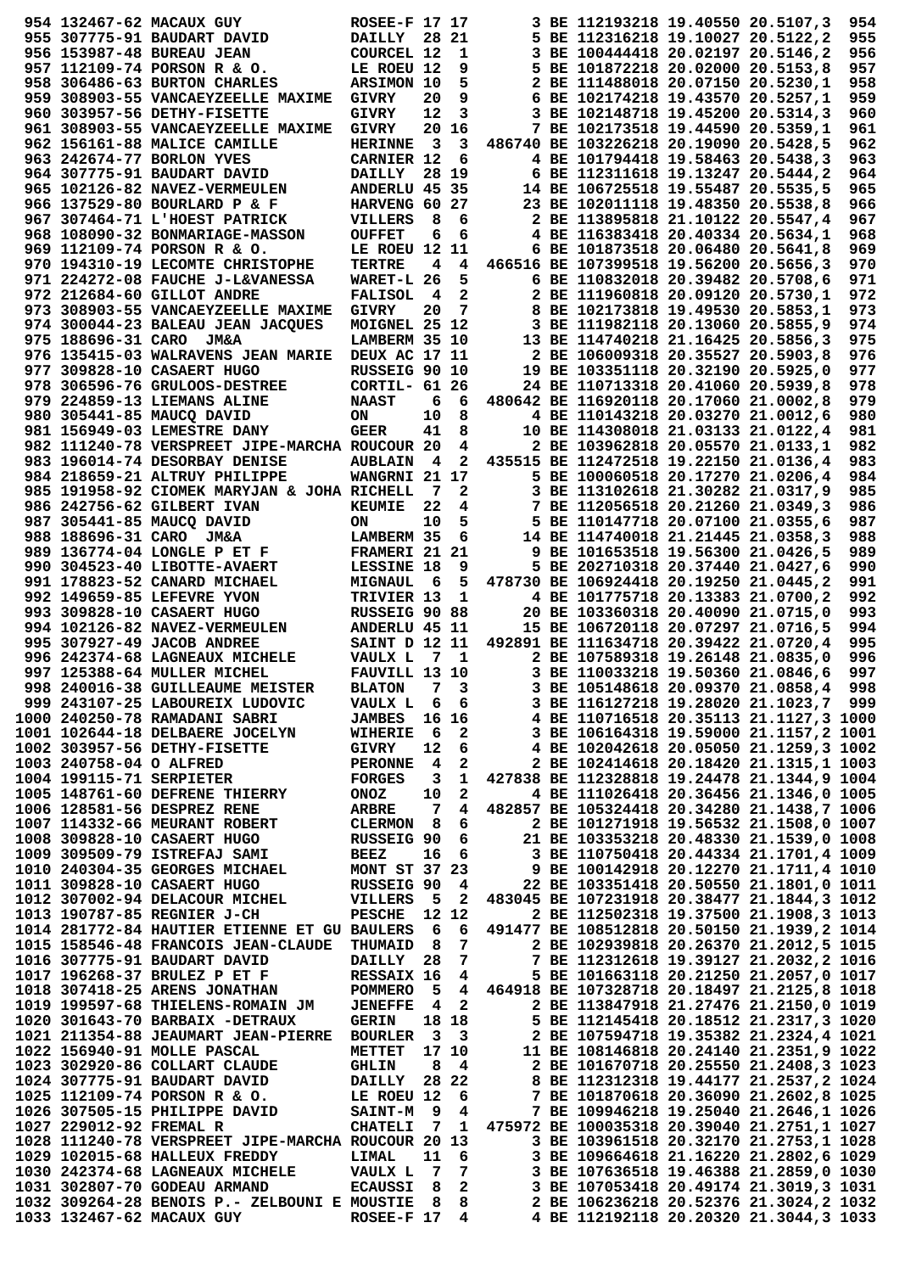|                         | 954 132467-62 MACAUX GUY                                                                                                                                                                                                             | <b>ROSEE-F 17 17</b> |                         |                         |                                                         | 3 BE 112193218 19.40550 20.5107,3      |  | 954 |
|-------------------------|--------------------------------------------------------------------------------------------------------------------------------------------------------------------------------------------------------------------------------------|----------------------|-------------------------|-------------------------|---------------------------------------------------------|----------------------------------------|--|-----|
|                         | 955 307775-91 BAUDART DAVID                                                                                                                                                                                                          | <b>DAILLY</b>        |                         | 28 21                   |                                                         | 5 BE 112316218 19.10027 20.5122,2      |  | 955 |
|                         | 956 153987-48 BUREAU JEAN                                                                                                                                                                                                            | COURCEL 12           |                         | 1                       |                                                         | 3 BE 100444418 20.02197 20.5146,2      |  | 956 |
|                         | 957 112109-74 PORSON R & O.                                                                                                                                                                                                          | LE ROEU 12           |                         | 9                       |                                                         | 5 BE 101872218 20.02000 20.5153,8      |  | 957 |
|                         |                                                                                                                                                                                                                                      |                      |                         | 5                       |                                                         | 2 BE 111488018 20.07150 20.5230,1      |  | 958 |
|                         | 958 306486-63 BURTON CHARLES                                                                                                                                                                                                         | ARSIMON 10           |                         |                         |                                                         |                                        |  |     |
|                         | 959 308903-55 VANCAEYZEELLE MAXIME                                                                                                                                                                                                   | <b>GIVRY</b>         | 20                      | 9                       |                                                         | 6 BE 102174218 19.43570 20.5257,1      |  | 959 |
|                         | 960 303957-56 DETHY-FISETTE                                                                                                                                                                                                          | <b>GIVRY</b>         | 12                      | 3                       |                                                         | 3 BE 102148718 19.45200 20.5314,3      |  | 960 |
|                         | 961 308903-55 VANCAEYZEELLE MAXIME                                                                                                                                                                                                   | <b>GIVRY</b>         |                         | 20 16                   |                                                         | 7 BE 102173518 19.44590 20.5359,1      |  | 961 |
|                         |                                                                                                                                                                                                                                      |                      | $\overline{\mathbf{3}}$ |                         |                                                         |                                        |  | 962 |
|                         | 962 156161-88 MALICE CAMILLE                                                                                                                                                                                                         | <b>HERINNE</b>       |                         | $\overline{\mathbf{3}}$ |                                                         | 486740 BE 103226218 20.19090 20.5428,5 |  |     |
|                         | 963 242674-77 BORLON YVES                                                                                                                                                                                                            | <b>CARNIER 12</b>    |                         | 6                       |                                                         | 4 BE 101794418 19.58463 20.5438,3      |  | 963 |
|                         | 964 307775-91 BAUDART DAVID                                                                                                                                                                                                          | <b>DAILLY</b>        |                         | 28 19                   |                                                         | 6 BE 112311618 19.13247 20.5444,2      |  | 964 |
|                         | 965 102126-82 NAVEZ-VERMEULEN                                                                                                                                                                                                        | ANDERLU 45 35        |                         |                         |                                                         | 14 BE 106725518 19.55487 20.5535,5     |  | 965 |
|                         |                                                                                                                                                                                                                                      |                      |                         |                         |                                                         |                                        |  |     |
|                         | 966 137529-80 BOURLARD P & F                                                                                                                                                                                                         | HARVENG 60 27        |                         |                         |                                                         | 23 BE 102011118 19.48350 20.5538,8     |  | 966 |
|                         | 967 307464-71 L'HOEST PATRICK                                                                                                                                                                                                        | VILLERS              | 8                       | 6                       |                                                         | 2 BE 113895818 21.10122 20.5547,4      |  | 967 |
|                         | 968 108090-32 BONMARIAGE-MASSON                                                                                                                                                                                                      | <b>OUFFET</b>        | 6                       | 6                       |                                                         | 4 BE 116383418 20.40334 20.5634,1      |  | 968 |
|                         | 969 112109-74 PORSON R & O.                                                                                                                                                                                                          | LE ROEU 12 11        |                         |                         |                                                         | 6 BE 101873518 20.06480 20.5641,8      |  | 969 |
|                         |                                                                                                                                                                                                                                      |                      |                         |                         |                                                         |                                        |  |     |
|                         | 970 194310-19 LECOMTE CHRISTOPHE                                                                                                                                                                                                     | TERTRE               | 4                       | 4                       |                                                         | 466516 BE 107399518 19.56200 20.5656,3 |  | 970 |
|                         | 971 224272-08 FAUCHE J-L&VANESSA                                                                                                                                                                                                     | WARET-L 26           |                         | 5                       |                                                         | 6 BE 110832018 20.39482 20.5708,6      |  | 971 |
|                         | 972 212684-60 GILLOT ANDRE                                                                                                                                                                                                           | <b>FALISOL</b>       | 4                       | $\mathbf{2}$            |                                                         | 2 BE 111960818 20.09120 20.5730,1      |  | 972 |
|                         | 973 308903-55 VANCAEYZEELLE MAXIME                                                                                                                                                                                                   | <b>GIVRY</b>         | 20                      | 7                       |                                                         | 8 BE 102173818 19.49530 20.5853,1      |  | 973 |
|                         |                                                                                                                                                                                                                                      |                      |                         |                         |                                                         |                                        |  |     |
|                         | 974 300044-23 BALEAU JEAN JACQUES                                                                                                                                                                                                    | MOIGNEL 25 12        |                         |                         |                                                         | 3 BE 111982118 20.13060 20.5855,9      |  | 974 |
|                         | 975 188696-31 CARO JM&A                                                                                                                                                                                                              | LAMBERM 35 10        |                         |                         |                                                         | 13 BE 114740218 21.16425 20.5856,3     |  | 975 |
|                         | 976 135415-03 WALRAVENS JEAN MARIE                                                                                                                                                                                                   | DEUX AC 17 11        |                         |                         |                                                         | 2 BE 106009318 20.35527 20.5903,8      |  | 976 |
|                         | 977 309828-10 CASAERT HUGO                                                                                                                                                                                                           | RUSSEIG 90 10        |                         |                         |                                                         | 19 BE 103351118 20.32190 20.5925,0     |  | 977 |
|                         |                                                                                                                                                                                                                                      |                      |                         |                         |                                                         |                                        |  |     |
|                         | 978 306596-76 GRULOOS-DESTREE                                                                                                                                                                                                        | CORTIL- 61 26        |                         |                         |                                                         | 24 BE 110713318 20.41060 20.5939,8     |  | 978 |
|                         | 979 224859-13 LIEMANS ALINE                                                                                                                                                                                                          | <b>NAAST</b>         | 6                       | 6                       |                                                         | 480642 BE 116920118 20.17060 21.0002,8 |  | 979 |
|                         | 980 305441-85 MAUCO DAVID                                                                                                                                                                                                            | ON                   | 10                      | 8                       |                                                         | 4 BE 110143218 20.03270 21.0012,6      |  | 980 |
|                         |                                                                                                                                                                                                                                      | <b>GEER</b>          | 41                      | 8                       |                                                         | 10 BE 114308018 21.03133 21.0122,4     |  | 981 |
|                         | 981 156949-03 LEMESTRE DANY                                                                                                                                                                                                          |                      |                         |                         |                                                         |                                        |  |     |
|                         | 982 111240-78 VERSPREET JIPE-MARCHA ROUCOUR 20                                                                                                                                                                                       |                      |                         | 4                       |                                                         | 2 BE 103962818 20.05570 21.0133,1      |  | 982 |
|                         | 983 196014-74 DESORBAY DENISE                                                                                                                                                                                                        | <b>AUBLAIN 4</b>     |                         | $\overline{\mathbf{2}}$ |                                                         | 435515 BE 112472518 19.22150 21.0136,4 |  | 983 |
|                         | 984 218659-21 ALTRUY PHILIPPE                                                                                                                                                                                                        | WANGRNI 21 17        |                         |                         |                                                         | 5 BE 100060518 20.17270 21.0206,4      |  | 984 |
|                         |                                                                                                                                                                                                                                      |                      |                         |                         |                                                         |                                        |  |     |
|                         | 985 191958-92 CIOMEK MARYJAN & JOHA RICHELL                                                                                                                                                                                          |                      | 7                       | $\mathbf{2}$            |                                                         | 3 BE 113102618 21.30282 21.0317,9      |  | 985 |
|                         | 986 242756-62 GILBERT IVAN                                                                                                                                                                                                           | <b>KEUMIE</b>        | 22                      | 4                       |                                                         | 7 BE 112056518 20.21260 21.0349,3      |  | 986 |
|                         | 987 305441-85 MAUCQ DAVID                                                                                                                                                                                                            | ON                   | 10                      | 5                       |                                                         | 5 BE 110147718 20.07100 21.0355,6      |  | 987 |
|                         | 988 188696-31 CARO JM&A                                                                                                                                                                                                              | LAMBERM 35           |                         | 6                       |                                                         | 14 BE 114740018 21.21445 21.0358,3     |  | 988 |
|                         |                                                                                                                                                                                                                                      |                      |                         |                         |                                                         |                                        |  |     |
|                         | 989 136774-04 LONGLE P ET F                                                                                                                                                                                                          | <b>FRAMERI 21</b>    |                         | 21                      |                                                         | 9 BE 101653518 19.56300 21.0426,5      |  | 989 |
|                         | 990 304523-40 LIBOTTE-AVAERT                                                                                                                                                                                                         | LESSINE 18           |                         | 9                       |                                                         | 5 BE 202710318 20.37440 21.0427,6      |  | 990 |
|                         | 991 178823-52 CANARD MICHAEL                                                                                                                                                                                                         | <b>MIGNAUL</b>       | - 6                     | 5                       |                                                         | 478730 BE 106924418 20.19250 21.0445,2 |  | 991 |
|                         | 992 149659-85 LEFEVRE YVON                                                                                                                                                                                                           | TRIVIER 13           |                         | -1                      |                                                         | 4 BE 101775718 20.13383 21.0700,2      |  | 992 |
|                         |                                                                                                                                                                                                                                      |                      |                         |                         |                                                         |                                        |  |     |
|                         | 993 309828-10 CASAERT HUGO                                                                                                                                                                                                           | RUSSEIG 90 88        |                         |                         |                                                         | 20 BE 103360318 20.40090 21.0715,0     |  | 993 |
|                         | 994 102126-82 NAVEZ-VERMEULEN                                                                                                                                                                                                        | ANDERLU 45 11        |                         |                         |                                                         | 15 BE 106720118 20.07297 21.0716,5     |  | 994 |
|                         | 995 307927-49 JACOB ANDREE                                                                                                                                                                                                           | SAINT D 12 11        |                         |                         |                                                         | 492891 BE 111634718 20.39422 21.0720,4 |  | 995 |
|                         |                                                                                                                                                                                                                                      |                      |                         |                         |                                                         |                                        |  |     |
|                         | 996 242374-68 LAGNEAUX MICHELE                                                                                                                                                                                                       | VAULX L              |                         | 7 1                     |                                                         | 2 BE 107589318 19.26148 21.0835,0      |  | 996 |
|                         | 997 125388-64 MULLER MICHEL                                                                                                                                                                                                          | FAUVILL 13 10        |                         |                         |                                                         | 3 BE 110033218 19.50360 21.0846,6      |  | 997 |
|                         | 998 240016-38 GUILLEAUME MEISTER                                                                                                                                                                                                     | BLATON 7 3           |                         |                         |                                                         | 3 BE 105148618 20.09370 21.0858,4      |  | 998 |
|                         | 999 243107-25 LABOUREIX LUDOVIC                                                                                                                                                                                                      |                      |                         |                         | VAULX L 6 6 3 BE 116127218 19.28020 21.1023,7 999       |                                        |  |     |
|                         |                                                                                                                                                                                                                                      |                      |                         |                         |                                                         |                                        |  |     |
|                         | 1000 240250-78 RAMADANI SABRI                                                                                                                                                                                                        | <b>JAMBES</b> 16 16  |                         |                         |                                                         | 4 BE 110716518 20.35113 21.1127,3 1000 |  |     |
|                         | 1001 102644-18 DELBAERE JOCELYN                                                                                                                                                                                                      | WIHERIE 6 2          |                         |                         |                                                         | 3 BE 106164318 19.59000 21.1157,2 1001 |  |     |
|                         | 1002 303957-56 DETHY-FISETTE                                                                                                                                                                                                         | <b>GIVRY</b>         |                         | 12 6                    | 4 BE 102042618 20.05050 21.1259,3 1002                  |                                        |  |     |
| 1003 240758-04 O ALFRED |                                                                                                                                                                                                                                      | PERONNE 4 2          |                         |                         |                                                         | 2 BE 102414618 20.18420 21.1315,1 1003 |  |     |
|                         |                                                                                                                                                                                                                                      |                      |                         |                         |                                                         |                                        |  |     |
|                         | 1004 199115-71 SERPIETER                                                                                                                                                                                                             | <b>FORGES</b>        |                         |                         | 3 1 427838 BE 112328818 19.24478 21.1344,9 1004         |                                        |  |     |
|                         | 1005 148761-60 DEFRENE THIERRY                                                                                                                                                                                                       | ONOZ                 |                         | 10 2                    |                                                         | 4 BE 111026418 20.36456 21.1346,0 1005 |  |     |
|                         | 1006 128581-56 DESPREZ RENE                                                                                                                                                                                                          | <b>ARBRE</b>         |                         |                         | 7 4 482857 BE 105324418 20.34280 21.1438,7 1006         |                                        |  |     |
|                         | 1007 114332-66 MEURANT ROBERT CLERMON 8 6 2 BE 101271918 19.56532 21.1508,0 1007                                                                                                                                                     |                      |                         |                         |                                                         |                                        |  |     |
|                         |                                                                                                                                                                                                                                      |                      |                         |                         |                                                         |                                        |  |     |
|                         | 1008 309828-10 CASAERT HUGO<br>1009 309509-79 ISTREFAJ SAMI BEEZ 16 6 3 BE 103353218 20.48330 21.1539,0 1008<br>1010 240304-35 GEORGES MICHAEL MONT ST 37 23 9 BE 100142918 20.12270 21.1711,4 1010                                  |                      |                         |                         |                                                         |                                        |  |     |
|                         |                                                                                                                                                                                                                                      |                      |                         |                         |                                                         |                                        |  |     |
|                         |                                                                                                                                                                                                                                      |                      |                         |                         |                                                         |                                        |  |     |
|                         |                                                                                                                                                                                                                                      |                      |                         |                         |                                                         |                                        |  |     |
|                         |                                                                                                                                                                                                                                      |                      |                         |                         |                                                         |                                        |  |     |
|                         |                                                                                                                                                                                                                                      |                      |                         |                         |                                                         |                                        |  |     |
|                         |                                                                                                                                                                                                                                      |                      |                         |                         |                                                         |                                        |  |     |
|                         | 1014 281772-84 HAUTIER ETIENNE ET GU BAULERS 6 6 491477 BE 108512818 20.50150 21.1939,2 1014                                                                                                                                         |                      |                         |                         |                                                         |                                        |  |     |
|                         |                                                                                                                                                                                                                                      |                      |                         |                         |                                                         |                                        |  |     |
|                         | 1015 158546-48 FRANCOIS JEAN-CLAUDE THUMAID 8 7                                                                                                                                                                                      |                      |                         |                         |                                                         | 2 BE 102939818 20.26370 21.2012,5 1015 |  |     |
|                         | 1016 307775-91 BAUDART DAVID                                                                                                                                                                                                         | DAILLY 28 7          |                         |                         |                                                         | 7 BE 112312618 19.39127 21.2032,2 1016 |  |     |
|                         | 1017 196268-37 BRULEZ P ET F                                                                                                                                                                                                         | <b>RESSAIX 16 4</b>  |                         |                         |                                                         | 5 BE 101663118 20.21250 21.2057,0 1017 |  |     |
|                         | <b>1018 307418-25 ARENS JONATHAN</b>                                                                                                                                                                                                 |                      |                         |                         | POMMERO 5 4 464918 BE 107328718 20.18497 21.2125,8 1018 |                                        |  |     |
|                         |                                                                                                                                                                                                                                      |                      |                         |                         |                                                         |                                        |  |     |
|                         | 1019 199597-68 THIELENS-ROMAIN JM                                                                                                                                                                                                    |                      |                         |                         | JENEFFE 4 2 2 BE 113847918 21.27476 21.2150,0 1019      |                                        |  |     |
|                         |                                                                                                                                                                                                                                      |                      |                         |                         |                                                         |                                        |  |     |
|                         |                                                                                                                                                                                                                                      |                      |                         |                         |                                                         |                                        |  |     |
|                         | 1020 301643-70 BARBAIX -DETRAUX        GERIN    18  18          5 BE 112145418 20.18512 21.2317,3 1020<br>1021 211354-88 JEAUMART JEAN-PIERRE  BOURLER   3   3          2 BE 107594718 19.35382 21.2324,4 1021<br>1022 156940-91 MOL |                      |                         |                         |                                                         |                                        |  |     |
|                         |                                                                                                                                                                                                                                      |                      |                         |                         |                                                         |                                        |  |     |
|                         |                                                                                                                                                                                                                                      |                      |                         |                         | 8 4 2 BE 101670718 20.25550 21.2408,3 1023              |                                        |  |     |
|                         | 1023 302920-86 COLLART CLAUDE                        GHLIN         8     4<br>1024 307775-91 BAUDART DAVID               DAILLY   28   22<br>1025 112109-74 PORSON R & O.             LE ROEU 12   6                                 |                      |                         |                         |                                                         | 8 BE 112312318 19.44177 21.2537,2 1024 |  |     |
|                         | 1025 112109-74 PORSON R & O.                                                                                                                                                                                                         |                      |                         |                         |                                                         | 7 BE 101870618 20.36090 21.2602,8 1025 |  |     |
|                         |                                                                                                                                                                                                                                      |                      |                         |                         | 7 BE 109946218 19.25040 21.2646,1 1026                  |                                        |  |     |
|                         | 1026 307505-15 PHILIPPE DAVID SAINT-M 9 4                                                                                                                                                                                            |                      |                         |                         |                                                         |                                        |  |     |
|                         |                                                                                                                                                                                                                                      |                      |                         |                         |                                                         |                                        |  |     |
|                         | 1028 111240-78 VERSPREET JIPE-MARCHA ROUCOUR 20 13                                                                                                                                                                                   |                      |                         |                         |                                                         | 3 BE 103961518 20.32170 21.2753,1 1028 |  |     |
|                         | 1029 102015-68 HALLEUX FREDDY LIMAL                                                                                                                                                                                                  |                      |                         | 11 6                    |                                                         | 3 BE 109664618 21.16220 21.2802,6 1029 |  |     |
|                         |                                                                                                                                                                                                                                      |                      |                         |                         |                                                         |                                        |  |     |
|                         | 1030 242374-68 LAGNEAUX MICHELE         VAULX L   7   7           3 BE 107636518 19.46388 21.2859,0 1030<br>1031 302807-70 GODEAU ARMAND              ECAUSSI   8   2           3 BE 107053418 20.49174 21.3019,3 1031               |                      |                         |                         |                                                         |                                        |  |     |
|                         |                                                                                                                                                                                                                                      |                      |                         |                         |                                                         |                                        |  |     |
|                         |                                                                                                                                                                                                                                      |                      |                         |                         |                                                         |                                        |  |     |
|                         |                                                                                                                                                                                                                                      |                      |                         |                         |                                                         |                                        |  |     |
|                         |                                                                                                                                                                                                                                      |                      |                         |                         |                                                         |                                        |  |     |